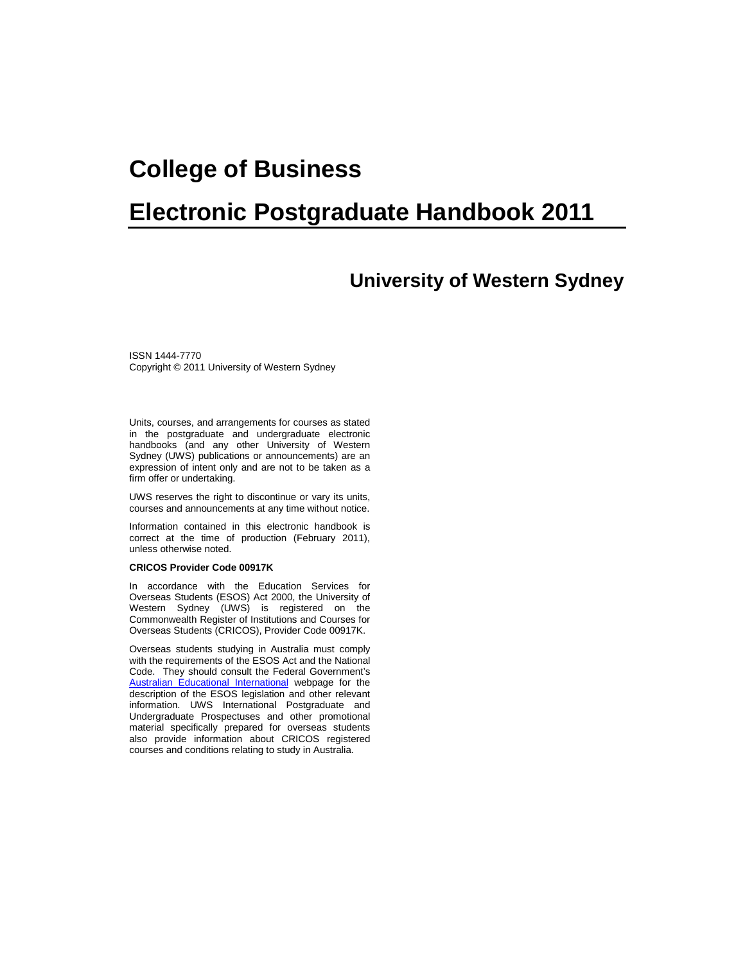# **College of Business**

## **Electronic Postgraduate Handbook 2011**

## **University of Western Sydney**

ISSN 1444-7770 Copyright © 2011 University of Western Sydney

Units, courses, and arrangements for courses as stated in the postgraduate and undergraduate electronic handbooks (and any other University of Western Sydney (UWS) publications or announcements) are an expression of intent only and are not to be taken as a firm offer or undertaking.

UWS reserves the right to discontinue or vary its units, courses and announcements at any time without notice.

Information contained in this electronic handbook is correct at the time of production (February 2011), unless otherwise noted.

#### **CRICOS Provider Code 00917K**

In accordance with the Education Services for Overseas Students (ESOS) Act 2000, the University of Western Sydney (UWS) is registered on the Commonwealth Register of Institutions and Courses for Overseas Students (CRICOS), Provider Code 00917K.

Overseas students studying in Australia must comply with the requirements of the ESOS Act and the National Code. They should consult the Federal Government's [Australian Educational International](http://www.aei.gov.au/AEI/ESOS/Default.htm) webpage for the description of the ESOS legislation and other relevant information. UWS International Postgraduate and Undergraduate Prospectuses and other promotional material specifically prepared for overseas students also provide information about CRICOS registered courses and conditions relating to study in Australia.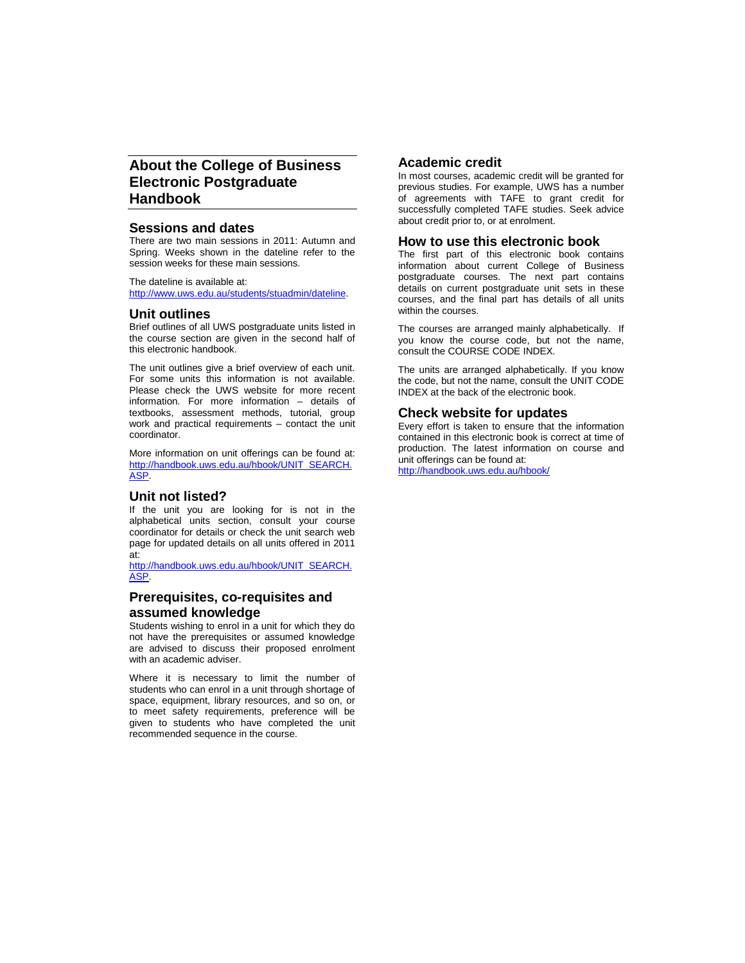### **About the College of Business Electronic Postgraduate Handbook**

#### **Sessions and dates**

There are two main sessions in 2011: Autumn and Spring. Weeks shown in the dateline refer to the session weeks for these main sessions.

The dateline is available at: [http://www.uws.edu.au/students/stuadmin/dateline.](http://www.uws.edu.au/students/stuadmin/dateline)

#### **Unit outlines**

Brief outlines of all UWS postgraduate units listed in the course section are given in the second half of this electronic handbook.

The unit outlines give a brief overview of each unit. For some units this information is not available. Please check the UWS website for more recent information. For more information – details of textbooks, assessment methods, tutorial, group work and practical requirements – contact the unit coordinator.

More information on unit offerings can be found at: [http://handbook.uws.edu.au/hbook/UNIT\\_SEARCH.](http://handbook.uws.edu.au/hbook/UNIT_SEARCH.ASP) [ASP.](http://handbook.uws.edu.au/hbook/UNIT_SEARCH.ASP)

#### **Unit not listed?**

If the unit you are looking for is not in the alphabetical units section, consult your course coordinator for details or check the unit search web page for updated details on all units offered in 2011 at:

[http://handbook.uws.edu.au/hbook/UNIT\\_SEARCH.](http://handbook.uws.edu.au/hbook/UNIT_SEARCH.ASP) [ASP.](http://handbook.uws.edu.au/hbook/UNIT_SEARCH.ASP)

#### **Prerequisites, co-requisites and assumed knowledge**

Students wishing to enrol in a unit for which they do not have the prerequisites or assumed knowledge are advised to discuss their proposed enrolment with an academic adviser.

Where it is necessary to limit the number of students who can enrol in a unit through shortage of space, equipment, library resources, and so on, or to meet safety requirements, preference will be given to students who have completed the unit recommended sequence in the course.

#### **Academic credit**

In most courses, academic credit will be granted for previous studies. For example, UWS has a number of agreements with TAFE to grant credit for successfully completed TAFE studies. Seek advice about credit prior to, or at enrolment.

#### **How to use this electronic book**

The first part of this electronic book contains information about current College of Business postgraduate courses. The next part contains details on current postgraduate unit sets in these courses, and the final part has details of all units within the courses.

The courses are arranged mainly alphabetically. If you know the course code, but not the name, consult the COURSE CODE INDEX.

The units are arranged alphabetically. If you know the code, but not the name, consult the UNIT CODE INDEX at the back of the electronic book.

#### **Check website for updates**

Every effort is taken to ensure that the information contained in this electronic book is correct at time of production. The latest information on course and unit offerings can be found at:

<http://handbook.uws.edu.au/hbook/>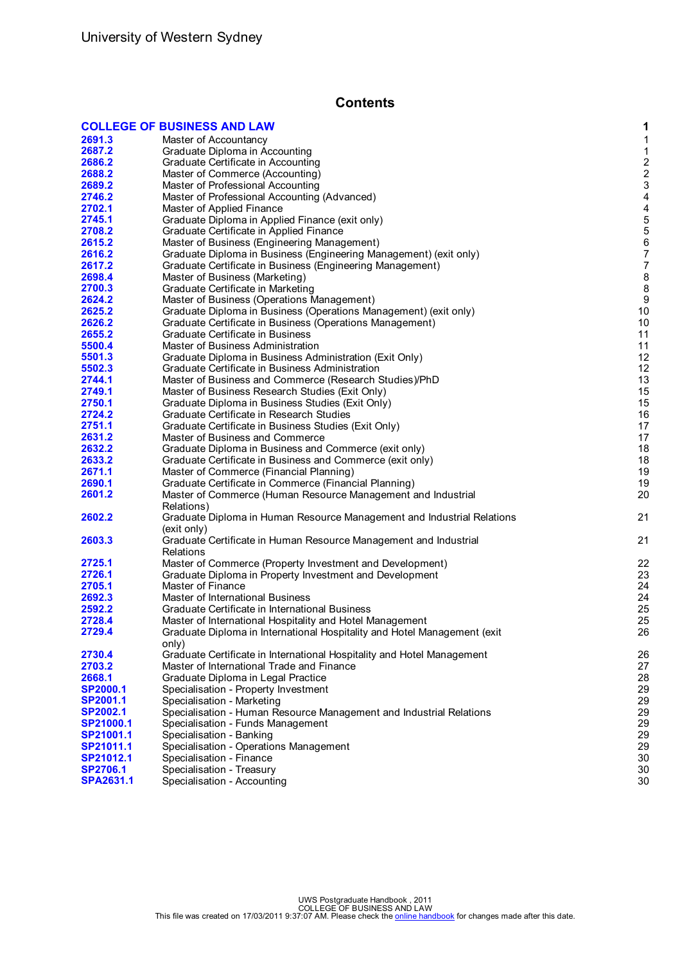### **Contents**

|                  | <b>COLLEGE OF BUSINESS AND LAW</b>                                                    | 1                       |
|------------------|---------------------------------------------------------------------------------------|-------------------------|
| 2691.3           | Master of Accountancy                                                                 | 1                       |
| 2687.2           | Graduate Diploma in Accounting                                                        | 1                       |
| 2686.2           | Graduate Certificate in Accounting                                                    | $\overline{\mathbf{c}}$ |
| 2688.2           | Master of Commerce (Accounting)                                                       | $\overline{\mathbf{c}}$ |
| 2689.2           | Master of Professional Accounting                                                     | 3                       |
| 2746.2           | Master of Professional Accounting (Advanced)                                          | 4                       |
| 2702.1           | Master of Applied Finance                                                             | 4                       |
| 2745.1           | Graduate Diploma in Applied Finance (exit only)                                       | 5                       |
| 2708.2           | Graduate Certificate in Applied Finance                                               | 5                       |
| 2615.2           | Master of Business (Engineering Management)                                           | 6                       |
| 2616.2           | Graduate Diploma in Business (Engineering Management) (exit only)                     | 7                       |
| 2617.2           | Graduate Certificate in Business (Engineering Management)                             | 7                       |
| 2698.4           | Master of Business (Marketing)                                                        | 8                       |
| 2700.3           | Graduate Certificate in Marketing                                                     | 8                       |
| 2624.2           | Master of Business (Operations Management)                                            | 9                       |
| 2625.2           | Graduate Diploma in Business (Operations Management) (exit only)                      | 10                      |
| 2626.2           | Graduate Certificate in Business (Operations Management)                              | 10                      |
| 2655.2           | Graduate Certificate in Business                                                      | 11                      |
| 5500.4           | Master of Business Administration                                                     | 11                      |
| 5501.3           | Graduate Diploma in Business Administration (Exit Only)                               | 12                      |
| 5502.3           | Graduate Certificate in Business Administration                                       | 12                      |
| 2744.1           | Master of Business and Commerce (Research Studies)/PhD                                | 13                      |
| 2749.1           | Master of Business Research Studies (Exit Only)                                       | 15                      |
| 2750.1           | Graduate Diploma in Business Studies (Exit Only)                                      | 15                      |
| 2724.2           | Graduate Certificate in Research Studies                                              | 16                      |
| 2751.1           | Graduate Certificate in Business Studies (Exit Only)                                  | 17                      |
| 2631.2           | Master of Business and Commerce                                                       | 17                      |
| 2632.2           | Graduate Diploma in Business and Commerce (exit only)                                 | 18                      |
| 2633.2           | Graduate Certificate in Business and Commerce (exit only)                             | 18                      |
| 2671.1           | Master of Commerce (Financial Planning)                                               | 19                      |
| 2690.1           | Graduate Certificate in Commerce (Financial Planning)                                 | 19                      |
| 2601.2           | Master of Commerce (Human Resource Management and Industrial                          | 20                      |
|                  | Relations)                                                                            |                         |
| 2602.2           | Graduate Diploma in Human Resource Management and Industrial Relations<br>(exit only) | 21                      |
| 2603.3           | Graduate Certificate in Human Resource Management and Industrial                      | 21                      |
|                  | Relations                                                                             |                         |
| 2725.1           | Master of Commerce (Property Investment and Development)                              | 22                      |
| 2726.1           | Graduate Diploma in Property Investment and Development                               | 23                      |
| 2705.1           | Master of Finance                                                                     | 24                      |
| 2692.3           | Master of International Business                                                      | 24                      |
| 2592.2           | Graduate Certificate in International Business                                        | 25                      |
| 2728.4           | Master of International Hospitality and Hotel Management                              | 25                      |
| 2729.4           | Graduate Diploma in International Hospitality and Hotel Management (exit              | 26                      |
|                  | only)                                                                                 |                         |
| 2730.4           | Graduate Certificate in International Hospitality and Hotel Management                | 26                      |
| 2703.2           | Master of International Trade and Finance                                             | 27                      |
| 2668.1           | Graduate Diploma in Legal Practice                                                    | 28                      |
| <b>SP2000.1</b>  | Specialisation - Property Investment                                                  | 29                      |
| SP2001.1         | Specialisation - Marketing                                                            | 29                      |
| <b>SP2002.1</b>  | Specialisation - Human Resource Management and Industrial Relations                   | 29                      |
| SP21000.1        | Specialisation - Funds Management                                                     | 29                      |
| SP21001.1        | Specialisation - Banking                                                              | 29                      |
| SP21011.1        | Specialisation - Operations Management                                                | 29                      |
| SP21012.1        | Specialisation - Finance                                                              | 30                      |
| <b>SP2706.1</b>  | Specialisation - Treasury                                                             | 30                      |
| <b>SPA2631.1</b> | Specialisation - Accounting                                                           | 30                      |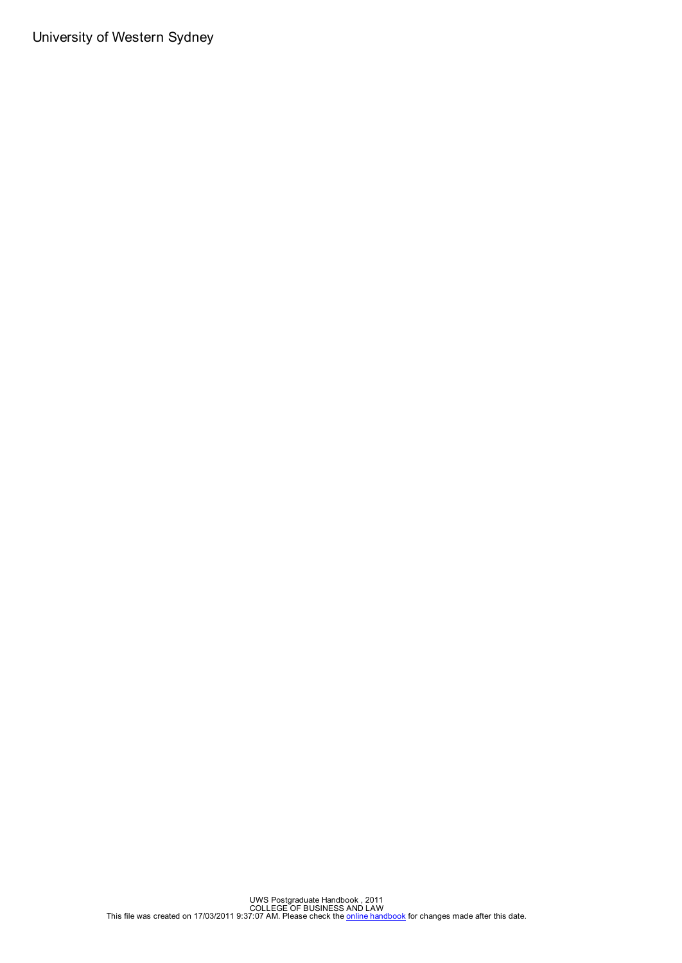University of Western Sydney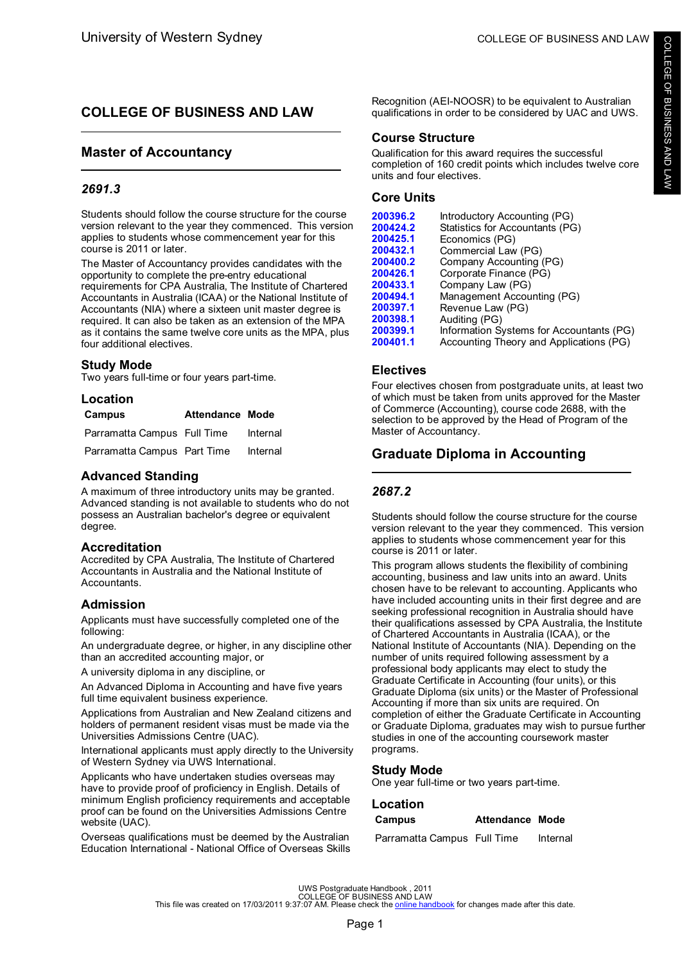## <span id="page-4-0"></span>**COLLEGE OF BUSINESS AND LAW**

## **Master of Accountancy**

## *2691.3*

Students should follow the course structure for the course version relevant to the year they commenced. This version applies to students whose commencement year for this course is 2011 or later.

The Master of Accountancy provides candidates with the opportunity to complete the pre-entry educational requirements for CPA Australia, The Institute of Chartered Accountants in Australia (ICAA) or the National Institute of Accountants (NIA) where a sixteen unit master degree is required. It can also be taken as an extension of the MPA as it contains the same twelve core units as the MPA, plus four additional electives.

### **Study Mode**

Two years full-time or four years part-time.

| Location                    |                        |          |
|-----------------------------|------------------------|----------|
| Campus                      | <b>Attendance Mode</b> |          |
| Parramatta Campus Full Time |                        | Internal |
| Parramatta Campus Part Time |                        | Internal |

### **Advanced Standing**

A maximum of three introductory units may be granted. Advanced standing is not available to students who do not possess an Australian bachelor's degree or equivalent degree.

### **Accreditation**

Accredited by CPA Australia, The Institute of Chartered Accountants in Australia and the National Institute of **Accountants** 

### **Admission**

Applicants must have successfully completed one of the following:

An undergraduate degree, or higher, in any discipline other than an accredited accounting major, or

A university diploma in any discipline, or

An Advanced Diploma in Accounting and have five years full time equivalent business experience.

Applications from Australian and New Zealand citizens and holders of permanent resident visas must be made via the Universities Admissions Centre (UAC).

International applicants must apply directly to the University of Western Sydney via UWS International.

Applicants who have undertaken studies overseas may have to provide proof of proficiency in English. Details of minimum English proficiency requirements and acceptable proof can be found on the Universities Admissions Centre website (UAC).

Overseas qualifications must be deemed by the Australian Education International - National Office of Overseas Skills Recognition (AEI-NOOSR) to be equivalent to Australian qualifications in order to be considered by UAC and UWS.

### **Course Structure**

Qualification for this award requires the successful completion of 160 credit points which includes twelve core units and four electives.

### **Core Units**

| 200396.2 | Introductory Accounting (PG)             |
|----------|------------------------------------------|
| 200424.2 | Statistics for Accountants (PG)          |
| 200425.1 | Economics (PG)                           |
| 200432.1 | Commercial Law (PG)                      |
| 200400.2 | Company Accounting (PG)                  |
| 200426.1 | Corporate Finance (PG)                   |
| 200433.1 | Company Law (PG)                         |
| 200494.1 | Management Accounting (PG)               |
| 200397.1 | Revenue Law (PG)                         |
| 200398.1 | Auditing (PG)                            |
| 200399.1 | Information Systems for Accountants (PG) |
| 200401.1 | Accounting Theory and Applications (PG)  |
|          |                                          |

### **Electives**

Four electives chosen from postgraduate units, at least two of which must be taken from units approved for the Master of Commerce (Accounting), course code 2688, with the selection to be approved by the Head of Program of the Master of Accountancy.

## **Graduate Diploma in Accounting**

## *2687.2*

Students should follow the course structure for the course version relevant to the year they commenced. This version applies to students whose commencement year for this course is 2011 or later.

This program allows students the flexibility of combining accounting, business and law units into an award. Units chosen have to be relevant to accounting. Applicants who have included accounting units in their first degree and are seeking professional recognition in Australia should have their qualifications assessed by CPA Australia, the Institute of Chartered Accountants in Australia (ICAA), or the National Institute of Accountants (NIA). Depending on the number of units required following assessment by a professional body applicants may elect to study the Graduate Certificate in Accounting (four units), or this Graduate Diploma (six units) or the Master of Professional Accounting if more than six units are required. On completion of either the Graduate Certificate in Accounting or Graduate Diploma, graduates may wish to pursue further studies in one of the accounting coursework master programs.

### **Study Mode**

One year full-time or two years part-time.

#### **Location Campus Attendance Mode**

| Campus                      | Attendance mode |          |
|-----------------------------|-----------------|----------|
| Parramatta Campus Full Time |                 | Internal |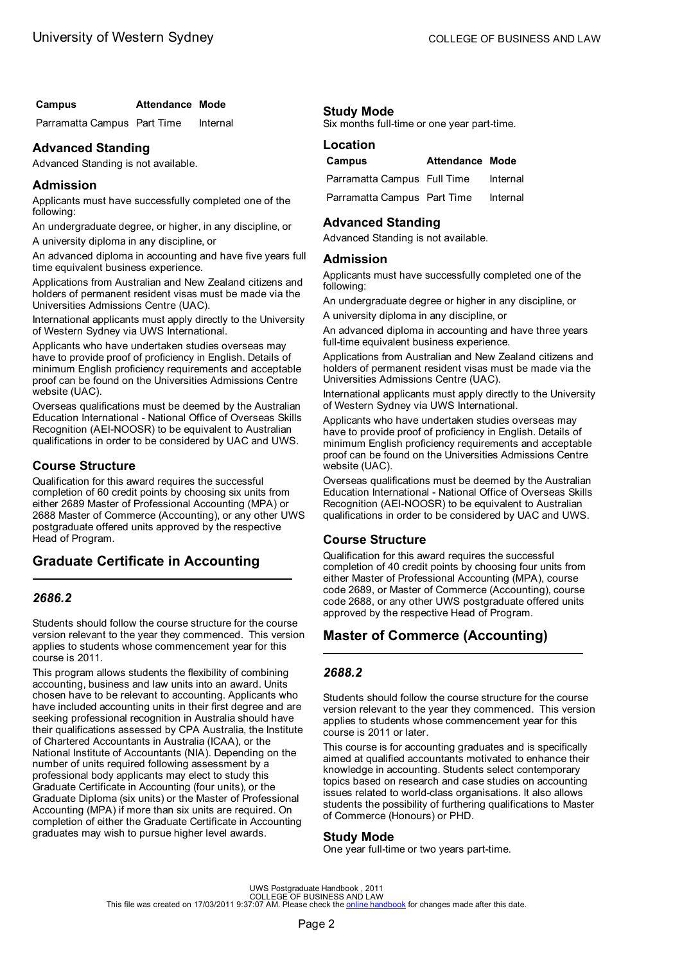#### <span id="page-5-0"></span>**Campus Attendance Mode**

Parramatta Campus Part Time Internal

### **Advanced Standing**

Advanced Standing is not available.

#### **Admission**

Applicants must have successfully completed one of the following:

An undergraduate degree, or higher, in any discipline, or

A university diploma in any discipline, or

An advanced diploma in accounting and have five years full time equivalent business experience.

Applications from Australian and New Zealand citizens and holders of permanent resident visas must be made via the Universities Admissions Centre (UAC).

International applicants must apply directly to the University of Western Sydney via UWS International.

Applicants who have undertaken studies overseas may have to provide proof of proficiency in English. Details of minimum English proficiency requirements and acceptable proof can be found on the Universities Admissions Centre website (UAC).

Overseas qualifications must be deemed by the Australian Education International - National Office of Overseas Skills Recognition (AEI-NOOSR) to be equivalent to Australian qualifications in order to be considered by UAC and UWS.

### **Course Structure**

Qualification for this award requires the successful completion of 60 credit points by choosing six units from either 2689 Master of Professional Accounting (MPA) or 2688 Master of Commerce (Accounting), or any other UWS postgraduate offered units approved by the respective Head of Program.

## **Graduate Certificate in Accounting**

#### *2686.2*

Students should follow the course structure for the course version relevant to the year they commenced. This version applies to students whose commencement year for this course is 2011.

This program allows students the flexibility of combining accounting, business and law units into an award. Units chosen have to be relevant to accounting. Applicants who have included accounting units in their first degree and are seeking professional recognition in Australia should have their qualifications assessed by CPA Australia, the Institute of Chartered Accountants in Australia (ICAA), or the National Institute of Accountants (NIA). Depending on the number of units required following assessment by a professional body applicants may elect to study this Graduate Certificate in Accounting (four units), or the Graduate Diploma (six units) or the Master of Professional Accounting (MPA) if more than six units are required. On completion of either the Graduate Certificate in Accounting graduates may wish to pursue higher level awards.

#### **Study Mode**

Six months full-time or one year part-time.

#### **Location**

| Campus                      | <b>Attendance Mode</b> |          |
|-----------------------------|------------------------|----------|
| Parramatta Campus Full Time |                        | Internal |
| Parramatta Campus Part Time |                        | Internal |

#### **Advanced Standing**

Advanced Standing is not available.

#### **Admission**

Applicants must have successfully completed one of the following:

An undergraduate degree or higher in any discipline, or A university diploma in any discipline, or

An advanced diploma in accounting and have three years full-time equivalent business experience.

Applications from Australian and New Zealand citizens and holders of permanent resident visas must be made via the Universities Admissions Centre (UAC).

International applicants must apply directly to the University of Western Sydney via UWS International.

Applicants who have undertaken studies overseas may have to provide proof of proficiency in English. Details of minimum English proficiency requirements and acceptable proof can be found on the Universities Admissions Centre website (UAC).

Overseas qualifications must be deemed by the Australian Education International - National Office of Overseas Skills Recognition (AEI-NOOSR) to be equivalent to Australian qualifications in order to be considered by UAC and UWS.

#### **Course Structure**

Qualification for this award requires the successful completion of 40 credit points by choosing four units from either Master of Professional Accounting (MPA), course code 2689, or Master of Commerce (Accounting), course code 2688, or any other UWS postgraduate offered units approved by the respective Head of Program.

## **Master of Commerce (Accounting)**

#### *2688.2*

Students should follow the course structure for the course version relevant to the year they commenced. This version applies to students whose commencement year for this course is 2011 or later.

This course is for accounting graduates and is specifically aimed at qualified accountants motivated to enhance their knowledge in accounting. Students select contemporary topics based on research and case studies on accounting issues related to world-class organisations. It also allows students the possibility of furthering qualifications to Master of Commerce (Honours) or PHD.

#### **Study Mode**

One year full-time or two years part-time.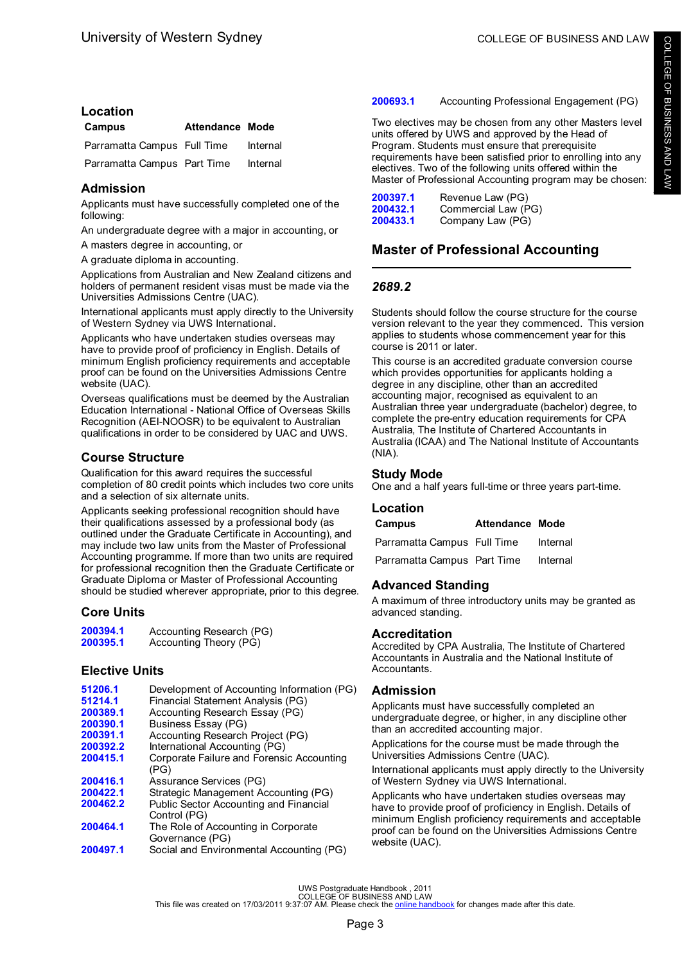### <span id="page-6-0"></span>**Location**

| Campus                      | <b>Attendance Mode</b> |          |
|-----------------------------|------------------------|----------|
| Parramatta Campus Full Time |                        | Internal |
| Parramatta Campus Part Time |                        | Internal |

### **Admission**

Applicants must have successfully completed one of the following:

An undergraduate degree with a major in accounting, or

A masters degree in accounting, or

A graduate diploma in accounting.

Applications from Australian and New Zealand citizens and holders of permanent resident visas must be made via the Universities Admissions Centre (UAC).

International applicants must apply directly to the University of Western Sydney via UWS International.

Applicants who have undertaken studies overseas may have to provide proof of proficiency in English. Details of minimum English proficiency requirements and acceptable proof can be found on the Universities Admissions Centre website (UAC).

Overseas qualifications must be deemed by the Australian Education International - National Office of Overseas Skills Recognition (AEI-NOOSR) to be equivalent to Australian qualifications in order to be considered by UAC and UWS.

### **Course Structure**

Qualification for this award requires the successful completion of 80 credit points which includes two core units and a selection of six alternate units.

Applicants seeking professional recognition should have their qualifications assessed by a professional body (as outlined under the Graduate Certificate in Accounting), and may include two law units from the Master of Professional Accounting programme. If more than two units are required for professional recognition then the Graduate Certificate or Graduate Diploma or Master of Professional Accounting should be studied wherever appropriate, prior to this degree.

#### **Core Units**

| 200394.1 | Accounting Research (PG) |
|----------|--------------------------|
| 200395.1 | Accounting Theory (PG)   |

### **Elective Units**

**[51206.1](#page-41-0)** Development of Accounting Information (PG)<br>**51214.1** Financial Statement Analysis (PG) **[51214.1](#page-44-0)** Financial Statement Analysis (PG)<br>**200389.1** Accounting Research Essay (PG) **[200389.1](#page-34-0)** Accounting Research Essay (PG) **[200390.1](#page-36-0)** Business Essay (PG) [200391.1](#page-34-0) Accounting Research Project (PG)<br>200392.2 International Accounting (PG) **[200392.2](#page-46-0)** International Accounting (PG) **[200415.1](#page-39-0)** Corporate Failure and Forensic Accounting (PG) **[200416.1](#page-36-0)** Assurance Services (PG) **[200422.1](#page-61-0)** Strategic Management Accounting (PG) Public Sector Accounting and Financial Control (PG) **[200464.1](#page-62-0)** The Role of Accounting in Corporate Governance (PG) **[200497.1](#page-59-0)** Social and Environmental Accounting (PG)

**[200693.1](#page-34-0)** Accounting Professional Engagement (PG)

Two electives may be chosen from any other Masters level units offered by UWS and approved by the Head of Program. Students must ensure that prerequisite requirements have been satisfied prior to enrolling into any electives. Two of the following units offered within the Master of Professional Accounting program may be chosen:

| 200397.1 | Revenue Law (PG)    |
|----------|---------------------|
| 200432.1 | Commercial Law (PG) |
| 200433.1 | Company Law (PG)    |

## **Master of Professional Accounting**

### *2689.2*

Students should follow the course structure for the course version relevant to the year they commenced. This version applies to students whose commencement year for this course is 2011 or later.

This course is an accredited graduate conversion course which provides opportunities for applicants holding a degree in any discipline, other than an accredited accounting major, recognised as equivalent to an Australian three year undergraduate (bachelor) degree, to complete the pre-entry education requirements for CPA Australia, The Institute of Chartered Accountants in Australia (ICAA) and The National Institute of Accountants (NIA).

### **Study Mode**

One and a half years full-time or three years part-time.

#### **Location**

| Campus                      | <b>Attendance Mode</b> |          |
|-----------------------------|------------------------|----------|
| Parramatta Campus Full Time |                        | Internal |
| Parramatta Campus Part Time |                        | Internal |

#### **Advanced Standing**

A maximum of three introductory units may be granted as advanced standing.

#### **Accreditation**

Accredited by CPA Australia, The Institute of Chartered Accountants in Australia and the National Institute of Accountants.

#### **Admission**

Applicants must have successfully completed an undergraduate degree, or higher, in any discipline other than an accredited accounting major.

Applications for the course must be made through the Universities Admissions Centre (UAC).

International applicants must apply directly to the University of Western Sydney via UWS International.

Applicants who have undertaken studies overseas may have to provide proof of proficiency in English. Details of minimum English proficiency requirements and acceptable proof can be found on the Universities Admissions Centre website (UAC).

UWS Postgraduate Handbook , 2011 COLLEGE OF BUSINESS AND LAW This file was created on 17/03/2011 9:37:07 AM. Please check the online [handbook](http://handbook.uws.edu.au/hbook/) for changes made after this date.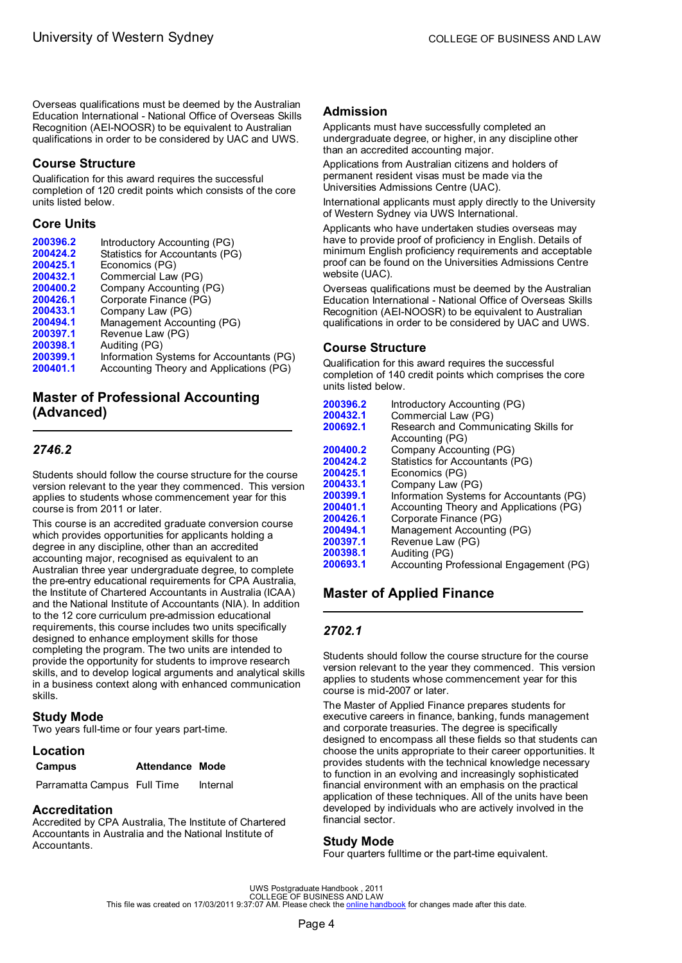<span id="page-7-0"></span>Overseas qualifications must be deemed by the Australian Education International - National Office of Overseas Skills Recognition (AEI-NOOSR) to be equivalent to Australian qualifications in order to be considered by UAC and UWS.

#### **Course Structure**

Qualification for this award requires the successful completion of 120 credit points which consists of the core units listed below.

### **Core Units**

| 200396.2 | Introductory Accounting (PG)             |
|----------|------------------------------------------|
| 200424.2 | Statistics for Accountants (PG)          |
| 200425.1 | Economics (PG)                           |
| 200432.1 | Commercial Law (PG)                      |
| 200400.2 | Company Accounting (PG)                  |
| 200426.1 | Corporate Finance (PG)                   |
| 200433.1 | Company Law (PG)                         |
| 200494.1 | Management Accounting (PG)               |
| 200397.1 | Revenue Law (PG)                         |
| 200398.1 | Auditing (PG)                            |
| 200399.1 | Information Systems for Accountants (PG) |
| 200401.1 | Accounting Theory and Applications (PG)  |
|          |                                          |

### **Master of Professional Accounting (Advanced)**

## *2746.2*

Students should follow the course structure for the course version relevant to the year they commenced. This version applies to students whose commencement year for this course is from 2011 or later.

This course is an accredited graduate conversion course which provides opportunities for applicants holding a degree in any discipline, other than an accredited accounting major, recognised as equivalent to an Australian three year undergraduate degree, to complete the pre-entry educational requirements for CPA Australia, the Institute of Chartered Accountants in Australia (ICAA) and the National Institute of Accountants (NIA). In addition to the 12 core curriculum pre-admission educational requirements, this course includes two units specifically designed to enhance employment skills for those completing the program. The two units are intended to provide the opportunity for students to improve research skills, and to develop logical arguments and analytical skills in a business context along with enhanced communication skills.

### **Study Mode**

Two years full-time or four years part-time.

| Location |  |
|----------|--|
|----------|--|

| <b>Attendance Mode</b><br>Campus |  |
|----------------------------------|--|
|----------------------------------|--|

Parramatta Campus Full Time Internal

#### **Accreditation**

Accredited by CPA Australia, The Institute of Chartered Accountants in Australia and the National Institute of Accountants.

#### **Admission**

Applicants must have successfully completed an undergraduate degree, or higher, in any discipline other than an accredited accounting major.

Applications from Australian citizens and holders of permanent resident visas must be made via the Universities Admissions Centre (UAC).

International applicants must apply directly to the University of Western Sydney via UWS International.

Applicants who have undertaken studies overseas may have to provide proof of proficiency in English. Details of minimum English proficiency requirements and acceptable proof can be found on the Universities Admissions Centre website (UAC).

Overseas qualifications must be deemed by the Australian Education International - National Office of Overseas Skills Recognition (AEI-NOOSR) to be equivalent to Australian qualifications in order to be considered by UAC and UWS.

### **Course Structure**

Qualification for this award requires the successful completion of 140 credit points which comprises the core units listed below.

| 200396.2 | Introductory Accounting (PG)             |
|----------|------------------------------------------|
| 200432.1 | Commercial Law (PG)                      |
| 200692.1 | Research and Communicating Skills for    |
|          | Accounting (PG)                          |
| 200400.2 | Company Accounting (PG)                  |
| 200424.2 | Statistics for Accountants (PG)          |
| 200425.1 | Economics (PG)                           |
| 200433.1 | Company Law (PG)                         |
| 200399.1 | Information Systems for Accountants (PG) |
| 200401.1 | Accounting Theory and Applications (PG)  |
| 200426.1 | Corporate Finance (PG)                   |
| 200494.1 | Management Accounting (PG)               |
| 200397.1 | Revenue Law (PG)                         |
| 200398.1 | Auditing (PG)                            |
| 200693.1 | Accounting Professional Engagement (PG)  |
|          |                                          |

## **Master of Applied Finance**

### *2702.1*

Students should follow the course structure for the course version relevant to the year they commenced. This version applies to students whose commencement year for this course is mid-2007 or later.

The Master of Applied Finance prepares students for executive careers in finance, banking, funds management and corporate treasuries. The degree is specifically designed to encompass all these fields so that students can choose the units appropriate to their career opportunities. It provides students with the technical knowledge necessary to function in an evolving and increasingly sophisticated financial environment with an emphasis on the practical application of these techniques. All of the units have been developed by individuals who are actively involved in the financial sector.

#### **Study Mode**

Four quarters fulltime or the part-time equivalent.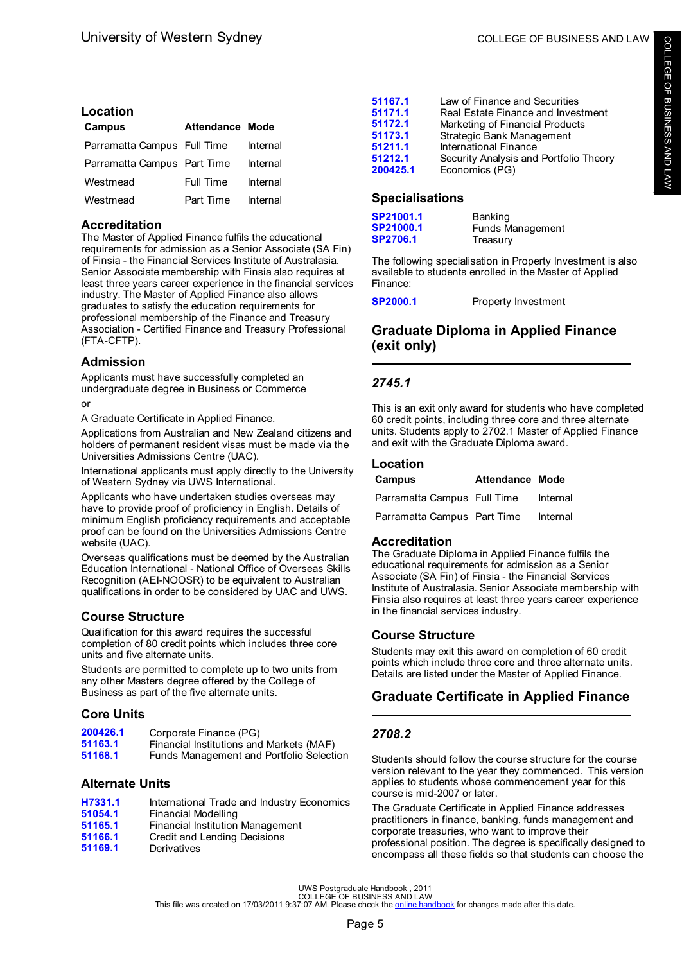<span id="page-8-0"></span>

| Location                    |                 |          |  |
|-----------------------------|-----------------|----------|--|
| <b>Campus</b>               | Attendance Mode |          |  |
| Parramatta Campus Full Time |                 | Internal |  |
| Parramatta Campus Part Time |                 | Internal |  |
| Westmead                    | Full Time       | Internal |  |
| Westmead                    | Part Time       | Internal |  |

### **Accreditation**

The Master of Applied Finance fulfils the educational requirements for admission as a Senior Associate (SA Fin) of Finsia - the Financial Services Institute of Australasia. Senior Associate membership with Finsia also requires at least three years career experience in the financial services industry. The Master of Applied Finance also allows graduates to satisfy the education requirements for professional membership of the Finance and Treasury Association - Certified Finance and Treasury Professional (FTA-CFTP).

#### **Admission**

Applicants must have successfully completed an undergraduate degree in Business or Commerce or

A Graduate Certificate in Applied Finance.

Applications from Australian and New Zealand citizens and holders of permanent resident visas must be made via the Universities Admissions Centre (UAC).

International applicants must apply directly to the University of Western Sydney via UWS International.

Applicants who have undertaken studies overseas may have to provide proof of proficiency in English. Details of minimum English proficiency requirements and acceptable proof can be found on the Universities Admissions Centre website (UAC).

Overseas qualifications must be deemed by the Australian Education International - National Office of Overseas Skills Recognition (AEI-NOOSR) to be equivalent to Australian qualifications in order to be considered by UAC and UWS.

### **Course Structure**

Qualification for this award requires the successful completion of 80 credit points which includes three core units and five alternate units.

Students are permitted to complete up to two units from any other Masters degree offered by the College of Business as part of the five alternate units.

#### **Core Units**

| 200426.1 | Corporate Finance (PG)                   |
|----------|------------------------------------------|
| 51163.1  | Financial Institutions and Markets (MAF) |
| 51168.1  | Funds Management and Portfolio Selection |

#### **Alternate Units**

| H7331.1<br>51054.1 | International Trade and Industry Economics |
|--------------------|--------------------------------------------|
|                    | Financial Modelling                        |
| 51165.1            | Financial Institution Management           |
| 51166.1            | Credit and Lending Decisions               |
| 51169.1            | Derivatives                                |

| 51167.1  | Law of Finance and Securities          |
|----------|----------------------------------------|
| 51171.1  | Real Estate Finance and Investment     |
| 51172.1  | Marketing of Financial Products        |
| 51173.1  | Strategic Bank Management              |
| 51211.1  | International Finance                  |
| 51212.1  | Security Analysis and Portfolio Theory |
| 200425.1 | Economics (PG)                         |

#### **Specialisations**

| SP21001.1 | Banking                 |
|-----------|-------------------------|
| SP21000.1 | <b>Funds Management</b> |
| SP2706.1  | Treasury                |

The following specialisation in Property Investment is also available to students enrolled in the Master of Applied Finance:

**[SP2000.1](#page-32-0)** Property Investment

## **Graduate Diploma in Applied Finance (exit only)**

### *2745.1*

This is an exit only award for students who have completed 60 credit points, including three core and three alternate units. Students apply to 2702.1 Master of Applied Finance and exit with the Graduate Diploma award.

#### **Location**

| Campus                      | Attendance Mode |          |
|-----------------------------|-----------------|----------|
| Parramatta Campus Full Time |                 | Internal |
| Parramatta Campus Part Time |                 | Internal |

#### **Accreditation**

The Graduate Diploma in Applied Finance fulfils the educational requirements for admission as a Senior Associate (SA Fin) of Finsia - the Financial Services Institute of Australasia. Senior Associate membership with Finsia also requires at least three years career experience in the financial services industry.

#### **Course Structure**

Students may exit this award on completion of 60 credit points which include three core and three alternate units. Details are listed under the Master of Applied Finance.

## **Graduate Certificate in Applied Finance**

### *2708.2*

Students should follow the course structure for the course version relevant to the year they commenced. This version applies to students whose commencement year for this course is mid-2007 or later.

The Graduate Certificate in Applied Finance addresses practitioners in finance, banking, funds management and corporate treasuries, who want to improve their professional position. The degree is specifically designed to encompass all these fields so that students can choose the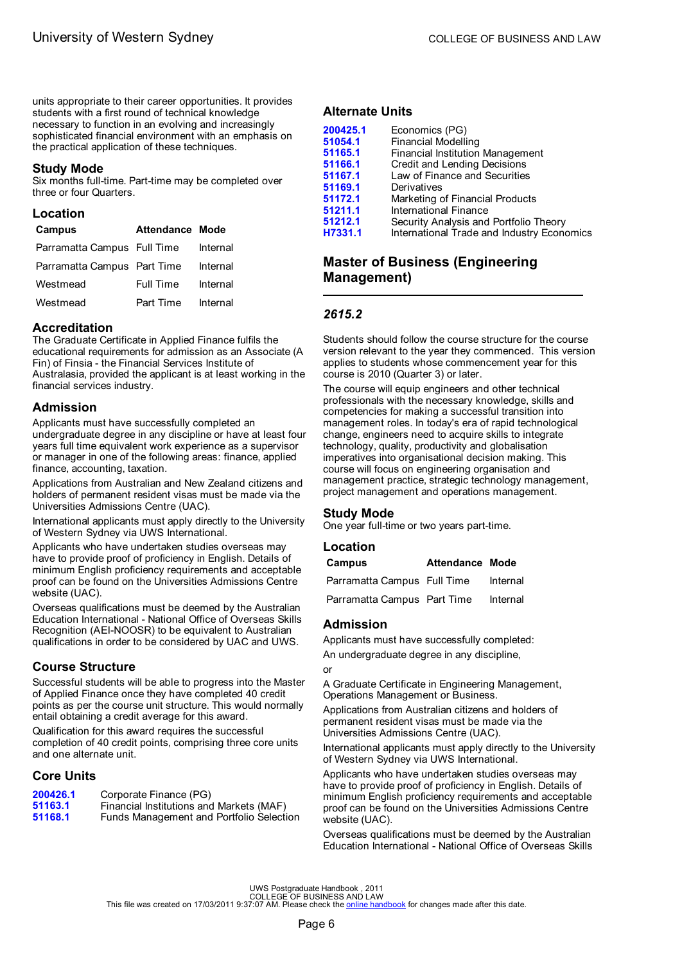<span id="page-9-0"></span>units appropriate to their career opportunities. It provides students with a first round of technical knowledge necessary to function in an evolving and increasingly sophisticated financial environment with an emphasis on the practical application of these techniques.

#### **Study Mode**

Six months full-time. Part-time may be completed over three or four Quarters.

#### **Location**

| Campus                      | <b>Attendance Mode</b> |          |
|-----------------------------|------------------------|----------|
| Parramatta Campus Full Time |                        | Internal |
| Parramatta Campus Part Time |                        | Internal |
| Westmead                    | Full Time              | Internal |
| Westmead                    | Part Time              | Internal |

### **Accreditation**

The Graduate Certificate in Applied Finance fulfils the educational requirements for admission as an Associate (A Fin) of Finsia - the Financial Services Institute of Australasia, provided the applicant is at least working in the financial services industry.

#### **Admission**

Applicants must have successfully completed an undergraduate degree in any discipline or have at least four years full time equivalent work experience as a supervisor or manager in one of the following areas: finance, applied finance, accounting, taxation.

Applications from Australian and New Zealand citizens and holders of permanent resident visas must be made via the Universities Admissions Centre (UAC).

International applicants must apply directly to the University of Western Sydney via UWS International.

Applicants who have undertaken studies overseas may have to provide proof of proficiency in English. Details of minimum English proficiency requirements and acceptable proof can be found on the Universities Admissions Centre website (UAC).

Overseas qualifications must be deemed by the Australian Education International - National Office of Overseas Skills Recognition (AEI-NOOSR) to be equivalent to Australian qualifications in order to be considered by UAC and UWS.

#### **Course Structure**

Successful students will be able to progress into the Master of Applied Finance once they have completed 40 credit points as per the course unit structure. This would normally entail obtaining a credit average for this award.

Qualification for this award requires the successful completion of 40 credit points, comprising three core units and one alternate unit.

#### **Core Units**

| 200426.1 | Corporate Finance (PG)                   |
|----------|------------------------------------------|
| 51163.1  | Financial Institutions and Markets (MAF) |
| 51168.1  | Funds Management and Portfolio Selection |

#### **Alternate Units**

| 200425.1 | Economics (PG)                             |
|----------|--------------------------------------------|
| 51054.1  | <b>Financial Modelling</b>                 |
| 51165.1  | Financial Institution Management           |
| 51166.1  | Credit and Lending Decisions               |
| 51167.1  | Law of Finance and Securities              |
| 51169.1  | Derivatives                                |
| 51172.1  | Marketing of Financial Products            |
| 51211.1  | International Finance                      |
| 51212.1  | Security Analysis and Portfolio Theory     |
| H7331.1  | International Trade and Industry Economics |
|          |                                            |

### **Master of Business (Engineering Management)**

#### *2615.2*

Students should follow the course structure for the course version relevant to the year they commenced. This version applies to students whose commencement year for this course is 2010 (Quarter 3) or later.

The course will equip engineers and other technical professionals with the necessary knowledge, skills and competencies for making a successful transition into management roles. In today's era of rapid technological change, engineers need to acquire skills to integrate technology, quality, productivity and globalisation imperatives into organisational decision making. This course will focus on engineering organisation and management practice, strategic technology management, project management and operations management.

#### **Study Mode**

One year full-time or two years part-time.

#### **Location**

| Campus                      | Attendance Mode |          |
|-----------------------------|-----------------|----------|
| Parramatta Campus Full Time |                 | Internal |
| Parramatta Campus Part Time |                 | Internal |

**Admission**

Applicants must have successfully completed:

An undergraduate degree in any discipline,

#### or

A Graduate Certificate in Engineering Management, Operations Management or Business.

Applications from Australian citizens and holders of permanent resident visas must be made via the Universities Admissions Centre (UAC).

International applicants must apply directly to the University of Western Sydney via UWS International.

Applicants who have undertaken studies overseas may have to provide proof of proficiency in English. Details of minimum English proficiency requirements and acceptable proof can be found on the Universities Admissions Centre website (UAC).

Overseas qualifications must be deemed by the Australian Education International - National Office of Overseas Skills

UWS Postgraduate Handbook , 2011 COLLEGE OF BUSINESS AND LAW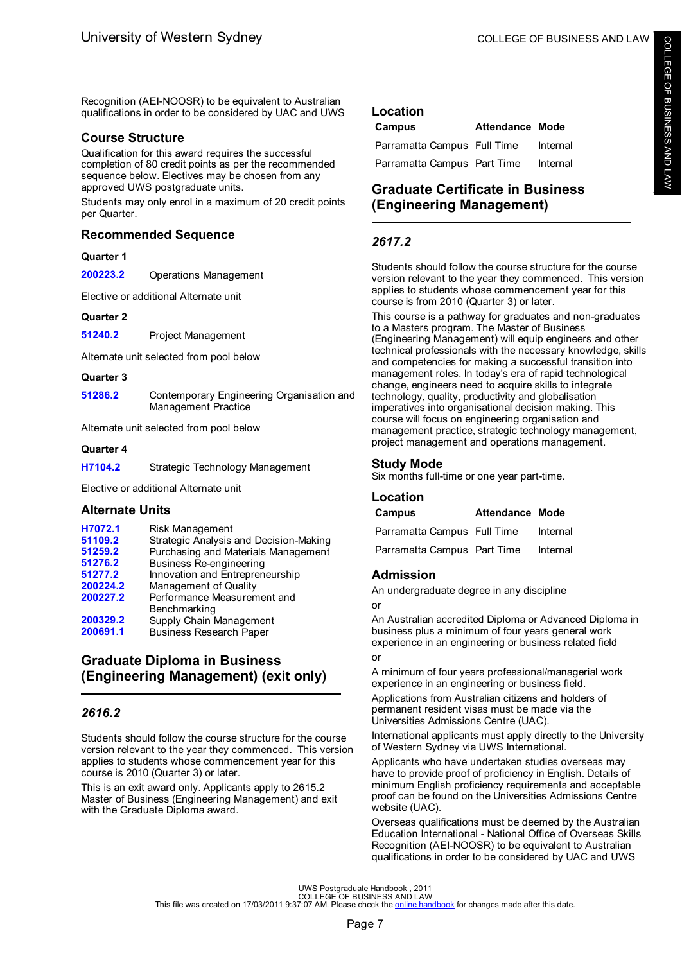<span id="page-10-0"></span>Recognition (AEI-NOOSR) to be equivalent to Australian qualifications in order to be considered by UAC and UWS

#### **Course Structure**

Qualification for this award requires the successful completion of 80 credit points as per the recommended sequence below. Electives may be chosen from any approved UWS postgraduate units.

Students may only enrol in a maximum of 20 credit points per Quarter.

### **Recommended Sequence**

#### **Quarter 1**

**[200223.2](#page-54-0)** Operations Management

Elective or additional Alternate unit

#### **Quarter 2**

**[51240.2](#page-56-0)** Project Management

Alternate unit selected from pool below

#### **Quarter 3**

**[51286.2](#page-39-0)** Contemporary Engineering Organisation and Management Practice

Alternate unit selected from pool below

#### **Quarter 4**

**[H7104.2](#page-61-0)** Strategic Technology Management

Elective or additional Alternate unit

#### **Alternate Units**

| H7072.1  | <b>Risk Management</b>                 |
|----------|----------------------------------------|
| 51109.2  | Strategic Analysis and Decision-Making |
| 51259.2  | Purchasing and Materials Management    |
| 51276.2  | Business Re-engineering                |
| 51277.2  | Innovation and Entrepreneurship        |
| 200224.2 | Management of Quality                  |
| 200227.2 | Performance Measurement and            |
|          | Benchmarking                           |
| 200329.2 | Supply Chain Management                |
| 200691.1 | <b>Business Research Paper</b>         |
|          |                                        |

### **Graduate Diploma in Business (Engineering Management) (exit only)**

#### *2616.2*

Students should follow the course structure for the course version relevant to the year they commenced. This version applies to students whose commencement year for this course is 2010 (Quarter 3) or later.

This is an exit award only. Applicants apply to 2615.2 Master of Business (Engineering Management) and exit with the Graduate Diploma award.

| Location                    |                        |          |
|-----------------------------|------------------------|----------|
| Campus                      | <b>Attendance Mode</b> |          |
| Parramatta Campus Full Time |                        | Internal |
| Parramatta Campus Part Time |                        | Internal |

## **Graduate Certificate in Business (Engineering Management)**

## *2617.2*

Students should follow the course structure for the course version relevant to the year they commenced. This version applies to students whose commencement year for this course is from 2010 (Quarter 3) or later.

This course is a pathway for graduates and non-graduates to a Masters program. The Master of Business (Engineering Management) will equip engineers and other technical professionals with the necessary knowledge, skills and competencies for making a successful transition into management roles. In today's era of rapid technological change, engineers need to acquire skills to integrate technology, quality, productivity and globalisation imperatives into organisational decision making. This course will focus on engineering organisation and management practice, strategic technology management, project management and operations management.

#### **Study Mode**

Six months full-time or one year part-time.

#### **Location**

| <b>Campus</b>               | <b>Attendance Mode</b> |          |
|-----------------------------|------------------------|----------|
| Parramatta Campus Full Time |                        | Internal |
| Parramatta Campus Part Time |                        | Internal |

#### **Admission**

An undergraduate degree in any discipline or

An Australian accredited Diploma or Advanced Diploma in business plus a minimum of four years general work experience in an engineering or business related field or

A minimum of four years professional/managerial work experience in an engineering or business field.

Applications from Australian citizens and holders of permanent resident visas must be made via the Universities Admissions Centre (UAC).

International applicants must apply directly to the University of Western Sydney via UWS International.

Applicants who have undertaken studies overseas may have to provide proof of proficiency in English. Details of minimum English proficiency requirements and acceptable proof can be found on the Universities Admissions Centre website (UAC).

Overseas qualifications must be deemed by the Australian Education International - National Office of Overseas Skills Recognition (AEI-NOOSR) to be equivalent to Australian qualifications in order to be considered by UAC and UWS

UWS Postgraduate Handbook , 2011 COLLEGE OF BUSINESS AND LAW This file was created on 17/03/2011 9:37:07 AM. Please check the online [handbook](http://handbook.uws.edu.au/hbook/) for changes made after this date.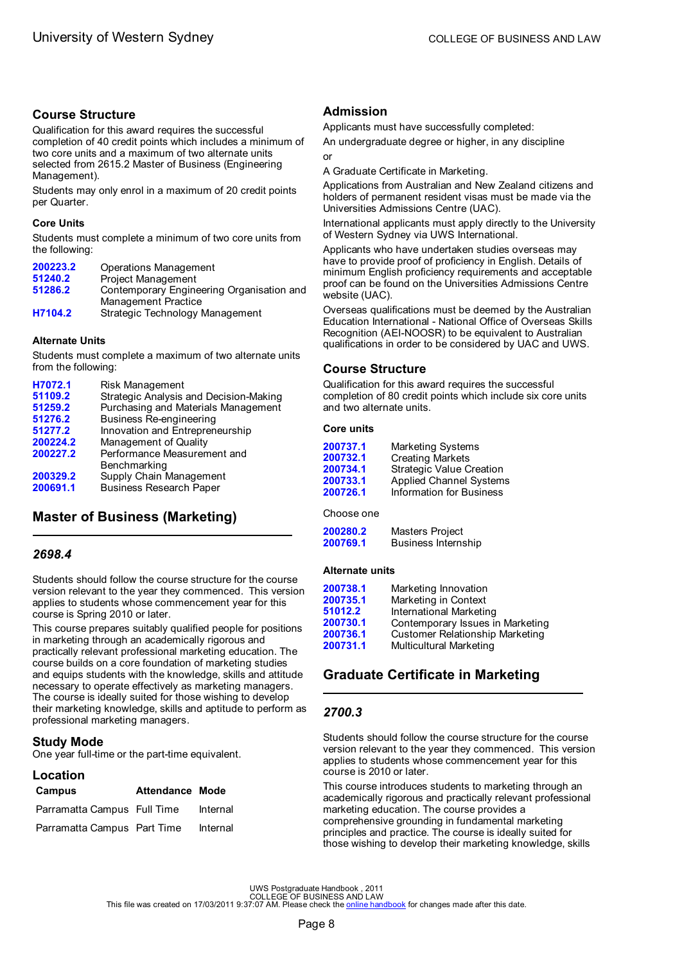#### <span id="page-11-0"></span>**Course Structure**

Qualification for this award requires the successful completion of 40 credit points which includes a minimum of two core units and a maximum of two alternate units selected from 2615.2 Master of Business (Engineering Management).

Students may only enrol in a maximum of 20 credit points per Quarter.

#### **Core Units**

Students must complete a minimum of two core units from the following:

| 200223.2 | Operations Management                     |
|----------|-------------------------------------------|
| 51240.2  | <b>Project Management</b>                 |
| 51286.2  | Contemporary Engineering Organisation and |
|          | Management Practice                       |
| H7104.2  | Strategic Technology Management           |

#### **Alternate Units**

Students must complete a maximum of two alternate units from the following:

| H7072.1  | <b>Risk Management</b>                 |
|----------|----------------------------------------|
| 51109.2  | Strategic Analysis and Decision-Making |
| 51259.2  | Purchasing and Materials Management    |
| 51276.2  | Business Re-engineering                |
| 51277.2  | Innovation and Entrepreneurship        |
| 200224.2 | Management of Quality                  |
| 200227.2 | Performance Measurement and            |
|          | Benchmarking                           |
| 200329.2 | Supply Chain Management                |
| 200691.1 | <b>Business Research Paper</b>         |
|          |                                        |

## **Master of Business (Marketing)**

### *2698.4*

Students should follow the course structure for the course version relevant to the year they commenced. This version applies to students whose commencement year for this course is Spring 2010 or later.

This course prepares suitably qualified people for positions in marketing through an academically rigorous and practically relevant professional marketing education. The course builds on a core foundation of marketing studies and equips students with the knowledge, skills and attitude necessary to operate effectively as marketing managers. The course is ideally suited for those wishing to develop their marketing knowledge, skills and aptitude to perform as professional marketing managers.

#### **Study Mode**

One year full-time or the part-time equivalent.

#### **Location**

| Campus                      | <b>Attendance Mode</b> |          |
|-----------------------------|------------------------|----------|
| Parramatta Campus Full Time |                        | Internal |
| Parramatta Campus Part Time |                        | Internal |

#### **Admission**

Applicants must have successfully completed:

An undergraduate degree or higher, in any discipline or

A Graduate Certificate in Marketing.

Applications from Australian and New Zealand citizens and holders of permanent resident visas must be made via the Universities Admissions Centre (UAC).

International applicants must apply directly to the University of Western Sydney via UWS International.

Applicants who have undertaken studies overseas may have to provide proof of proficiency in English. Details of minimum English proficiency requirements and acceptable proof can be found on the Universities Admissions Centre website (UAC).

Overseas qualifications must be deemed by the Australian Education International - National Office of Overseas Skills Recognition (AEI-NOOSR) to be equivalent to Australian qualifications in order to be considered by UAC and UWS.

### **Course Structure**

Qualification for this award requires the successful completion of 80 credit points which include six core units and two alternate units.

#### **Core units**

| 200737.1 | <b>Marketing Systems</b>        |
|----------|---------------------------------|
| 200732.1 | <b>Creating Markets</b>         |
| 200734.1 | <b>Strategic Value Creation</b> |
| 200733.1 | <b>Applied Channel Systems</b>  |
| 200726.1 | Information for Business        |
|          |                                 |

Choose one

| 200280.2 | Masters Project            |
|----------|----------------------------|
| 200769.1 | <b>Business Internship</b> |

#### **Alternate units**

| 200738.1 | Marketing Innovation                   |
|----------|----------------------------------------|
| 200735.1 | Marketing in Context                   |
| 51012.2  | International Marketing                |
| 200730.1 | Contemporary Issues in Marketing       |
| 200736.1 | <b>Customer Relationship Marketing</b> |
| 200731.1 | <b>Multicultural Marketing</b>         |
|          |                                        |

## **Graduate Certificate in Marketing**

#### *2700.3*

Students should follow the course structure for the course version relevant to the year they commenced. This version applies to students whose commencement year for this course is 2010 or later.

This course introduces students to marketing through an academically rigorous and practically relevant professional marketing education. The course provides a comprehensive grounding in fundamental marketing principles and practice. The course is ideally suited for those wishing to develop their marketing knowledge, skills

UWS Postgraduate Handbook , 2011 COLLEGE OF BUSINESS AND LAW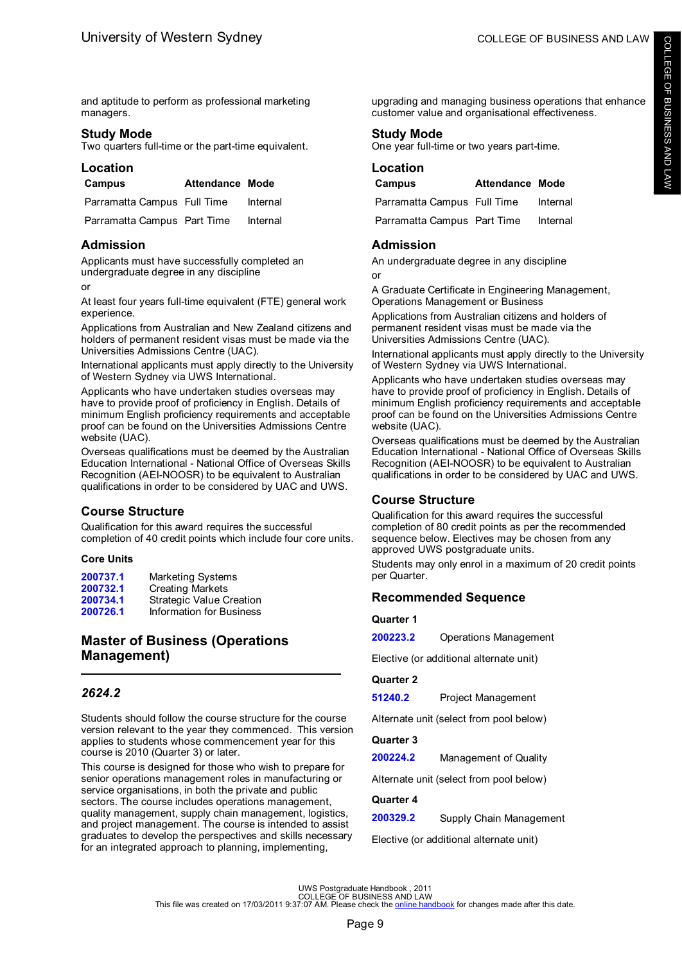<span id="page-12-0"></span>and aptitude to perform as professional marketing managers.

#### **Study Mode**

Two quarters full-time or the part-time equivalent.

#### **Location**

| Campus                      | Attendance Mode |          |
|-----------------------------|-----------------|----------|
| Parramatta Campus Full Time |                 | Internal |
| Parramatta Campus Part Time |                 | Internal |

#### **Admission**

Applicants must have successfully completed an undergraduate degree in any discipline

#### o

At least four years full-time equivalent (FTE) general work experience.

Applications from Australian and New Zealand citizens and holders of permanent resident visas must be made via the Universities Admissions Centre (UAC).

International applicants must apply directly to the University of Western Sydney via UWS International.

Applicants who have undertaken studies overseas may have to provide proof of proficiency in English. Details of minimum English proficiency requirements and acceptable proof can be found on the Universities Admissions Centre website (UAC).

Overseas qualifications must be deemed by the Australian Education International - National Office of Overseas Skills Recognition (AEI-NOOSR) to be equivalent to Australian qualifications in order to be considered by UAC and UWS.

#### **Course Structure**

Qualification for this award requires the successful completion of 40 credit points which include four core units.

#### **Core Units**

| <b>Marketing Systems</b>        |
|---------------------------------|
| <b>Creating Markets</b>         |
| <b>Strategic Value Creation</b> |
| Information for Business        |
|                                 |

## **Master of Business (Operations Management)**

### *2624.2*

Students should follow the course structure for the course version relevant to the year they commenced. This version applies to students whose commencement year for this course is 2010 (Quarter 3) or later.

This course is designed for those who wish to prepare for senior operations management roles in manufacturing or service organisations, in both the private and public sectors. The course includes operations management, quality management, supply chain management, logistics, and project management. The course is intended to assist graduates to develop the perspectives and skills necessary for an integrated approach to planning, implementing,

upgrading and managing business operations that enhance customer value and organisational effectiveness.

#### **Study Mode**

One year full-time or two years part-time.

#### **Location**

| Campus                      | <b>Attendance Mode</b> |          |
|-----------------------------|------------------------|----------|
| Parramatta Campus Full Time |                        | Internal |
| Parramatta Campus Part Time |                        | Internal |

#### **Admission**

An undergraduate degree in any discipline

or

A Graduate Certificate in Engineering Management, Operations Management or Business

Applications from Australian citizens and holders of permanent resident visas must be made via the Universities Admissions Centre (UAC).

International applicants must apply directly to the University of Western Sydney via UWS International.

Applicants who have undertaken studies overseas may have to provide proof of proficiency in English. Details of minimum English proficiency requirements and acceptable proof can be found on the Universities Admissions Centre website (UAC).

Overseas qualifications must be deemed by the Australian Education International - National Office of Overseas Skills Recognition (AEI-NOOSR) to be equivalent to Australian qualifications in order to be considered by UAC and UWS.

#### **Course Structure**

Qualification for this award requires the successful completion of 80 credit points as per the recommended sequence below. Electives may be chosen from any approved UWS postgraduate units.

Students may only enrol in a maximum of 20 credit points per Quarter.

### **Recommended Sequence**

**Quarter 1**

**[200223.2](#page-54-0)** Operations Management

Elective (or additional alternate unit)

#### **Quarter 2**

**[51240.2](#page-56-0)** Project Management

Alternate unit (select from pool below)

**Quarter 3**

**[200224.2](#page-50-0)** Management of Quality

Alternate unit (select from pool below)

#### **Quarter 4**

**[200329.2](#page-61-0)** Supply Chain Management

Elective (or additional alternate unit)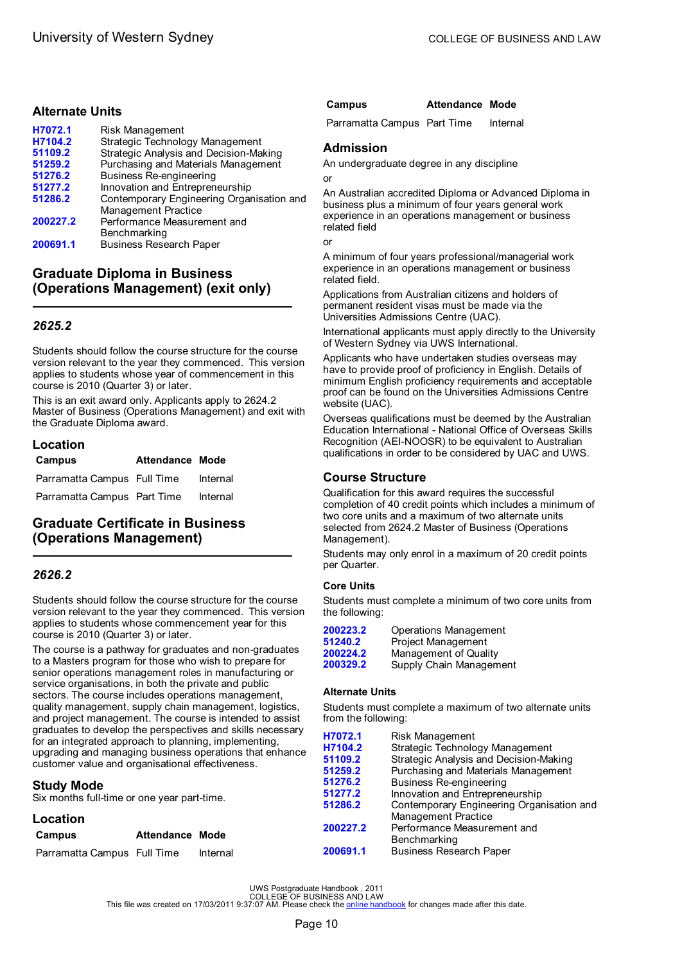### <span id="page-13-0"></span>**Alternate Units**

| H7072.1  | <b>Risk Management</b>                    |
|----------|-------------------------------------------|
|          |                                           |
| H7104.2  | Strategic Technology Management           |
| 51109.2  | Strategic Analysis and Decision-Making    |
| 51259.2  | Purchasing and Materials Management       |
| 51276.2  | <b>Business Re-engineering</b>            |
| 51277.2  | Innovation and Entrepreneurship           |
| 51286.2  | Contemporary Engineering Organisation and |
|          | <b>Management Practice</b>                |
| 200227.2 | Performance Measurement and               |
|          | Benchmarking                              |
| 200691.1 | <b>Business Research Paper</b>            |
|          |                                           |

### **Graduate Diploma in Business (Operations Management) (exit only)**

### *2625.2*

Students should follow the course structure for the course version relevant to the year they commenced. This version applies to students whose year of commencement in this course is 2010 (Quarter 3) or later.

This is an exit award only. Applicants apply to 2624.2 Master of Business (Operations Management) and exit with the Graduate Diploma award.

| Location                    |                 |          |  |
|-----------------------------|-----------------|----------|--|
| Campus                      | Attendance Mode |          |  |
| Parramatta Campus Full Time |                 | Internal |  |
| Parramatta Campus Part Time |                 | Internal |  |

### **Graduate Certificate in Business (Operations Management)**

### *2626.2*

Students should follow the course structure for the course version relevant to the year they commenced. This version applies to students whose commencement year for this course is 2010 (Quarter 3) or later.

The course is a pathway for graduates and non-graduates to a Masters program for those who wish to prepare for senior operations management roles in manufacturing or service organisations, in both the private and public sectors. The course includes operations management, quality management, supply chain management, logistics, and project management. The course is intended to assist graduates to develop the perspectives and skills necessary for an integrated approach to planning, implementing, upgrading and managing business operations that enhance customer value and organisational effectiveness.

#### **Study Mode**

Six months full-time or one year part-time.

| Location                    |                        |          |          |
|-----------------------------|------------------------|----------|----------|
| Campus                      | <b>Attendance Mode</b> |          | 200227.2 |
| Parramatta Campus Full Time |                        | Internal | 200691.1 |

#### **Campus Attendance Mode**

Parramatta Campus Part Time Internal

#### **Admission**

An undergraduate degree in any discipline or

An Australian accredited Diploma or Advanced Diploma in business plus a minimum of four years general work experience in an operations management or business related field

or

A minimum of four years professional/managerial work experience in an operations management or business related field.

Applications from Australian citizens and holders of permanent resident visas must be made via the Universities Admissions Centre (UAC).

International applicants must apply directly to the University of Western Sydney via UWS International.

Applicants who have undertaken studies overseas may have to provide proof of proficiency in English. Details of minimum English proficiency requirements and acceptable proof can be found on the Universities Admissions Centre website (UAC).

Overseas qualifications must be deemed by the Australian Education International - National Office of Overseas Skills Recognition (AEI-NOOSR) to be equivalent to Australian qualifications in order to be considered by UAC and UWS.

### **Course Structure**

Qualification for this award requires the successful completion of 40 credit points which includes a minimum of two core units and a maximum of two alternate units selected from 2624.2 Master of Business (Operations Management).

Students may only enrol in a maximum of 20 credit points per Quarter.

#### **Core Units**

Students must complete a minimum of two core units from the following:

| 200223.2 | Operations Management   |
|----------|-------------------------|
| 51240.2  | Project Management      |
| 200224.2 | Management of Quality   |
| 200329.2 | Supply Chain Management |

#### **Alternate Units**

Students must complete a maximum of two alternate units from the following:

| H7072.1  | Risk Management                           |
|----------|-------------------------------------------|
| H7104.2  | Strategic Technology Management           |
| 51109.2  | Strategic Analysis and Decision-Making    |
| 51259.2  | Purchasing and Materials Management       |
| 51276.2  | <b>Business Re-engineering</b>            |
| 51277.2  | Innovation and Entrepreneurship           |
| 51286.2  | Contemporary Engineering Organisation and |
|          | <b>Management Practice</b>                |
| 200227.2 | Performance Measurement and               |
|          | Benchmarking                              |
| 200691.1 | <b>Business Research Paper</b>            |

UWS Postgraduate Handbook , 2011 COLLEGE OF BUSINESS AND LAW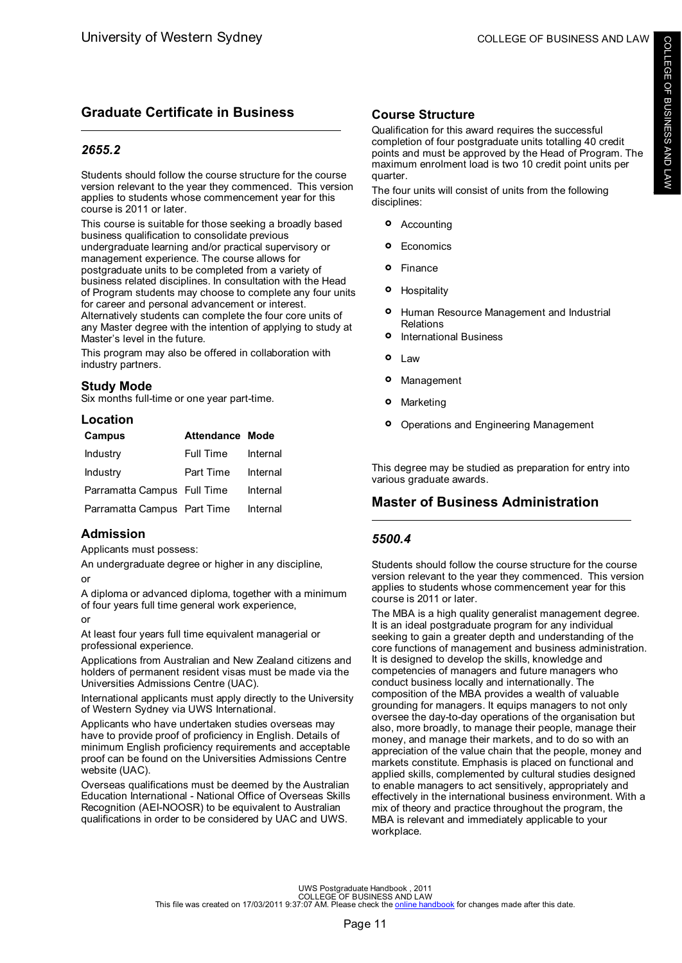## <span id="page-14-0"></span>**Graduate Certificate in Business**

## *2655.2*

Students should follow the course structure for the course version relevant to the year they commenced. This version applies to students whose commencement year for this course is 2011 or later.

This course is suitable for those seeking a broadly based business qualification to consolidate previous undergraduate learning and/or practical supervisory or management experience. The course allows for postgraduate units to be completed from a variety of business related disciplines. In consultation with the Head of Program students may choose to complete any four units for career and personal advancement or interest. Alternatively students can complete the four core units of any Master degree with the intention of applying to study at Master's level in the future.

This program may also be offered in collaboration with industry partners.

## **Study Mode**

Six months full-time or one year part-time.

| Location                    |                  |          |  |
|-----------------------------|------------------|----------|--|
| Campus                      | Attendance Mode  |          |  |
| Industry                    | <b>Full Time</b> | Internal |  |
| Industry                    | Part Time        | Internal |  |
| Parramatta Campus Full Time |                  | Internal |  |
| Parramatta Campus Part Time |                  | Internal |  |

## **Admission**

Applicants must possess:

An undergraduate degree or higher in any discipline, or

A diploma or advanced diploma, together with a minimum of four years full time general work experience,

#### or

At least four years full time equivalent managerial or professional experience.

Applications from Australian and New Zealand citizens and holders of permanent resident visas must be made via the Universities Admissions Centre (UAC).

International applicants must apply directly to the University of Western Sydney via UWS International.

Applicants who have undertaken studies overseas may have to provide proof of proficiency in English. Details of minimum English proficiency requirements and acceptable proof can be found on the Universities Admissions Centre website (UAC).

Overseas qualifications must be deemed by the Australian Education International - National Office of Overseas Skills Recognition (AEI-NOOSR) to be equivalent to Australian qualifications in order to be considered by UAC and UWS.

### **Course Structure**

Qualification for this award requires the successful completion of four postgraduate units totalling 40 credit points and must be approved by the Head of Program. The maximum enrolment load is two 10 credit point units per quarter.

The four units will consist of units from the following disciplines:

- **°** Accounting
- **° Economics**
- **°** Finance
- **° Hospitality**
- **°** Human Resource Management and Industrial Relations
- **°** International Business
- **°** Law
- **°** Management
- **°** Marketing
- **°** Operations and Engineering Management

This degree may be studied as preparation for entry into various graduate awards.

## **Master of Business Administration**

## *5500.4*

Students should follow the course structure for the course version relevant to the year they commenced. This version applies to students whose commencement year for this course is 2011 or later.

The MBA is a high quality generalist management degree. It is an ideal postgraduate program for any individual seeking to gain a greater depth and understanding of the core functions of management and business administration. It is designed to develop the skills, knowledge and competencies of managers and future managers who conduct business locally and internationally. The composition of the MBA provides a wealth of valuable grounding for managers. It equips managers to not only oversee the day-to-day operations of the organisation but also, more broadly, to manage their people, manage their money, and manage their markets, and to do so with an appreciation of the value chain that the people, money and markets constitute. Emphasis is placed on functional and applied skills, complemented by cultural studies designed to enable managers to act sensitively, appropriately and effectively in the international business environment. With a mix of theory and practice throughout the program, the MBA is relevant and immediately applicable to your workplace.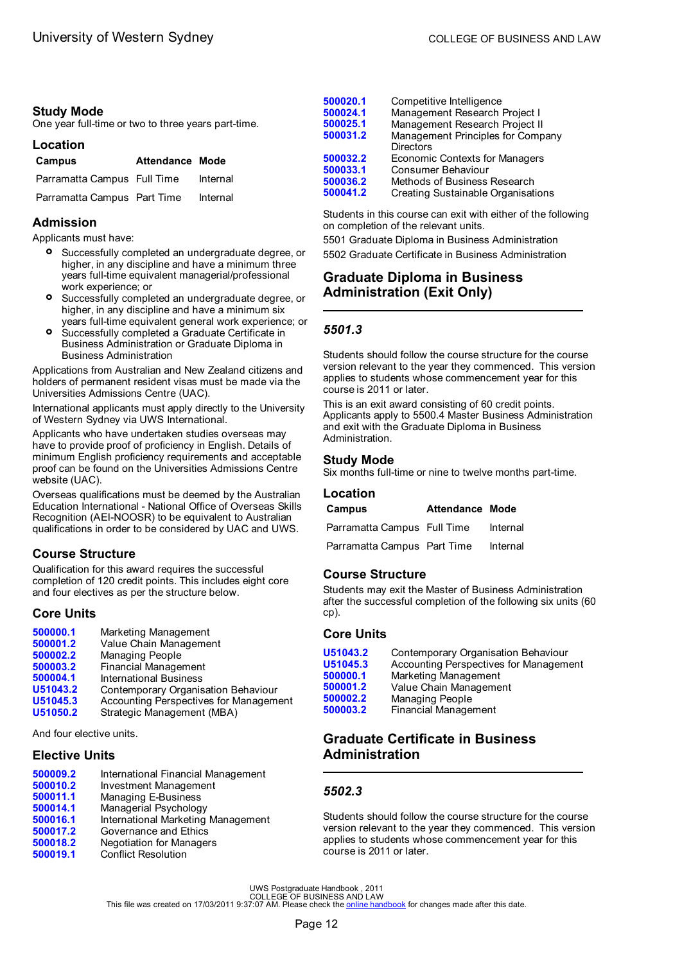<span id="page-15-0"></span>One year full-time or two to three years part-time.

| Location                             |                        |          |  |
|--------------------------------------|------------------------|----------|--|
| Campus                               | <b>Attendance Mode</b> |          |  |
| Parramatta Campus Full Time Internal |                        |          |  |
| Parramatta Campus Part Time          |                        | Internal |  |

### **Admission**

Applicants must have:

- **•** Successfully completed an undergraduate degree, or higher in any discipline and have a minimum three higher, in any discipline and have a minimum three years full-time equivalent managerial/professional work experience; or
- **•** Successfully completed an undergraduate degree, or higher in any discipline and have a minimum six higher, in any discipline and have a minimum six years full-time equivalent general work experience; or
- **°** Successfully completed a Graduate Certificate in Business Administration or Graduate Diploma in Business Administration

Applications from Australian and New Zealand citizens and holders of permanent resident visas must be made via the Universities Admissions Centre (UAC).

International applicants must apply directly to the University of Western Sydney via UWS International.

Applicants who have undertaken studies overseas may have to provide proof of proficiency in English. Details of minimum English proficiency requirements and acceptable proof can be found on the Universities Admissions Centre website (UAC).

Overseas qualifications must be deemed by the Australian Education International - National Office of Overseas Skills Recognition (AEI-NOOSR) to be equivalent to Australian qualifications in order to be considered by UAC and UWS.

### **Course Structure**

Qualification for this award requires the successful completion of 120 credit points. This includes eight core and four electives as per the structure below.

### **Core Units**

| 500000.1 | Marketing Management                   |
|----------|----------------------------------------|
| 500001.2 | Value Chain Management                 |
| 500002.2 | Managing People                        |
| 500003.2 | <b>Financial Management</b>            |
| 500004.1 | <b>International Business</b>          |
| U51043.2 | Contemporary Organisation Behaviour    |
| U51045.3 | Accounting Perspectives for Management |
| U51050.2 | Strategic Management (MBA)             |
|          |                                        |

And four elective units.

### **Elective Units**

| 500009.2 | International Financial Management |
|----------|------------------------------------|
| 500010.2 | <b>Investment Management</b>       |
| 500011.1 | Managing E-Business                |
| 500014.1 | Managerial Psychology              |
| 500016.1 | International Marketing Management |
| 500017.2 | Governance and Ethics              |
| 500018.2 | <b>Negotiation for Managers</b>    |
| 500019.1 | <b>Conflict Resolution</b>         |

| 500020.1 | Competitive Intelligence                              |
|----------|-------------------------------------------------------|
| 500024.1 | Management Research Project I                         |
| 500025.1 | Management Research Project II                        |
| 500031.2 | Management Principles for Company<br><b>Directors</b> |
| 500032.2 | <b>Economic Contexts for Managers</b>                 |
| 500033.1 | Consumer Behaviour                                    |
|          | $\blacksquare$                                        |

**[500036.2](#page-53-0)** Methods of Business Research<br>**500041.2** Creating Sustainable Organisat **[500041.2](#page-40-0)** Creating Sustainable Organisations

Students in this course can exit with either of the following on completion of the relevant units.

5501 Graduate Diploma in Business Administration 5502 Graduate Certificate in Business Administration

### **Graduate Diploma in Business Administration (Exit Only)**

### *5501.3*

Students should follow the course structure for the course version relevant to the year they commenced. This version applies to students whose commencement year for this course is 2011 or later.

This is an exit award consisting of 60 credit points. Applicants apply to 5500.4 Master Business Administration and exit with the Graduate Diploma in Business Administration.

#### **Study Mode**

Six months full-time or nine to twelve months part-time.

#### **Location**

| Campus                      | Attendance Mode |          |
|-----------------------------|-----------------|----------|
| Parramatta Campus Full Time |                 | Internal |
| Parramatta Campus Part Time |                 | Internal |

#### **Course Structure**

Students may exit the Master of Business Administration after the successful completion of the following six units (60 cp).

#### **Core Units**

| U51043.2 | Contemporary Organisation Behaviour    |
|----------|----------------------------------------|
| U51045.3 | Accounting Perspectives for Management |
| 500000.1 | Marketing Management                   |
| 500001.2 | Value Chain Management                 |
| 500002.2 | Managing People                        |
| 500003.2 | <b>Financial Management</b>            |
|          |                                        |

### **Graduate Certificate in Business Administration**

#### *5502.3*

Students should follow the course structure for the course version relevant to the year they commenced. This version applies to students whose commencement year for this course is 2011 or later.

UWS Postgraduate Handbook , 2011 COLLEGE OF BUSINESS AND LAW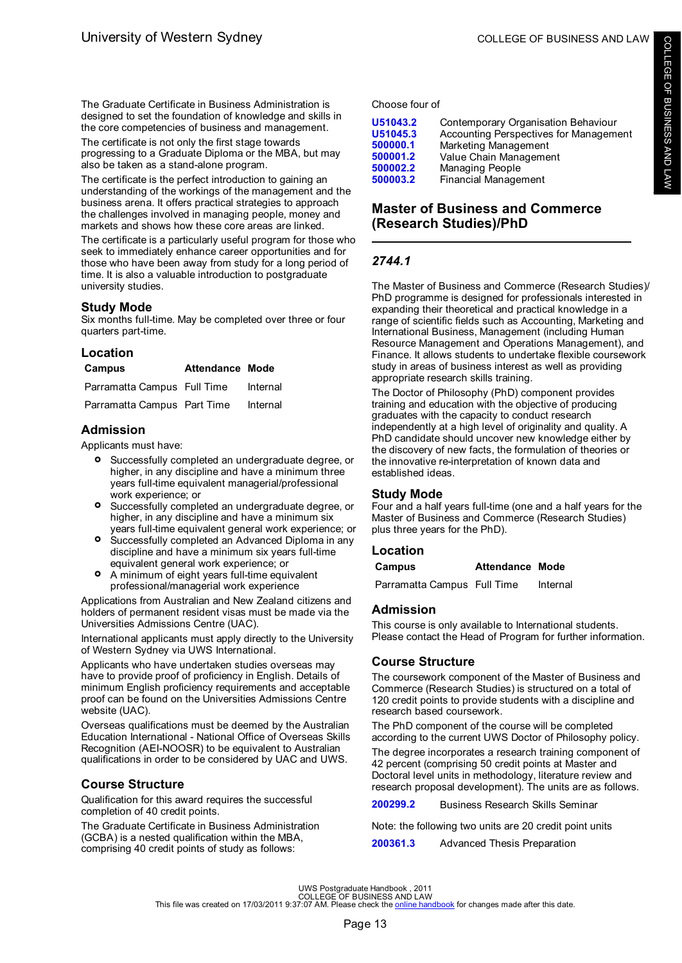COLLEGE <u>ር</u> BUSINESS }<br>6

LAW

<span id="page-16-0"></span>The Graduate Certificate in Business Administration is designed to set the foundation of knowledge and skills in the core competencies of business and management.

The certificate is not only the first stage towards progressing to a Graduate Diploma or the MBA, but may also be taken as a stand-alone program.

The certificate is the perfect introduction to gaining an understanding of the workings of the management and the business arena. It offers practical strategies to approach the challenges involved in managing people, money and markets and shows how these core areas are linked.

The certificate is a particularly useful program for those who seek to immediately enhance career opportunities and for those who have been away from study for a long period of time. It is also a valuable introduction to postgraduate university studies.

### **Study Mode**

Six months full-time. May be completed over three or four quarters part-time.

#### **Location**

| Campus                      | Attendance Mode |          |
|-----------------------------|-----------------|----------|
| Parramatta Campus Full Time |                 | Internal |
| Parramatta Campus Part Time |                 | Internal |

### **Admission**

Applicants must have:

- **°** Successfully completed an undergraduate degree, or higher, in any discipline and have a minimum three years full-time equivalent managerial/professional work experience; or
- **•** Successfully completed an undergraduate degree, or higher in any discipline and have a minimum six higher, in any discipline and have a minimum six years full-time equivalent general work experience; or
- **°** Successfully completed an Advanced Diploma in any discipline and have a minimum six years full-time equivalent general work experience; or
- **°** A minimum of eight years full-time equivalent professional/managerial work experience

Applications from Australian and New Zealand citizens and holders of permanent resident visas must be made via the Universities Admissions Centre (UAC).

International applicants must apply directly to the University of Western Sydney via UWS International.

Applicants who have undertaken studies overseas may have to provide proof of proficiency in English. Details of minimum English proficiency requirements and acceptable proof can be found on the Universities Admissions Centre website (UAC).

Overseas qualifications must be deemed by the Australian Education International - National Office of Overseas Skills Recognition (AEI-NOOSR) to be equivalent to Australian qualifications in order to be considered by UAC and UWS.

### **Course Structure**

Qualification for this award requires the successful completion of 40 credit points.

The Graduate Certificate in Business Administration (GCBA) is a nested qualification within the MBA, comprising 40 credit points of study as follows:

Choose four of

| U51043.2 | Contemporary Organisation Behaviour    |
|----------|----------------------------------------|
| U51045.3 | Accounting Perspectives for Management |
| 500000.1 | Marketing Management                   |
| 500001.2 | Value Chain Management                 |
| 500002.2 | Managing People                        |
| 500003.2 | <b>Financial Management</b>            |

### **Master of Business and Commerce (Research Studies)/PhD**

### *2744.1*

The Master of Business and Commerce (Research Studies)/ PhD programme is designed for professionals interested in expanding their theoretical and practical knowledge in a range of scientific fields such as Accounting, Marketing and International Business, Management (including Human Resource Management and Operations Management), and Finance. It allows students to undertake flexible coursework study in areas of business interest as well as providing appropriate research skills training.

The Doctor of Philosophy (PhD) component provides training and education with the objective of producing graduates with the capacity to conduct research independently at a high level of originality and quality. A PhD candidate should uncover new knowledge either by the discovery of new facts, the formulation of theories or the innovative re-interpretation of known data and established ideas.

### **Study Mode**

Four and a half years full-time (one and a half years for the Master of Business and Commerce (Research Studies) plus three years for the PhD).

### **Location**

**Campus Attendance Mode**

| Parramatta Campus Full Time |  | Internal |
|-----------------------------|--|----------|

### **Admission**

This course is only available to International students. Please contact the Head of Program for further information.

### **Course Structure**

The coursework component of the Master of Business and Commerce (Research Studies) is structured on a total of 120 credit points to provide students with a discipline and research based coursework.

The PhD component of the course will be completed according to the current UWS Doctor of Philosophy policy.

The degree incorporates a research training component of 42 percent (comprising 50 credit points at Master and Doctoral level units in methodology, literature review and research proposal development). The units are as follows.

**[200299.2](#page-37-0)** Business Research Skills Seminar

Note: the following two units are 20 credit point units

**[200361.3](#page-35-0)** Advanced Thesis Preparation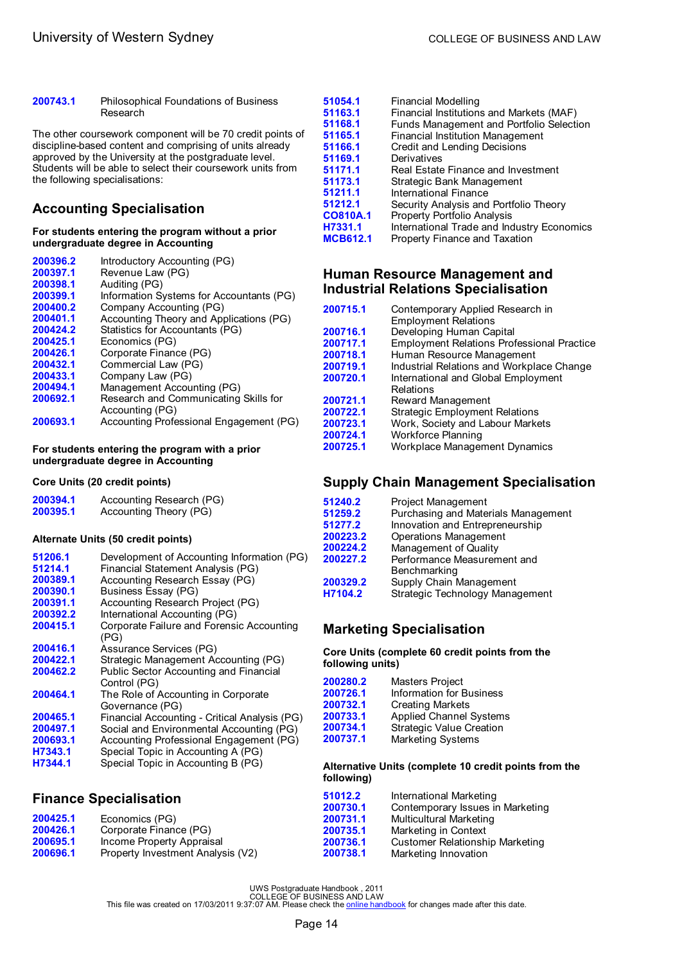| 200743.1 | <b>Philosophical Foundations of Business</b> |
|----------|----------------------------------------------|
|          | Research                                     |

The other coursework component will be 70 credit points of discipline-based content and comprising of units already approved by the University at the postgraduate level. Students will be able to select their coursework units from the following specialisations:

## **Accounting Specialisation**

#### **For students entering the program without a prior undergraduate degree in Accounting**

| 200396.2 | Introductory Accounting (PG)             |
|----------|------------------------------------------|
| 200397.1 | Revenue Law (PG)                         |
| 200398.1 | Auditing (PG)                            |
| 200399.1 | Information Systems for Accountants (PG) |
| 200400.2 | Company Accounting (PG)                  |
| 200401.1 | Accounting Theory and Applications (PG)  |
| 200424.2 | Statistics for Accountants (PG)          |
| 200425.1 | Economics (PG)                           |
| 200426.1 | Corporate Finance (PG)                   |
| 200432.1 | Commercial Law (PG)                      |
| 200433.1 | Company Law (PG)                         |
| 200494.1 | Management Accounting (PG)               |
| 200692.1 | Research and Communicating Skills for    |
|          | Accounting (PG)                          |
| 200693.1 | Accounting Professional Engagement (PG)  |

#### **For students entering the program with a prior undergraduate degree in Accounting**

#### **Core Units (20 credit points)**

| 200394.1 | Accounting Research (PG) |
|----------|--------------------------|
| 200395.1 | Accounting Theory (PG)   |

#### **Alternate Units (50 credit points)**

| 51206.1                          | Development of Accounting Information (PG)                                                                                        |
|----------------------------------|-----------------------------------------------------------------------------------------------------------------------------------|
| 51214.1                          | Financial Statement Analysis (PG)                                                                                                 |
| 200389.1                         | Accounting Research Essay (PG)                                                                                                    |
| 200390.1                         | Business Essay (PG)                                                                                                               |
| 200391.1                         | Accounting Research Project (PG)                                                                                                  |
| 200392.2                         | International Accounting (PG)                                                                                                     |
| 200415.1                         | Corporate Failure and Forensic Accounting                                                                                         |
| 200416.1<br>200422.1<br>200462.2 | (PG)<br>Assurance Services (PG)<br>Strategic Management Accounting (PG)<br>Public Sector Accounting and Financial<br>Control (PG) |
| 200464.1                         | The Role of Accounting in Corporate<br>Governance (PG)                                                                            |
| 200465.1                         | Financial Accounting - Critical Analysis (PG)                                                                                     |
| 200497.1                         | Social and Environmental Accounting (PG)                                                                                          |
| 200693.1                         | Accounting Professional Engagement (PG)                                                                                           |
| H7343.1                          | Special Topic in Accounting A (PG)                                                                                                |
| H7344.1                          | Special Topic in Accounting B (PG)                                                                                                |

## **Finance Specialisation**

| 200425.1 | Economics (PG)                    |
|----------|-----------------------------------|
| 200426.1 | Corporate Finance (PG)            |
| 200695.1 | Income Property Appraisal         |
| 200696.1 | Property Investment Analysis (V2) |

| 51054.1         | Financial Modelling                        |
|-----------------|--------------------------------------------|
| 51163.1         | Financial Institutions and Markets (MAF)   |
| 51168.1         | Funds Management and Portfolio Selection   |
| 51165.1         | <b>Financial Institution Management</b>    |
| 51166.1         | Credit and Lending Decisions               |
| 51169.1         | Derivatives                                |
| 51171.1         | Real Estate Finance and Investment         |
| 51173.1         | Strategic Bank Management                  |
| 51211.1         | International Finance                      |
| 51212.1         | Security Analysis and Portfolio Theory     |
| <b>CO810A.1</b> | <b>Property Portfolio Analysis</b>         |
| H7331.1         | International Trade and Industry Economics |
| <b>MCB612.1</b> | Property Finance and Taxation              |

### **Human Resource Management and Industrial Relations Specialisation**

| 200715.1 | Contemporary Applied Research in<br><b>Employment Relations</b> |
|----------|-----------------------------------------------------------------|
| 200716.1 | Developing Human Capital                                        |
| 200717.1 | <b>Employment Relations Professional Practice</b>               |
| 200718.1 | Human Resource Management                                       |
| 200719.1 | Industrial Relations and Workplace Change                       |
| 200720.1 | International and Global Employment                             |
|          | Relations                                                       |
| 200721.1 | Reward Management                                               |
| 200722.1 | <b>Strategic Employment Relations</b>                           |
| 200723.1 | Work, Society and Labour Markets                                |
| 200724.1 | Workforce Planning                                              |
| 200725.1 | Workplace Management Dynamics                                   |

## **Supply Chain Management Specialisation**

| 51240.2  | Project Management                  |
|----------|-------------------------------------|
| 51259.2  | Purchasing and Materials Management |
| 51277.2  | Innovation and Entrepreneurship     |
| 200223.2 | <b>Operations Management</b>        |
| 200224.2 | Management of Quality               |
| 200227.2 | Performance Measurement and         |
|          | Benchmarking                        |
| 200329.2 | Supply Chain Management             |
| H7104.2  | Strategic Technology Management     |
|          |                                     |

## **Marketing Specialisation**

#### **Core Units (complete 60 credit points from the following units)**

| 200280.2 | <b>Masters Project</b>          |
|----------|---------------------------------|
| 200726.1 | <b>Information for Business</b> |
| 200732.1 | <b>Creating Markets</b>         |
| 200733.1 | Applied Channel Systems         |
| 200734.1 | <b>Strategic Value Creation</b> |
| 200737.1 | Marketing Systems               |

#### **Alternative Units (complete 10 credit points from the following)**

| 51012.2  | International Marketing                |
|----------|----------------------------------------|
| 200730.1 | Contemporary Issues in Marketing       |
| 200731.1 | Multicultural Marketing                |
| 200735.1 | Marketing in Context                   |
| 200736.1 | <b>Customer Relationship Marketing</b> |
| 200738.1 | Marketing Innovation                   |

UWS Postgraduate Handbook , 2011 COLLEGE OF BUSINESS AND LAW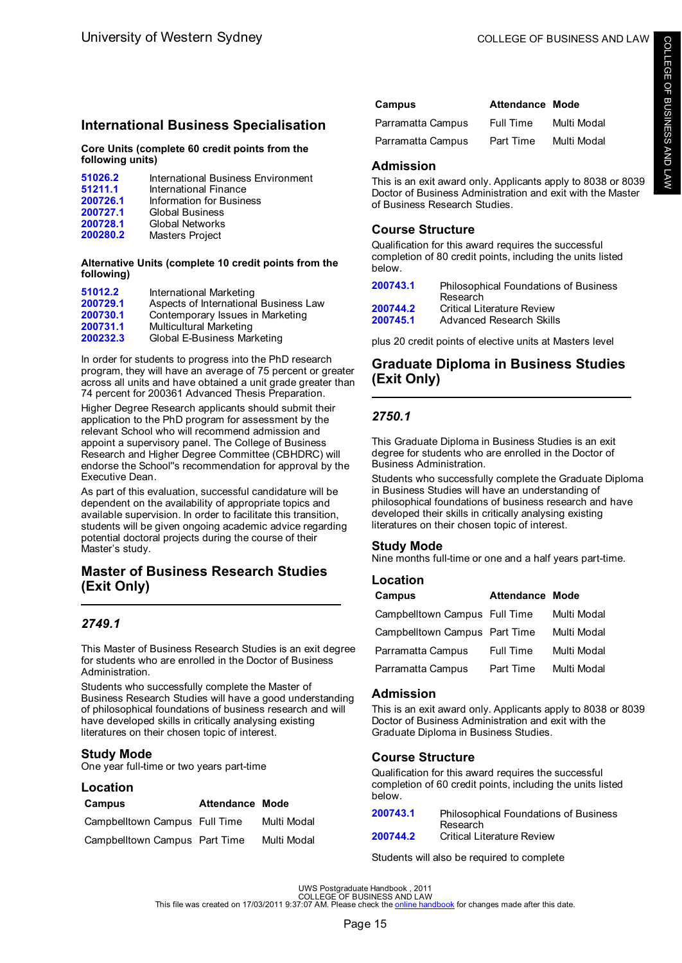## <span id="page-18-0"></span>**International Business Specialisation**

#### **Core Units (complete 60 credit points from the following units)**

| 51026.2  | International Business Environment |
|----------|------------------------------------|
| 51211.1  | International Finance              |
| 200726.1 | Information for Business           |
| 200727.1 | <b>Global Business</b>             |
| 200728.1 | Global Networks                    |
| 200280.2 | Masters Project                    |

#### **Alternative Units (complete 10 credit points from the following)**

| 51012.2<br>200729.1 | International Marketing<br>Aspects of International Business Law |
|---------------------|------------------------------------------------------------------|
| 200730.1            | Contemporary Issues in Marketing                                 |
| 200731.1            | <b>Multicultural Marketing</b>                                   |
| 200232.3            | Global E-Business Marketing                                      |

In order for students to progress into the PhD research program, they will have an average of 75 percent or greater across all units and have obtained a unit grade greater than 74 percent for 200361 Advanced Thesis Preparation.

Higher Degree Research applicants should submit their application to the PhD program for assessment by the relevant School who will recommend admission and appoint a supervisory panel. The College of Business Research and Higher Degree Committee (CBHDRC) will endorse the School''s recommendation for approval by the Executive Dean.

As part of this evaluation, successful candidature will be dependent on the availability of appropriate topics and available supervision. In order to facilitate this transition, students will be given ongoing academic advice regarding potential doctoral projects during the course of their Master's study.

## **Master of Business Research Studies (Exit Only)**

### *2749.1*

This Master of Business Research Studies is an exit degree for students who are enrolled in the Doctor of Business Administration.

Students who successfully complete the Master of Business Research Studies will have a good understanding of philosophical foundations of business research and will have developed skills in critically analysing existing literatures on their chosen topic of interest.

#### **Study Mode**

One year full-time or two years part-time

#### **Location**

| Campus                        | <b>Attendance Mode</b> |             |
|-------------------------------|------------------------|-------------|
| Campbelltown Campus Full Time |                        | Multi Modal |
| Campbelltown Campus Part Time |                        | Multi Modal |

| Campus            | <b>Attendance Mode</b> |             |
|-------------------|------------------------|-------------|
| Parramatta Campus | Full Time              | Multi Modal |
| Parramatta Campus | Part Time              | Multi Modal |

### **Admission**

This is an exit award only. Applicants apply to 8038 or 8039 Doctor of Business Administration and exit with the Master of Business Research Studies.

### **Course Structure**

Qualification for this award requires the successful completion of 80 credit points, including the units listed below.

| 200743.1 | <b>Philosophical Foundations of Business</b> |
|----------|----------------------------------------------|
|          | Research                                     |
| 200744.2 | Critical Literature Review                   |
| 200745.1 | Advanced Research Skills                     |
|          |                                              |

plus 20 credit points of elective units at Masters level

### **Graduate Diploma in Business Studies (Exit Only)**

### *2750.1*

This Graduate Diploma in Business Studies is an exit degree for students who are enrolled in the Doctor of Business Administration.

Students who successfully complete the Graduate Diploma in Business Studies will have an understanding of philosophical foundations of business research and have developed their skills in critically analysing existing literatures on their chosen topic of interest.

#### **Study Mode**

Nine months full-time or one and a half years part-time.

| Location                      |                  |             |  |
|-------------------------------|------------------|-------------|--|
| Campus                        | Attendance Mode  |             |  |
| Campbelltown Campus Full Time |                  | Multi Modal |  |
| Campbelltown Campus Part Time |                  | Multi Modal |  |
| Parramatta Campus             | <b>Full Time</b> | Multi Modal |  |
| Parramatta Campus             | Part Time        | Multi Modal |  |

#### **Admission**

This is an exit award only. Applicants apply to 8038 or 8039 Doctor of Business Administration and exit with the Graduate Diploma in Business Studies.

#### **Course Structure**

Qualification for this award requires the successful completion of 60 credit points, including the units listed below.

| 200743.1 | <b>Philosophical Foundations of Business</b> |
|----------|----------------------------------------------|
|          | Research                                     |
| 200744.2 | Critical Literature Review                   |
|          |                                              |

Students will also be required to complete

UWS Postgraduate Handbook , 2011 COLLEGE OF BUSINESS AND LAW This file was created on 17/03/2011 9:37:07 AM. Please check the online [handbook](http://handbook.uws.edu.au/hbook/) for changes made after this date.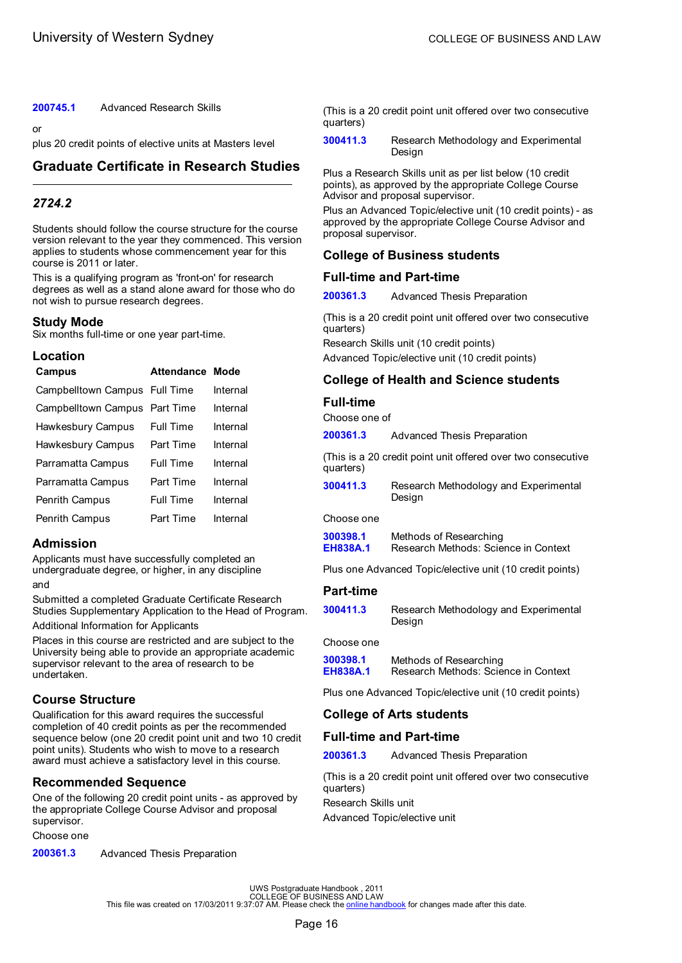#### <span id="page-19-0"></span>**[200745.1](#page-35-0)** Advanced Research Skills

or

plus 20 credit points of elective units at Masters level

# **Graduate Certificate in Research Studies**

### *2724.2*

Students should follow the course structure for the course version relevant to the year they commenced. This version applies to students whose commencement year for this course is 2011 or later.

This is a qualifying program as 'front-on' for research degrees as well as a stand alone award for those who do not wish to pursue research degrees.

### **Study Mode**

Six months full-time or one year part-time.

#### **Location**

| Campus                        | Attendance Mode |          |
|-------------------------------|-----------------|----------|
| Campbelltown Campus Full Time |                 | Internal |
| Campbelltown Campus Part Time |                 | Internal |
| Hawkesbury Campus             | Full Time       | Internal |
| Hawkesbury Campus             | Part Time       | Internal |
| Parramatta Campus             | Full Time       | Internal |
| Parramatta Campus             | Part Time       | Internal |
| <b>Penrith Campus</b>         | Full Time       | Internal |
| <b>Penrith Campus</b>         | Part Time       | Internal |

#### **Admission**

Applicants must have successfully completed an undergraduate degree, or higher, in any discipline and

Submitted a completed Graduate Certificate Research Studies Supplementary Application to the Head of Program. Additional Information for Applicants

Places in this course are restricted and are subject to the University being able to provide an appropriate academic supervisor relevant to the area of research to be undertaken.

### **Course Structure**

Qualification for this award requires the successful completion of 40 credit points as per the recommended sequence below (one 20 credit point unit and two 10 credit point units). Students who wish to move to a research award must achieve a satisfactory level in this course.

### **Recommended Sequence**

One of the following 20 credit point units - as approved by the appropriate College Course Advisor and proposal supervisor.

Choose one

**[200361.3](#page-35-0)** Advanced Thesis Preparation

(This is a 20 credit point unit offered over two consecutive quarters)

**[300411.3](#page-58-0)** Research Methodology and Experimental Design

Plus a Research Skills unit as per list below (10 credit points), as approved by the appropriate College Course Advisor and proposal supervisor.

Plus an Advanced Topic/elective unit (10 credit points) - as approved by the appropriate College Course Advisor and proposal supervisor.

### **College of Business students**

#### **Full-time and Part-time**

**[200361.3](#page-35-0)** Advanced Thesis Preparation

(This is a 20 credit point unit offered over two consecutive quarters)

Research Skills unit (10 credit points)

Advanced Topic/elective unit (10 credit points)

### **College of Health and Science students**

### **Full-time**

Choose one of

**[200361.3](#page-35-0)** Advanced Thesis Preparation

(This is a 20 credit point unit offered over two consecutive quarters)

**[300411.3](#page-58-0)** Research Methodology and Experimental Design

#### Choose one

| 300398.1 | Methods of Researching               |
|----------|--------------------------------------|
| EH838A.1 | Research Methods: Science in Context |

Plus one Advanced Topic/elective unit (10 credit points)

#### **Part-time**

- 
- **[300411.3](#page-58-0)** Research Methodology and Experimental Design

#### Choose one

**[300398.1](#page-53-0)** Methods of Researching **[EH838A.1](#page-58-0)** Research Methods: Science in Context

Plus one Advanced Topic/elective unit (10 credit points)

### **College of Arts students**

#### **Full-time and Part-time**

**[200361.3](#page-35-0)** Advanced Thesis Preparation

(This is a 20 credit point unit offered over two consecutive quarters)

Research Skills unit Advanced Topic/elective unit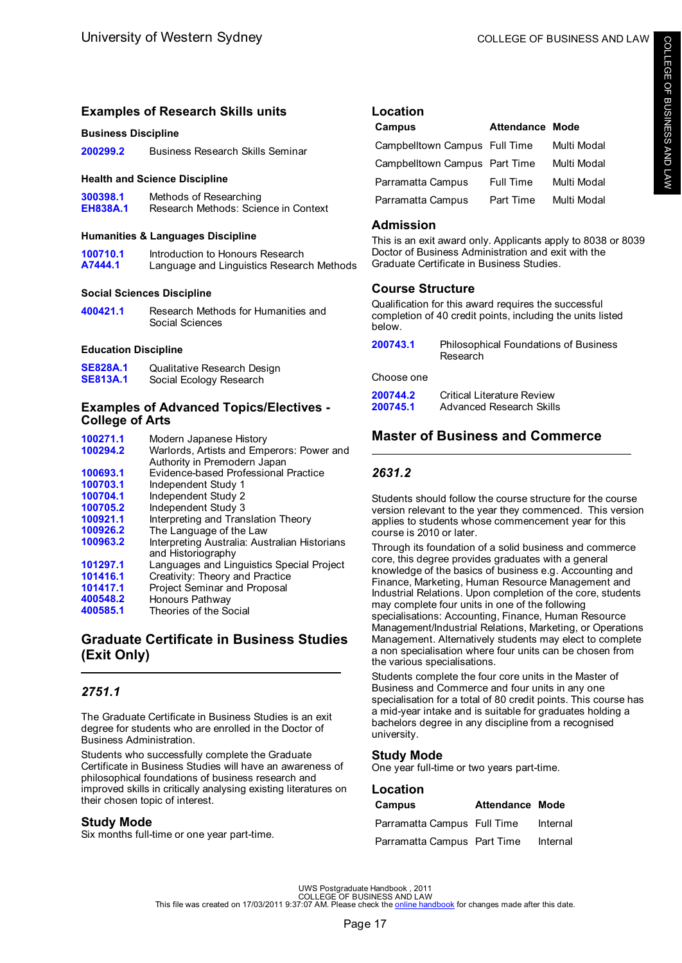### <span id="page-20-0"></span>**Examples of Research Skills units**

#### **Business Discipline**

**[200299.2](#page-37-0)** Business Research Skills Seminar

#### **Health and Science Discipline**

**[300398.1](#page-53-0)** Methods of Researching<br>**EH838A.1** Research Methods: Scie Research Methods: Science in Context

#### **Humanities & Languages Discipline**

| 100710.1 | Introduction to Honours Research          |
|----------|-------------------------------------------|
| A7444.1  | Language and Linguistics Research Methods |

#### **Social Sciences Discipline**

**[400421.1](#page-58-0)** Research Methods for Humanities and Social Sciences

#### **Education Discipline**

| <b>SE828A.1</b> | Qualitative Research Design |
|-----------------|-----------------------------|
| <b>SE813A.1</b> | Social Ecology Research     |

#### **Examples of Advanced Topics/Electives - College of Arts**

| 100271.1 | Modern Japanese History                       |
|----------|-----------------------------------------------|
| 100294.2 | Warlords, Artists and Emperors: Power and     |
|          | Authority in Premodern Japan                  |
| 100693.1 | Evidence-based Professional Practice          |
| 100703.1 | Independent Study 1                           |
| 100704.1 | Independent Study 2                           |
| 100705.2 | Independent Study 3                           |
| 100921.1 | Interpreting and Translation Theory           |
| 100926.2 | The Language of the Law                       |
| 100963.2 | Interpreting Australia: Australian Historians |
|          | and Historiography                            |
| 101297.1 | Languages and Linguistics Special Project     |
| 101416.1 | Creativity: Theory and Practice               |
| 101417.1 | Project Seminar and Proposal                  |
| 400548.2 | Honours Pathway                               |
| 400585.1 | Theories of the Social                        |
|          |                                               |

### **Graduate Certificate in Business Studies (Exit Only)**

#### *2751.1*

The Graduate Certificate in Business Studies is an exit degree for students who are enrolled in the Doctor of Business Administration.

Students who successfully complete the Graduate Certificate in Business Studies will have an awareness of philosophical foundations of business research and improved skills in critically analysing existing literatures on their chosen topic of interest.

#### **Study Mode**

Six months full-time or one year part-time.

#### **Location**

| <b>Campus</b>                 | <b>Attendance Mode</b> |             |
|-------------------------------|------------------------|-------------|
| Campbelltown Campus Full Time |                        | Multi Modal |
| Campbelltown Campus Part Time |                        | Multi Modal |
| Parramatta Campus             | Full Time              | Multi Modal |
| Parramatta Campus             | Part Time              | Multi Modal |

#### **Admission**

This is an exit award only. Applicants apply to 8038 or 8039 Doctor of Business Administration and exit with the Graduate Certificate in Business Studies.

#### **Course Structure**

Qualification for this award requires the successful completion of 40 credit points, including the units listed below.

| 200743.1 | <b>Philosophical Foundations of Business</b> |
|----------|----------------------------------------------|
|          | Research                                     |

Choose one

| 200744.2 | Critical Literature Review |
|----------|----------------------------|
| 200745.1 | Advanced Research Skills   |

## **Master of Business and Commerce**

### *2631.2*

Students should follow the course structure for the course version relevant to the year they commenced. This version applies to students whose commencement year for this course is 2010 or later.

Through its foundation of a solid business and commerce core, this degree provides graduates with a general knowledge of the basics of business e.g. Accounting and Finance, Marketing, Human Resource Management and Industrial Relations. Upon completion of the core, students may complete four units in one of the following specialisations: Accounting, Finance, Human Resource Management/Industrial Relations, Marketing, or Operations Management. Alternatively students may elect to complete a non specialisation where four units can be chosen from the various specialisations.

Students complete the four core units in the Master of Business and Commerce and four units in any one specialisation for a total of 80 credit points. This course has a mid-year intake and is suitable for graduates holding a bachelors degree in any discipline from a recognised university.

#### **Study Mode**

One year full-time or two years part-time.

#### **Location**

| Campus                      | Attendance Mode |          |
|-----------------------------|-----------------|----------|
| Parramatta Campus Full Time |                 | Internal |
| Parramatta Campus Part Time |                 | Internal |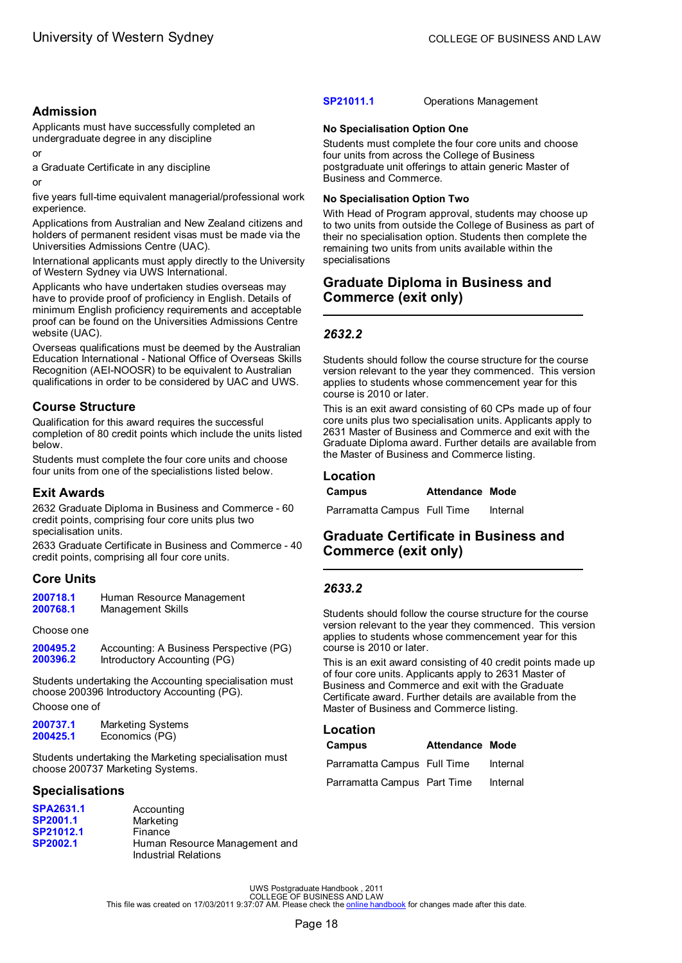### <span id="page-21-0"></span>**Admission**

Applicants must have successfully completed an undergraduate degree in any discipline

or

a Graduate Certificate in any discipline

or

five years full-time equivalent managerial/professional work experience.

Applications from Australian and New Zealand citizens and holders of permanent resident visas must be made via the Universities Admissions Centre (UAC).

International applicants must apply directly to the University of Western Sydney via UWS International.

Applicants who have undertaken studies overseas may have to provide proof of proficiency in English. Details of minimum English proficiency requirements and acceptable proof can be found on the Universities Admissions Centre website (UAC).

Overseas qualifications must be deemed by the Australian Education International - National Office of Overseas Skills Recognition (AEI-NOOSR) to be equivalent to Australian qualifications in order to be considered by UAC and UWS.

### **Course Structure**

Qualification for this award requires the successful completion of 80 credit points which include the units listed below.

Students must complete the four core units and choose four units from one of the specialistions listed below.

#### **Exit Awards**

2632 Graduate Diploma in Business and Commerce - 60 credit points, comprising four core units plus two specialisation units.

2633 Graduate Certificate in Business and Commerce - 40 credit points, comprising all four core units.

#### **Core Units**

| 200718.1 | Human Resource Management |
|----------|---------------------------|
| 200768.1 | Management Skills         |

Choose one

| 200495.2 | Accounting: A Business Perspective (PG) |  |
|----------|-----------------------------------------|--|
| 200396.2 | Introductory Accounting (PG)            |  |

Students undertaking the Accounting specialisation must choose 200396 Introductory Accounting (PG).

Choose one of

| 200737.1 | <b>Marketing Systems</b> |
|----------|--------------------------|
| 200425.1 | Economics (PG)           |

Students undertaking the Marketing specialisation must choose 200737 Marketing Systems.

## **Specialisations**

| SPA2631.1 | Accounting                    |
|-----------|-------------------------------|
| SP2001.1  | Marketing                     |
| SP21012.1 | Finance                       |
| SP2002.1  | Human Resource Management and |
|           | Industrial Relations          |

### **[SP21011.1](#page-32-0)** Operations Management

### **No Specialisation Option One**

Students must complete the four core units and choose four units from across the College of Business postgraduate unit offerings to attain generic Master of Business and Commerce.

### **No Specialisation Option Two**

With Head of Program approval, students may choose up to two units from outside the College of Business as part of their no specialisation option. Students then complete the remaining two units from units available within the specialisations

## **Graduate Diploma in Business and Commerce (exit only)**

### *2632.2*

Students should follow the course structure for the course version relevant to the year they commenced. This version applies to students whose commencement year for this course is 2010 or later.

This is an exit award consisting of 60 CPs made up of four core units plus two specialisation units. Applicants apply to 2631 Master of Business and Commerce and exit with the Graduate Diploma award. Further details are available from the Master of Business and Commerce listing.

#### **Location**

#### **Campus Attendance Mode**

Parramatta Campus Full Time Internal

## **Graduate Certificate in Business and Commerce (exit only)**

## *2633.2*

Students should follow the course structure for the course version relevant to the year they commenced. This version applies to students whose commencement year for this course is 2010 or later.

This is an exit award consisting of 40 credit points made up of four core units. Applicants apply to 2631 Master of Business and Commerce and exit with the Graduate Certificate award. Further details are available from the Master of Business and Commerce listing.

#### **Location**

| Campus                      | <b>Attendance Mode</b> |          |
|-----------------------------|------------------------|----------|
| Parramatta Campus Full Time |                        | Internal |
| Parramatta Campus Part Time |                        | Internal |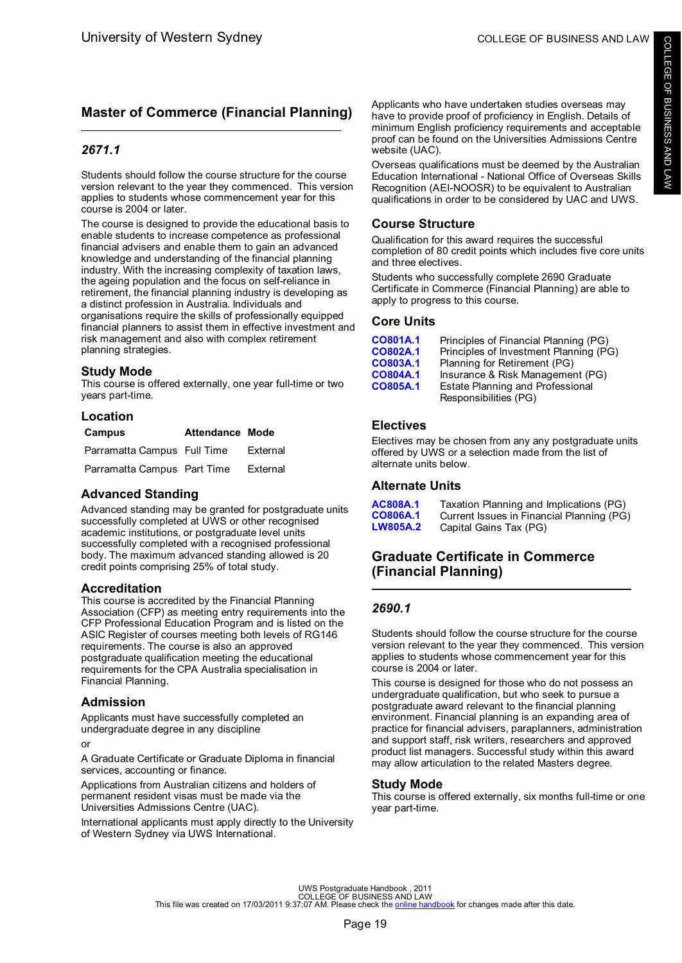## <span id="page-22-0"></span>**Master of Commerce (Financial Planning)**

## *2671.1*

Students should follow the course structure for the course version relevant to the year they commenced. This version applies to students whose commencement year for this course is 2004 or later.

The course is designed to provide the educational basis to enable students to increase competence as professional financial advisers and enable them to gain an advanced knowledge and understanding of the financial planning industry. With the increasing complexity of taxation laws, the ageing population and the focus on self-reliance in retirement, the financial planning industry is developing as a distinct profession in Australia. Individuals and organisations require the skills of professionally equipped financial planners to assist them in effective investment and risk management and also with complex retirement planning strategies.

## **Study Mode**

This course is offered externally, one year full-time or two years part-time.

### **Location**

| Campus                      | Attendance Mode |          |
|-----------------------------|-----------------|----------|
| Parramatta Campus Full Time |                 | External |
| Parramatta Campus Part Time |                 | External |

## **Advanced Standing**

Advanced standing may be granted for postgraduate units successfully completed at UWS or other recognised academic institutions, or postgraduate level units successfully completed with a recognised professional body. The maximum advanced standing allowed is 20 credit points comprising 25% of total study.

### **Accreditation**

This course is accredited by the Financial Planning Association (CFP) as meeting entry requirements into the CFP Professional Education Program and is listed on the ASIC Register of courses meeting both levels of RG146 requirements. The course is also an approved postgraduate qualification meeting the educational requirements for the CPA Australia specialisation in Financial Planning.

### **Admission**

Applicants must have successfully completed an undergraduate degree in any discipline or

A Graduate Certificate or Graduate Diploma in financial services, accounting or finance.

Applications from Australian citizens and holders of permanent resident visas must be made via the Universities Admissions Centre (UAC).

International applicants must apply directly to the University of Western Sydney via UWS International.

Applicants who have undertaken studies overseas may have to provide proof of proficiency in English. Details of minimum English proficiency requirements and acceptable proof can be found on the Universities Admissions Centre website (UAC).

Overseas qualifications must be deemed by the Australian Education International - National Office of Overseas Skills Recognition (AEI-NOOSR) to be equivalent to Australian qualifications in order to be considered by UAC and UWS.

## **Course Structure**

Qualification for this award requires the successful completion of 80 credit points which includes five core units and three electives.

Students who successfully complete 2690 Graduate Certificate in Commerce (Financial Planning) are able to apply to progress to this course.

### **Core Units**

**[CO801A.1](#page-55-0)** Principles of Financial Planning (PG) **[CO802A.1](#page-55-0)** Principles of Investment Planning (PG) Planning for Retirement (PG) **[CO804A.1](#page-46-0)** Insurance & Risk Management (PG)<br>**CO805A.1** Estate Planning and Professional **[CO805A.1](#page-42-0)** Estate Planning and Professional Responsibilities (PG)

## **Electives**

Electives may be chosen from any any postgraduate units offered by UWS or a selection made from the list of alternate units below.

### **Alternate Units**

| Taxation Planning and Implications (PG)   |
|-------------------------------------------|
| Current Issues in Financial Planning (PG) |
| Capital Gains Tax (PG)                    |
|                                           |

## **Graduate Certificate in Commerce (Financial Planning)**

### *2690.1*

Students should follow the course structure for the course version relevant to the year they commenced. This version applies to students whose commencement year for this course is 2004 or later.

This course is designed for those who do not possess an undergraduate qualification, but who seek to pursue a postgraduate award relevant to the financial planning environment. Financial planning is an expanding area of practice for financial advisers, paraplanners, administration and support staff, risk writers, researchers and approved product list managers. Successful study within this award may allow articulation to the related Masters degree.

#### **Study Mode**

This course is offered externally, six months full-time or one year part-time.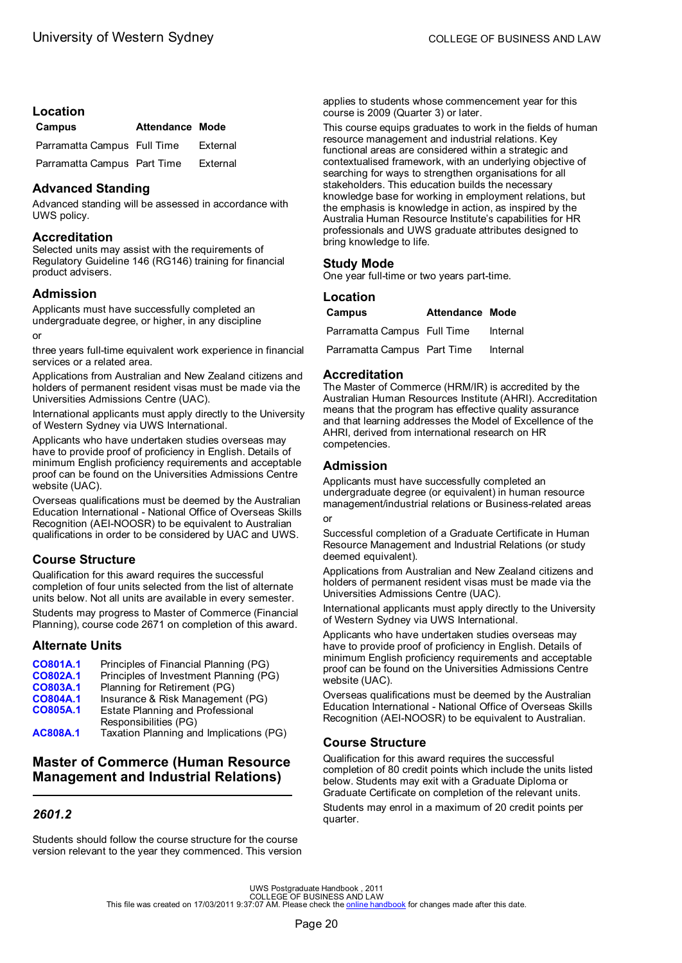### <span id="page-23-0"></span>**Location**

| Campus                      | <b>Attendance Mode</b> |          |
|-----------------------------|------------------------|----------|
| Parramatta Campus Full Time |                        | External |
| Parramatta Campus Part Time |                        | External |

### **Advanced Standing**

Advanced standing will be assessed in accordance with UWS policy.

#### **Accreditation**

Selected units may assist with the requirements of Regulatory Guideline 146 (RG146) training for financial product advisers.

#### **Admission**

Applicants must have successfully completed an undergraduate degree, or higher, in any discipline or

three years full-time equivalent work experience in financial services or a related area.

Applications from Australian and New Zealand citizens and holders of permanent resident visas must be made via the Universities Admissions Centre (UAC).

International applicants must apply directly to the University of Western Sydney via UWS International.

Applicants who have undertaken studies overseas may have to provide proof of proficiency in English. Details of minimum English proficiency requirements and acceptable proof can be found on the Universities Admissions Centre website (UAC).

Overseas qualifications must be deemed by the Australian Education International - National Office of Overseas Skills Recognition (AEI-NOOSR) to be equivalent to Australian qualifications in order to be considered by UAC and UWS.

#### **Course Structure**

Qualification for this award requires the successful completion of four units selected from the list of alternate units below. Not all units are available in every semester.

Students may progress to Master of Commerce (Financial Planning), course code 2671 on completion of this award.

#### **Alternate Units**

| CO801A.1 | Principles of Financial Planning (PG)   |
|----------|-----------------------------------------|
| CO802A.1 | Principles of Investment Planning (PG)  |
| CO803A.1 | Planning for Retirement (PG)            |
| CO804A.1 | Insurance & Risk Management (PG)        |
| CO805A.1 | Estate Planning and Professional        |
|          | Responsibilities (PG)                   |
| AC808A.1 | Taxation Planning and Implications (PG) |
|          |                                         |

### **Master of Commerce (Human Resource Management and Industrial Relations)**

### *2601.2*

Students should follow the course structure for the course version relevant to the year they commenced. This version applies to students whose commencement year for this course is 2009 (Quarter 3) or later.

This course equips graduates to work in the fields of human resource management and industrial relations. Key functional areas are considered within a strategic and contextualised framework, with an underlying objective of searching for ways to strengthen organisations for all stakeholders. This education builds the necessary knowledge base for working in employment relations, but the emphasis is knowledge in action, as inspired by the Australia Human Resource Institute's capabilities for HR professionals and UWS graduate attributes designed to bring knowledge to life.

#### **Study Mode**

One year full-time or two years part-time.

#### **Location**

| Campus                      | <b>Attendance Mode</b> |          |
|-----------------------------|------------------------|----------|
| Parramatta Campus Full Time |                        | Internal |
| Parramatta Campus Part Time |                        | Internal |

#### **Accreditation**

The Master of Commerce (HRM/IR) is accredited by the Australian Human Resources Institute (AHRI). Accreditation means that the program has effective quality assurance and that learning addresses the Model of Excellence of the AHRI, derived from international research on HR competencies.

#### **Admission**

Applicants must have successfully completed an undergraduate degree (or equivalent) in human resource management/industrial relations or Business-related areas or

Successful completion of a Graduate Certificate in Human Resource Management and Industrial Relations (or study deemed equivalent).

Applications from Australian and New Zealand citizens and holders of permanent resident visas must be made via the Universities Admissions Centre (UAC).

International applicants must apply directly to the University of Western Sydney via UWS International.

Applicants who have undertaken studies overseas may have to provide proof of proficiency in English. Details of minimum English proficiency requirements and acceptable proof can be found on the Universities Admissions Centre website (UAC).

Overseas qualifications must be deemed by the Australian Education International - National Office of Overseas Skills Recognition (AEI-NOOSR) to be equivalent to Australian.

### **Course Structure**

Qualification for this award requires the successful completion of 80 credit points which include the units listed below. Students may exit with a Graduate Diploma or Graduate Certificate on completion of the relevant units.

Students may enrol in a maximum of 20 credit points per quarter.

UWS Postgraduate Handbook , 2011 COLLEGE OF BUSINESS AND LAW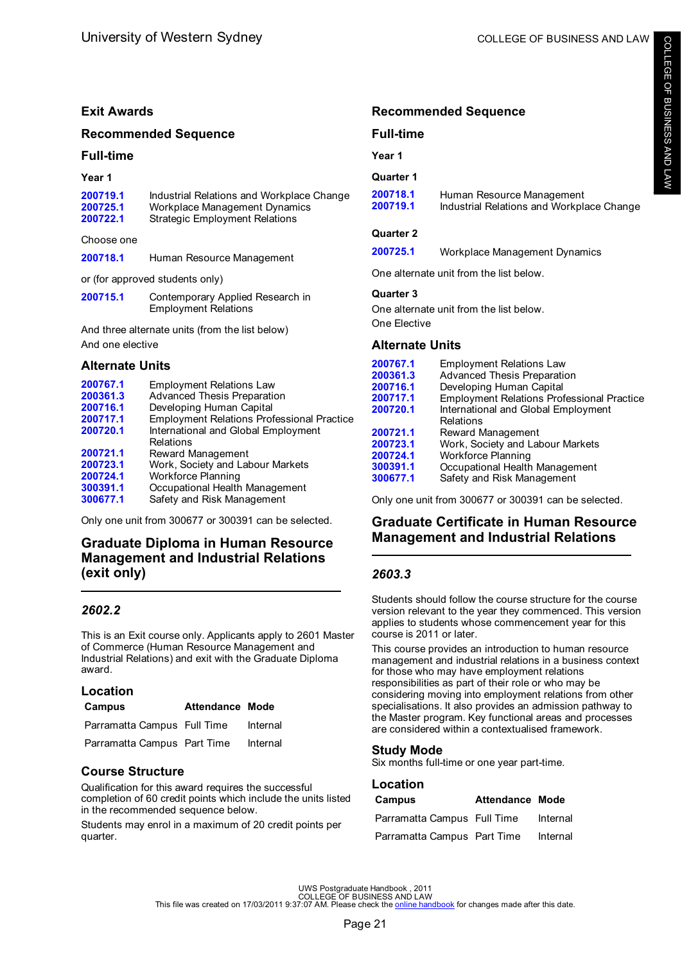## <span id="page-24-0"></span>**Exit Awards**

## **Recommended Sequence**

### **Full-time**

#### **Year 1**

Choose one

[200718.1](#page-45-0) Human Resource Management

or (for approved students only)

| 200715.1 | Contemporary Applied Research in |
|----------|----------------------------------|
|          | <b>Employment Relations</b>      |

And three alternate units (from the list below) And one elective

### **Alternate Units**

| <b>Employment Relations Law</b>                   |
|---------------------------------------------------|
| <b>Advanced Thesis Preparation</b>                |
| Developing Human Capital                          |
| <b>Employment Relations Professional Practice</b> |
| International and Global Employment               |
| Relations                                         |
| Reward Management                                 |
| Work, Society and Labour Markets                  |
| Workforce Planning                                |
| Occupational Health Management                    |
| Safety and Risk Management                        |
|                                                   |

Only one unit from 300677 or 300391 can be selected.

### **Graduate Diploma in Human Resource Management and Industrial Relations (exit only)**

### *2602.2*

This is an Exit course only. Applicants apply to 2601 Master of Commerce (Human Resource Management and Industrial Relations) and exit with the Graduate Diploma award.

#### **Location**

| <b>Campus</b>               | <b>Attendance Mode</b> |          |
|-----------------------------|------------------------|----------|
| Parramatta Campus Full Time |                        | Internal |
| Parramatta Campus Part Time |                        | Internal |

## **Course Structure**

Qualification for this award requires the successful completion of 60 credit points which include the units listed in the recommended sequence below.

Students may enrol in a maximum of 20 credit points per quarter.

## **Recommended Sequence**

### **Full-time**

**Year 1**

#### **Quarter 1**

| 200718.1 | Human Resource Management                 |
|----------|-------------------------------------------|
|          |                                           |
| 200719.1 | Industrial Relations and Workplace Change |

#### **Quarter 2**

| 200725.1 | Workplace Management Dynamics |  |
|----------|-------------------------------|--|
|          |                               |  |

One alternate unit from the list below.

#### **Quarter 3**

One alternate unit from the list below. One Elective

### **Alternate Units**

| 200767.1 | <b>Employment Relations Law</b>                   |
|----------|---------------------------------------------------|
| 200361.3 | <b>Advanced Thesis Preparation</b>                |
| 200716.1 | Developing Human Capital                          |
| 200717.1 | <b>Employment Relations Professional Practice</b> |
| 200720.1 | International and Global Employment               |
|          | Relations                                         |
| 200721.1 | Reward Management                                 |
| 200723.1 | Work, Society and Labour Markets                  |
| 200724.1 | <b>Workforce Planning</b>                         |
| 300391.1 | Occupational Health Management                    |
| 300677.1 | Safety and Risk Management                        |
|          |                                                   |

Only one unit from 300677 or 300391 can be selected.

### **Graduate Certificate in Human Resource Management and Industrial Relations**

### *2603.3*

Students should follow the course structure for the course version relevant to the year they commenced. This version applies to students whose commencement year for this course is 2011 or later.

This course provides an introduction to human resource management and industrial relations in a business context for those who may have employment relations responsibilities as part of their role or who may be considering moving into employment relations from other specialisations. It also provides an admission pathway to the Master program. Key functional areas and processes are considered within a contextualised framework.

### **Study Mode**

Six months full-time or one year part-time.

| Location                    |                 |          |
|-----------------------------|-----------------|----------|
| Campus                      | Attendance Mode |          |
| Parramatta Campus Full Time |                 | Internal |
| Parramatta Campus Part Time |                 | Internal |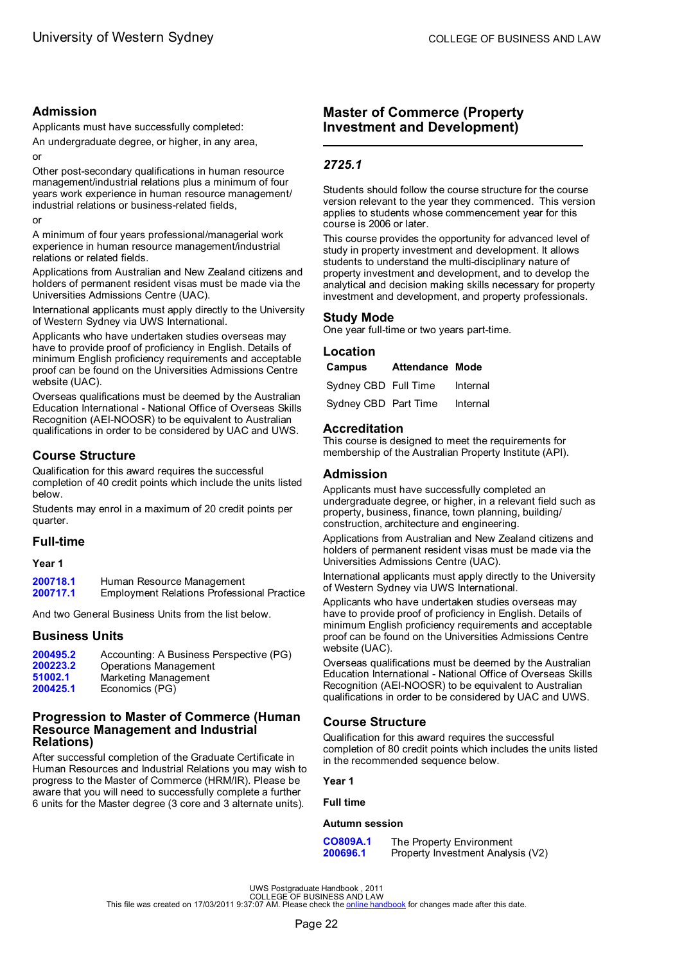### <span id="page-25-0"></span>**Admission**

Applicants must have successfully completed:

An undergraduate degree, or higher, in any area, or

Other post-secondary qualifications in human resource management/industrial relations plus a minimum of four years work experience in human resource management/ industrial relations or business-related fields,

or

A minimum of four years professional/managerial work experience in human resource management/industrial relations or related fields.

Applications from Australian and New Zealand citizens and holders of permanent resident visas must be made via the Universities Admissions Centre (UAC).

International applicants must apply directly to the University of Western Sydney via UWS International.

Applicants who have undertaken studies overseas may have to provide proof of proficiency in English. Details of minimum English proficiency requirements and acceptable proof can be found on the Universities Admissions Centre website (UAC).

Overseas qualifications must be deemed by the Australian Education International - National Office of Overseas Skills Recognition (AEI-NOOSR) to be equivalent to Australian qualifications in order to be considered by UAC and UWS.

### **Course Structure**

Qualification for this award requires the successful completion of 40 credit points which include the units listed below.

Students may enrol in a maximum of 20 credit points per quarter.

#### **Full-time**

**Year 1**

**[200718.1](#page-45-0)** Human Resource Management **[200717.1](#page-42-0)** Employment Relations Professional Practice

And two General Business Units from the list below.

### **Business Units**

| 200495.2 | Accounting: A Business Perspective (PG) |
|----------|-----------------------------------------|
| 200223.2 | Operations Management                   |
| 51002.1  | Marketing Management                    |
| 200425.1 | Economics (PG)                          |
|          |                                         |

#### **Progression to Master of Commerce (Human Resource Management and Industrial Relations)**

After successful completion of the Graduate Certificate in Human Resources and Industrial Relations you may wish to progress to the Master of Commerce (HRM/IR). Please be aware that you will need to successfully complete a further 6 units for the Master degree (3 core and 3 alternate units).

## **Master of Commerce (Property Investment and Development)**

### *2725.1*

Students should follow the course structure for the course version relevant to the year they commenced. This version applies to students whose commencement year for this course is 2006 or later.

This course provides the opportunity for advanced level of study in property investment and development. It allows students to understand the multi-disciplinary nature of property investment and development, and to develop the analytical and decision making skills necessary for property investment and development, and property professionals.

#### **Study Mode**

One year full-time or two years part-time.

#### **Location**

| Campus                | <b>Attendance Mode</b> |          |
|-----------------------|------------------------|----------|
| Sydney CBD Full Time  |                        | Internal |
| Cudnov CDD, Dort Time |                        | $hat =$  |

Sydney CBD Part Time Internal

#### **Accreditation**

This course is designed to meet the requirements for membership of the Australian Property Institute (API).

### **Admission**

Applicants must have successfully completed an undergraduate degree, or higher, in a relevant field such as property, business, finance, town planning, building/ construction, architecture and engineering.

Applications from Australian and New Zealand citizens and holders of permanent resident visas must be made via the Universities Admissions Centre (UAC).

International applicants must apply directly to the University of Western Sydney via UWS International.

Applicants who have undertaken studies overseas may have to provide proof of proficiency in English. Details of minimum English proficiency requirements and acceptable proof can be found on the Universities Admissions Centre website (UAC).

Overseas qualifications must be deemed by the Australian Education International - National Office of Overseas Skills Recognition (AEI-NOOSR) to be equivalent to Australian qualifications in order to be considered by UAC and UWS.

### **Course Structure**

Qualification for this award requires the successful completion of 80 credit points which includes the units listed in the recommended sequence below.

**Year 1**

**Full time**

#### **Autumn session**

| CO809A.1 | The Property Environment          |
|----------|-----------------------------------|
| 200696.1 | Property Investment Analysis (V2) |

UWS Postgraduate Handbook , 2011 COLLEGE OF BUSINESS AND LAW This file was created on 17/03/2011 9:37:07 AM. Please check the online [handbook](http://handbook.uws.edu.au/hbook/) for changes made after this date.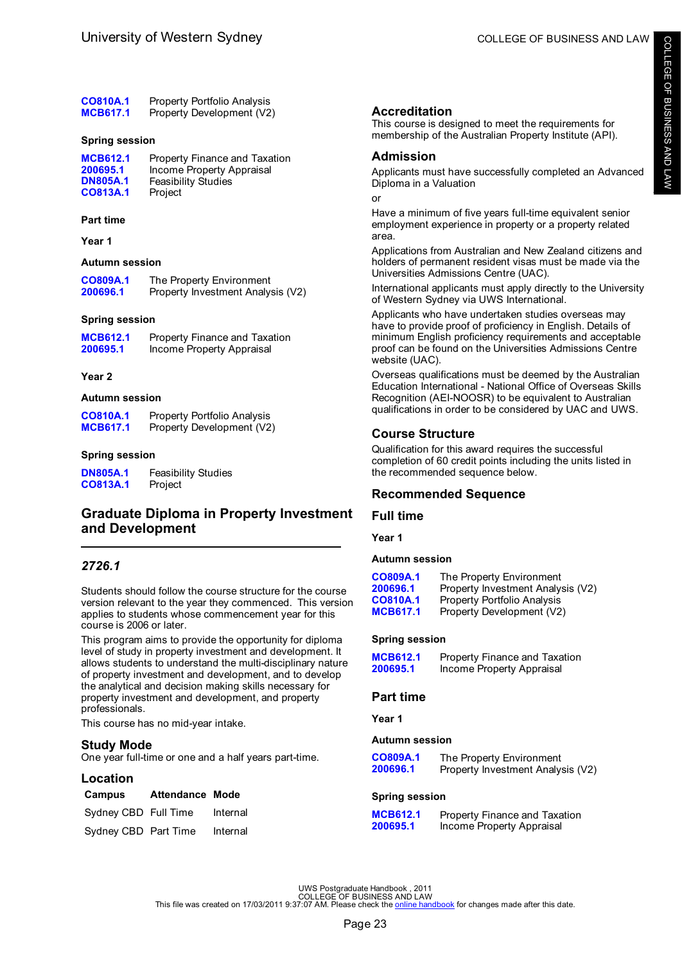<span id="page-26-0"></span>

| CO810A.1        | Property Portfolio Analysis |
|-----------------|-----------------------------|
| <b>MCB617.1</b> | Property Development (V2)   |

#### **Spring session**

| <b>MCB612.1</b> | Property Finance and Taxation |
|-----------------|-------------------------------|
| 200695.1        | Income Property Appraisal     |
| <b>DN805A.1</b> | <b>Feasibility Studies</b>    |
| CO813A.1        | Project                       |

#### **Part time**

**Year 1**

#### **Autumn session**

| CO809A.1 | The Property Environment          |
|----------|-----------------------------------|
| 200696.1 | Property Investment Analysis (V2) |

#### **Spring session**

| <b>MCB612.1</b> | Property Finance and Taxation |
|-----------------|-------------------------------|
| 200695.1        | Income Property Appraisal     |

#### **Year 2**

#### **Autumn session**

| <b>CO810A.1</b> | <b>Property Portfolio Analysis</b> |  |
|-----------------|------------------------------------|--|
| <b>MCB617.1</b> | Property Development (V2)          |  |

#### **Spring session**

| <b>DN805A.1</b> | <b>Feasibility Studies</b> |
|-----------------|----------------------------|
| CO813A.1        | Project                    |

### **Graduate Diploma in Property Investment and Development**

#### *2726.1*

Students should follow the course structure for the course version relevant to the year they commenced. This version applies to students whose commencement year for this course is 2006 or later.

This program aims to provide the opportunity for diploma level of study in property investment and development. It allows students to understand the multi-disciplinary nature of property investment and development, and to develop the analytical and decision making skills necessary for property investment and development, and property professionals.

This course has no mid-year intake.

#### **Study Mode**

One year full-time or one and a half years part-time.

#### **Location**

| Campus               | <b>Attendance Mode</b> |          |
|----------------------|------------------------|----------|
| Sydney CBD Full Time |                        | Internal |
| Sydney CBD Part Time |                        | Internal |

#### **Accreditation**

This course is designed to meet the requirements for membership of the Australian Property Institute (API).

#### **Admission**

Applicants must have successfully completed an Advanced Diploma in a Valuation

or

Have a minimum of five years full-time equivalent senior employment experience in property or a property related area.

Applications from Australian and New Zealand citizens and holders of permanent resident visas must be made via the Universities Admissions Centre (UAC).

International applicants must apply directly to the University of Western Sydney via UWS International.

Applicants who have undertaken studies overseas may have to provide proof of proficiency in English. Details of minimum English proficiency requirements and acceptable proof can be found on the Universities Admissions Centre website (UAC).

Overseas qualifications must be deemed by the Australian Education International - National Office of Overseas Skills Recognition (AEI-NOOSR) to be equivalent to Australian qualifications in order to be considered by UAC and UWS.

### **Course Structure**

Qualification for this award requires the successful completion of 60 credit points including the units listed in the recommended sequence below.

#### **Recommended Sequence**

#### **Full time**

**Year 1**

#### **Autumn session**

| CO809A.1                    | The Property Environment                                         |
|-----------------------------|------------------------------------------------------------------|
| 200696.1<br><b>CO810A.1</b> | Property Investment Analysis (V2)<br>Property Portfolio Analysis |
| <b>MCB617.1</b>             | Property Development (V2)                                        |

#### **Spring session**

**[MCB612.1](#page-56-0)** Property Finance and Taxation<br>**200695.1** Income Property Appraisal **[200695.1](#page-45-0)** Income Property Appraisal

#### **Part time**

**Year 1**

#### **Autumn session**

| CO809A.1 | The Property Environment          |
|----------|-----------------------------------|
| 200696.1 | Property Investment Analysis (V2) |

#### **Spring session**

| MCB612.1 | Property Finance and Taxation |
|----------|-------------------------------|
| 200695.1 | Income Property Appraisal     |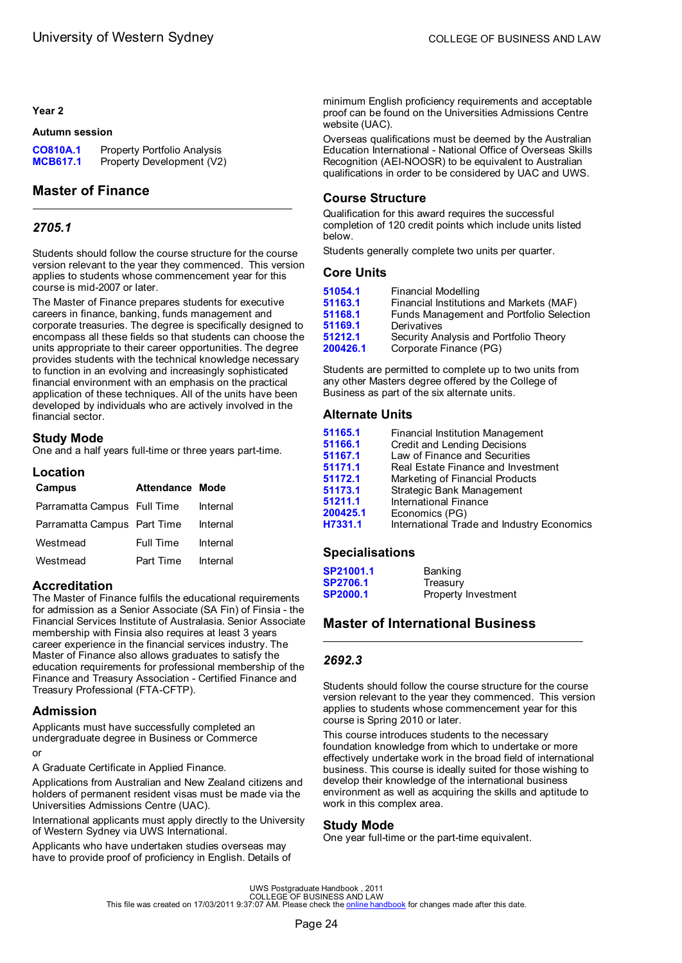#### <span id="page-27-0"></span>**Year 2**

#### **Autumn session**

| CO810A.1        | <b>Property Portfolio Analysis</b> |
|-----------------|------------------------------------|
| <b>MCB617.1</b> | Property Development (V2)          |

### **Master of Finance**

### *2705.1*

Students should follow the course structure for the course version relevant to the year they commenced. This version applies to students whose commencement year for this course is mid-2007 or later.

The Master of Finance prepares students for executive careers in finance, banking, funds management and corporate treasuries. The degree is specifically designed to encompass all these fields so that students can choose the units appropriate to their career opportunities. The degree provides students with the technical knowledge necessary to function in an evolving and increasingly sophisticated financial environment with an emphasis on the practical application of these techniques. All of the units have been developed by individuals who are actively involved in the financial sector.

#### **Study Mode**

One and a half years full-time or three years part-time.

#### **Location**

| <b>Campus</b>               | <b>Attendance Mode</b> |          |
|-----------------------------|------------------------|----------|
| Parramatta Campus Full Time |                        | Internal |
| Parramatta Campus Part Time |                        | Internal |
| Westmead                    | Full Time              | Internal |
| Westmead                    | Part Time              | Internal |

#### **Accreditation**

The Master of Finance fulfils the educational requirements for admission as a Senior Associate (SA Fin) of Finsia - the Financial Services Institute of Australasia. Senior Associate membership with Finsia also requires at least 3 years career experience in the financial services industry. The Master of Finance also allows graduates to satisfy the education requirements for professional membership of the Finance and Treasury Association - Certified Finance and Treasury Professional (FTA-CFTP).

#### **Admission**

Applicants must have successfully completed an undergraduate degree in Business or Commerce

or

A Graduate Certificate in Applied Finance.

Applications from Australian and New Zealand citizens and holders of permanent resident visas must be made via the Universities Admissions Centre (UAC).

International applicants must apply directly to the University of Western Sydney via UWS International.

Applicants who have undertaken studies overseas may have to provide proof of proficiency in English. Details of minimum English proficiency requirements and acceptable proof can be found on the Universities Admissions Centre website (UAC).

Overseas qualifications must be deemed by the Australian Education International - National Office of Overseas Skills Recognition (AEI-NOOSR) to be equivalent to Australian qualifications in order to be considered by UAC and UWS.

#### **Course Structure**

Qualification for this award requires the successful completion of 120 credit points which include units listed below.

Students generally complete two units per quarter.

#### **Core Units**

| 51054.1  | Financial Modelling                      |
|----------|------------------------------------------|
| 51163.1  | Financial Institutions and Markets (MAF) |
| 51168.1  | Funds Management and Portfolio Selection |
| 51169.1  | Derivatives                              |
| 51212.1  | Security Analysis and Portfolio Theory   |
| 200426.1 | Corporate Finance (PG)                   |
|          |                                          |

Students are permitted to complete up to two units from any other Masters degree offered by the College of Business as part of the six alternate units.

#### **Alternate Units**

| 51165.1  | Financial Institution Management           |
|----------|--------------------------------------------|
| 51166.1  | Credit and Lending Decisions               |
| 51167.1  | Law of Finance and Securities              |
| 51171.1  | Real Estate Finance and Investment         |
| 51172.1  | Marketing of Financial Products            |
| 51173.1  | Strategic Bank Management                  |
| 51211.1  | International Finance                      |
| 200425.1 | Economics (PG)                             |
| H7331.1  | International Trade and Industry Economics |
|          |                                            |

#### **Specialisations**

| SP21001.1 | Banking                    |
|-----------|----------------------------|
| SP2706.1  | Treasury                   |
| SP2000.1  | <b>Property Investment</b> |

### **Master of International Business**

#### *2692.3*

Students should follow the course structure for the course version relevant to the year they commenced. This version applies to students whose commencement year for this course is Spring 2010 or later.

This course introduces students to the necessary foundation knowledge from which to undertake or more effectively undertake work in the broad field of international business. This course is ideally suited for those wishing to develop their knowledge of the international business environment as well as acquiring the skills and aptitude to work in this complex area.

#### **Study Mode**

One year full-time or the part-time equivalent.

UWS Postgraduate Handbook , 2011 COLLEGE OF BUSINESS AND LAW This file was created on 17/03/2011 9:37:07 AM. Please check the online [handbook](http://handbook.uws.edu.au/hbook/) for changes made after this date.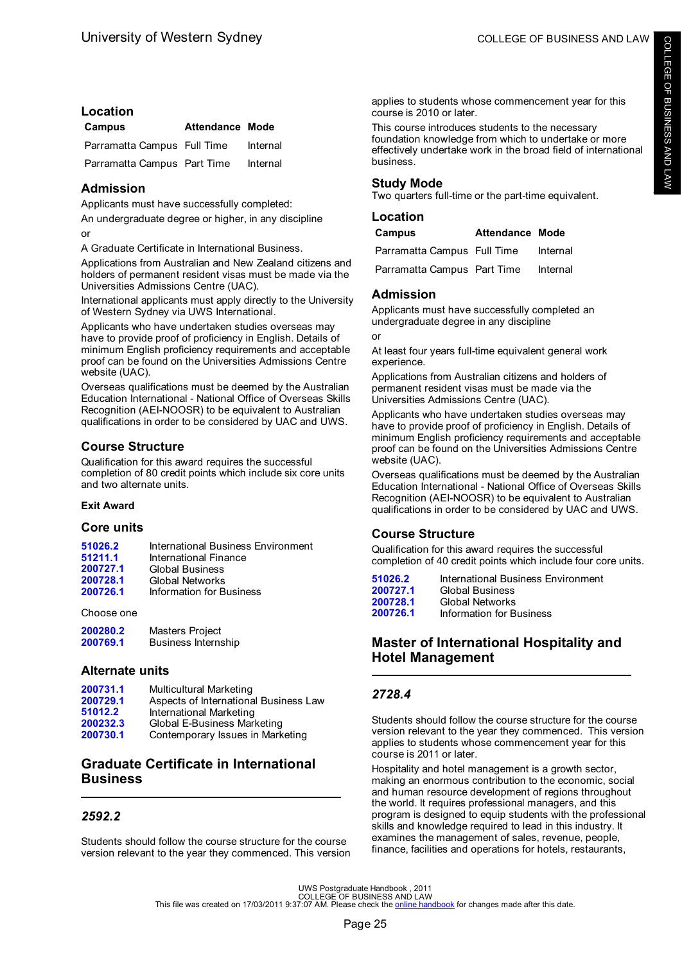## <span id="page-28-0"></span>**Location**

| Campus                      | Attendance Mode |          |
|-----------------------------|-----------------|----------|
| Parramatta Campus Full Time |                 | Internal |
| Parramatta Campus Part Time |                 | Internal |

## **Admission**

Applicants must have successfully completed:

An undergraduate degree or higher, in any discipline or

A Graduate Certificate in International Business.

Applications from Australian and New Zealand citizens and holders of permanent resident visas must be made via the Universities Admissions Centre (UAC).

International applicants must apply directly to the University of Western Sydney via UWS International.

Applicants who have undertaken studies overseas may have to provide proof of proficiency in English. Details of minimum English proficiency requirements and acceptable proof can be found on the Universities Admissions Centre website (UAC).

Overseas qualifications must be deemed by the Australian Education International - National Office of Overseas Skills Recognition (AEI-NOOSR) to be equivalent to Australian qualifications in order to be considered by UAC and UWS.

### **Course Structure**

Qualification for this award requires the successful completion of 80 credit points which include six core units and two alternate units.

#### **Exit Award**

#### **Core units**

| 51026.2  | International Business Environment |
|----------|------------------------------------|
| 51211.1  | International Finance              |
| 200727.1 | <b>Global Business</b>             |
| 200728.1 | <b>Global Networks</b>             |
| 200726.1 | Information for Business           |

#### Choose one

| 200280.2 | Masters Project     |
|----------|---------------------|
| 200769.1 | Business Internship |

#### **Alternate units**

| 200731.1 | Multicultural Marketing               |
|----------|---------------------------------------|
| 200729.1 | Aspects of International Business Law |
| 51012.2  | International Marketing               |
| 200232.3 | Global E-Business Marketing           |
| 200730.1 | Contemporary Issues in Marketing      |

### **Graduate Certificate in International Business**

### *2592.2*

Students should follow the course structure for the course version relevant to the year they commenced. This version applies to students whose commencement year for this course is 2010 or later.

This course introduces students to the necessary foundation knowledge from which to undertake or more effectively undertake work in the broad field of international business.

#### **Study Mode**

Two quarters full-time or the part-time equivalent.

#### **Location**

| Campus                      | Attendance Mode |          |
|-----------------------------|-----------------|----------|
| Parramatta Campus Full Time |                 | Internal |
| Parramatta Campus Part Time |                 | Internal |

### **Admission**

Applicants must have successfully completed an undergraduate degree in any discipline

or

At least four years full-time equivalent general work experience.

Applications from Australian citizens and holders of permanent resident visas must be made via the Universities Admissions Centre (UAC).

Applicants who have undertaken studies overseas may have to provide proof of proficiency in English. Details of minimum English proficiency requirements and acceptable proof can be found on the Universities Admissions Centre website (UAC).

Overseas qualifications must be deemed by the Australian Education International - National Office of Overseas Skills Recognition (AEI-NOOSR) to be equivalent to Australian qualifications in order to be considered by UAC and UWS.

### **Course Structure**

Qualification for this award requires the successful completion of 40 credit points which include four core units.

| 51026.2  | International Business Environment |
|----------|------------------------------------|
| 200727.1 | <b>Global Business</b>             |
| 200728.1 | <b>Global Networks</b>             |
| 200726.1 | Information for Business           |
|          |                                    |

### **Master of International Hospitality and Hotel Management**

## *2728.4*

Students should follow the course structure for the course version relevant to the year they commenced. This version applies to students whose commencement year for this course is 2011 or later.

Hospitality and hotel management is a growth sector, making an enormous contribution to the economic, social and human resource development of regions throughout the world. It requires professional managers, and this program is designed to equip students with the professional skills and knowledge required to lead in this industry. It examines the management of sales, revenue, people, finance, facilities and operations for hotels, restaurants,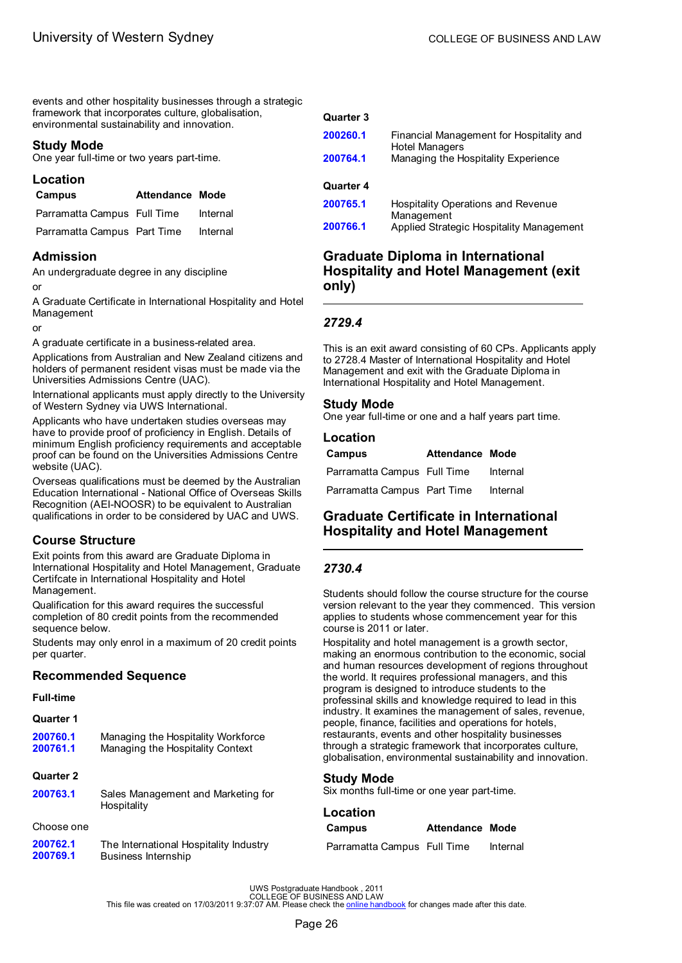<span id="page-29-0"></span>events and other hospitality businesses through a strategic framework that incorporates culture, globalisation, environmental sustainability and innovation.

#### **Study Mode**

One year full-time or two years part-time.

#### **Location**

| Campus                             | Attendance Mode |          |
|------------------------------------|-----------------|----------|
| Parramatta Campus Full Time        |                 | Internal |
| <b>Parramatta Campus Part Time</b> |                 | Internal |

### **Admission**

An undergraduate degree in any discipline

or

A Graduate Certificate in International Hospitality and Hotel Management

 $\Omega$ 

A graduate certificate in a business-related area.

Applications from Australian and New Zealand citizens and holders of permanent resident visas must be made via the Universities Admissions Centre (UAC).

International applicants must apply directly to the University of Western Sydney via UWS International.

Applicants who have undertaken studies overseas may have to provide proof of proficiency in English. Details of minimum English proficiency requirements and acceptable proof can be found on the Universities Admissions Centre website (UAC).

Overseas qualifications must be deemed by the Australian Education International - National Office of Overseas Skills Recognition (AEI-NOOSR) to be equivalent to Australian qualifications in order to be considered by UAC and UWS.

### **Course Structure**

Exit points from this award are Graduate Diploma in International Hospitality and Hotel Management, Graduate Certifcate in International Hospitality and Hotel Management.

Qualification for this award requires the successful completion of 80 credit points from the recommended sequence below.

Students may only enrol in a maximum of 20 credit points per quarter.

#### **Recommended Sequence**

#### **Full-time**

| <b>Quarter 1</b><br>200760.1<br>200761.1 | Managing the Hospitality Workforce<br>Managing the Hospitality Context | industry. I<br>people, fil<br>restauran<br>through a<br>globalisat |
|------------------------------------------|------------------------------------------------------------------------|--------------------------------------------------------------------|
| <b>Quarter 2</b>                         |                                                                        | <b>Study N</b>                                                     |
| 200763.1                                 | Sales Management and Marketing for<br>Hospitality                      | Six month                                                          |
|                                          |                                                                        | Locatio                                                            |
| Choose one                               |                                                                        | <b>Campus</b>                                                      |
| 200762.1<br>200769.1                     | The International Hospitality Industry<br>Business Internship          | Parrama                                                            |

| <b>Quarter 3</b> |                                                                   |
|------------------|-------------------------------------------------------------------|
| 200260.1         | Financial Management for Hospitality and<br><b>Hotel Managers</b> |
| 200764.1         | Managing the Hospitality Experience                               |
| <b>Quarter 4</b> |                                                                   |
| 200765.1         | Hospitality Operations and Revenue<br>Management                  |
| 200766.1         | Applied Strategic Hospitality Management                          |

### **Graduate Diploma in International Hospitality and Hotel Management (exit only)**

#### *2729.4*

This is an exit award consisting of 60 CPs. Applicants apply to 2728.4 Master of International Hospitality and Hotel Management and exit with the Graduate Diploma in International Hospitality and Hotel Management.

#### **Study Mode**

One year full-time or one and a half years part time.

### **Location**

| Campus                      | <b>Attendance Mode</b> |          |
|-----------------------------|------------------------|----------|
| Parramatta Campus Full Time |                        | Internal |
| Parramatta Campus Part Time |                        | Internal |

### **Graduate Certificate in International Hospitality and Hotel Management**

### *2730.4*

Students should follow the course structure for the course version relevant to the year they commenced. This version applies to students whose commencement year for this course is 2011 or later.

Hospitality and hotel management is a growth sector, making an enormous contribution to the economic, social and human resources development of regions throughout the world. It requires professional managers, and this program is designed to introduce students to the professinal skills and knowledge required to lead in this It examines the management of sales, revenue, nance, facilities and operations for hotels, ts, events and other hospitality businesses strategic framework that incorporates culture, ion, environmental sustainability and innovation.

#### **Study Mode**

is full-time or one year part-time.

#### **Location**

| Campus                      | <b>Attendance Mode</b> |          |
|-----------------------------|------------------------|----------|
| Parramatta Campus Full Time |                        | Internal |

UWS Postgraduate Handbook , 2011 COLLEGE OF BUSINESS AND LAW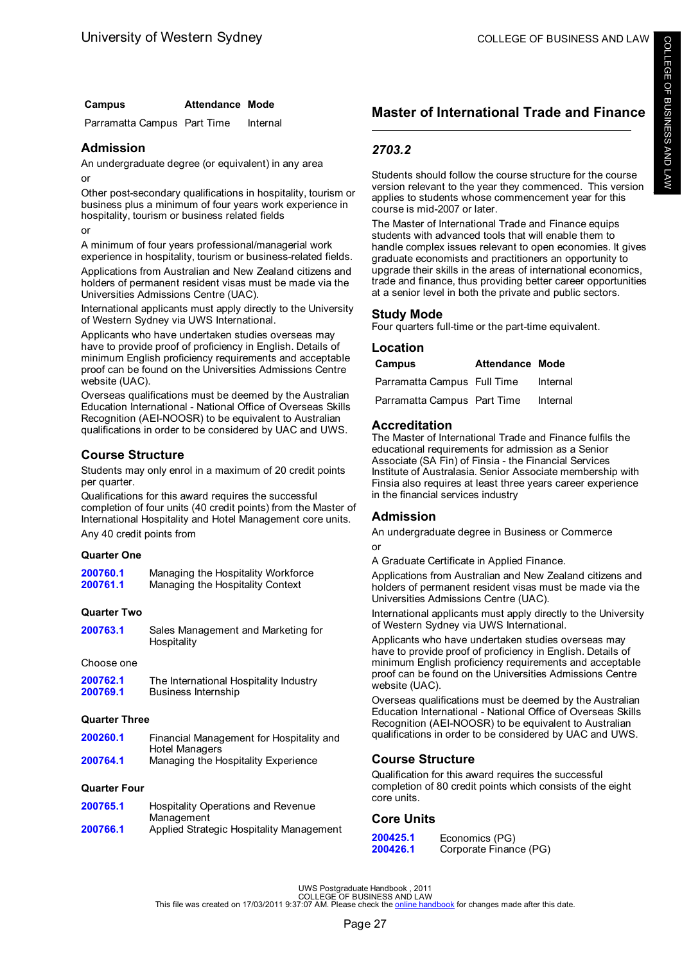<span id="page-30-0"></span>

| Campus | Attendance Mode |  |
|--------|-----------------|--|
|        |                 |  |

Parramatta Campus Part Time Internal

### **Admission**

An undergraduate degree (or equivalent) in any area or

Other post-secondary qualifications in hospitality, tourism or business plus a minimum of four years work experience in hospitality, tourism or business related fields

or

A minimum of four years professional/managerial work experience in hospitality, tourism or business-related fields.

Applications from Australian and New Zealand citizens and holders of permanent resident visas must be made via the Universities Admissions Centre (UAC).

International applicants must apply directly to the University of Western Sydney via UWS International.

Applicants who have undertaken studies overseas may have to provide proof of proficiency in English. Details of minimum English proficiency requirements and acceptable proof can be found on the Universities Admissions Centre website (UAC).

Overseas qualifications must be deemed by the Australian Education International - National Office of Overseas Skills Recognition (AEI-NOOSR) to be equivalent to Australian qualifications in order to be considered by UAC and UWS.

### **Course Structure**

Students may only enrol in a maximum of 20 credit points per quarter.

Qualifications for this award requires the successful completion of four units (40 credit points) from the Master of International Hospitality and Hotel Management core units. Any 40 credit points from

#### **Quarter One**

| 200760.1 | Managing the Hospitality Workforce |
|----------|------------------------------------|
| 200761.1 | Managing the Hospitality Context   |

#### **Quarter Two**

**[200763.1](#page-59-0)** Sales Management and Marketing for **Hospitality** 

#### Choose one

**[200762.1](#page-62-0)** The International Hospitality Industry **[200769.1](#page-37-0)** Business Internship

#### **Quarter Three**

| 200260.1 | Financial Management for Hospitality and |
|----------|------------------------------------------|
|          | Hotel Managers                           |
| 200764.1 | Managing the Hospitality Experience      |

#### **Quarter Four**

| 200765.1 | Hospitality Operations and Revenue       |
|----------|------------------------------------------|
|          | Management                               |
| 200766.1 | Applied Strategic Hospitality Management |

## **Master of International Trade and Finance**

### *2703.2*

Students should follow the course structure for the course version relevant to the year they commenced. This version applies to students whose commencement year for this course is mid-2007 or later.

The Master of International Trade and Finance equips students with advanced tools that will enable them to handle complex issues relevant to open economies. It gives graduate economists and practitioners an opportunity to upgrade their skills in the areas of international economics, trade and finance, thus providing better career opportunities at a senior level in both the private and public sectors.

#### **Study Mode**

Four quarters full-time or the part-time equivalent.

#### **Location**

| Campus                      | <b>Attendance Mode</b> |          |
|-----------------------------|------------------------|----------|
| Parramatta Campus Full Time |                        | Internal |
| Parramatta Campus Part Time |                        | Internal |

#### **Accreditation**

The Master of International Trade and Finance fulfils the educational requirements for admission as a Senior Associate (SA Fin) of Finsia - the Financial Services Institute of Australasia. Senior Associate membership with Finsia also requires at least three years career experience in the financial services industry

#### **Admission**

An undergraduate degree in Business or Commerce or

A Graduate Certificate in Applied Finance.

Applications from Australian and New Zealand citizens and holders of permanent resident visas must be made via the Universities Admissions Centre (UAC).

International applicants must apply directly to the University of Western Sydney via UWS International.

Applicants who have undertaken studies overseas may have to provide proof of proficiency in English. Details of minimum English proficiency requirements and acceptable proof can be found on the Universities Admissions Centre website (UAC).

Overseas qualifications must be deemed by the Australian Education International - National Office of Overseas Skills Recognition (AEI-NOOSR) to be equivalent to Australian qualifications in order to be considered by UAC and UWS.

#### **Course Structure**

Qualification for this award requires the successful completion of 80 credit points which consists of the eight core units.

#### **Core Units**

| 200425.1 | Economics (PG)         |
|----------|------------------------|
| 200426.1 | Corporate Finance (PG) |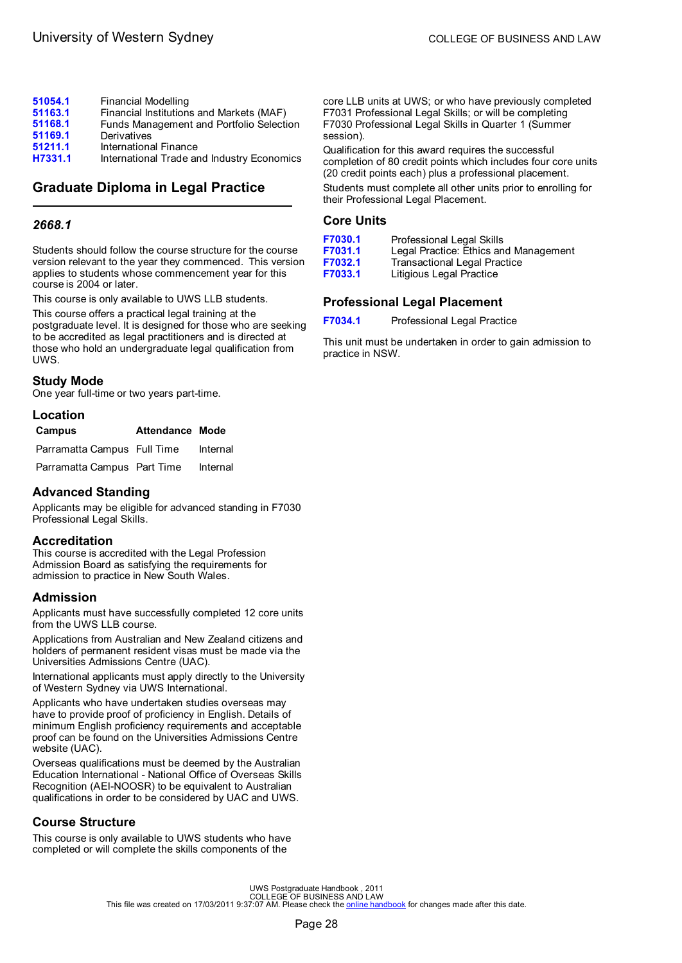<span id="page-31-0"></span>

| 51054.1 | Financial Modelling                        |
|---------|--------------------------------------------|
| 51163.1 | Financial Institutions and Markets (MAF)   |
| 51168.1 | Funds Management and Portfolio Selection   |
| 51169.1 |                                            |
|         | Derivatives                                |
| 51211.1 | International Finance                      |
| H7331.1 | International Trade and Industry Economics |

## **Graduate Diploma in Legal Practice**

#### *2668.1*

Students should follow the course structure for the course version relevant to the year they commenced. This version applies to students whose commencement year for this course is 2004 or later.

This course is only available to UWS LLB students.

This course offers a practical legal training at the postgraduate level. It is designed for those who are seeking to be accredited as legal practitioners and is directed at those who hold an undergraduate legal qualification from UWS.

#### **Study Mode**

One year full-time or two years part-time.

#### **Location**

| Campus                      | <b>Attendance Mode</b> |          |
|-----------------------------|------------------------|----------|
| Parramatta Campus Full Time |                        | Internal |
| Parramatta Campus Part Time |                        | Internal |

#### **Advanced Standing**

Applicants may be eligible for advanced standing in F7030 Professional Legal Skills.

#### **Accreditation**

This course is accredited with the Legal Profession Admission Board as satisfying the requirements for admission to practice in New South Wales.

#### **Admission**

Applicants must have successfully completed 12 core units from the UWS LLB course.

Applications from Australian and New Zealand citizens and holders of permanent resident visas must be made via the Universities Admissions Centre (UAC).

International applicants must apply directly to the University of Western Sydney via UWS International.

Applicants who have undertaken studies overseas may have to provide proof of proficiency in English. Details of minimum English proficiency requirements and acceptable proof can be found on the Universities Admissions Centre website (UAC).

Overseas qualifications must be deemed by the Australian Education International - National Office of Overseas Skills Recognition (AEI-NOOSR) to be equivalent to Australian qualifications in order to be considered by UAC and UWS.

#### **Course Structure**

This course is only available to UWS students who have completed or will complete the skills components of the

completion of 80 credit points which includes four core units (20 credit points each) plus a professional placement.

Students must complete all other units prior to enrolling for their Professional Legal Placement.

#### **Core Units**

| F7030.1 | Professional Legal Skills             |
|---------|---------------------------------------|
| F7031.1 | Legal Practice: Ethics and Management |
| F7032.1 | <b>Transactional Legal Practice</b>   |
| F7033.1 | Litigious Legal Practice              |

#### **Professional Legal Placement**

**[F7034.1](#page-55-0)** Professional Legal Practice

This unit must be undertaken in order to gain admission to practice in NSW.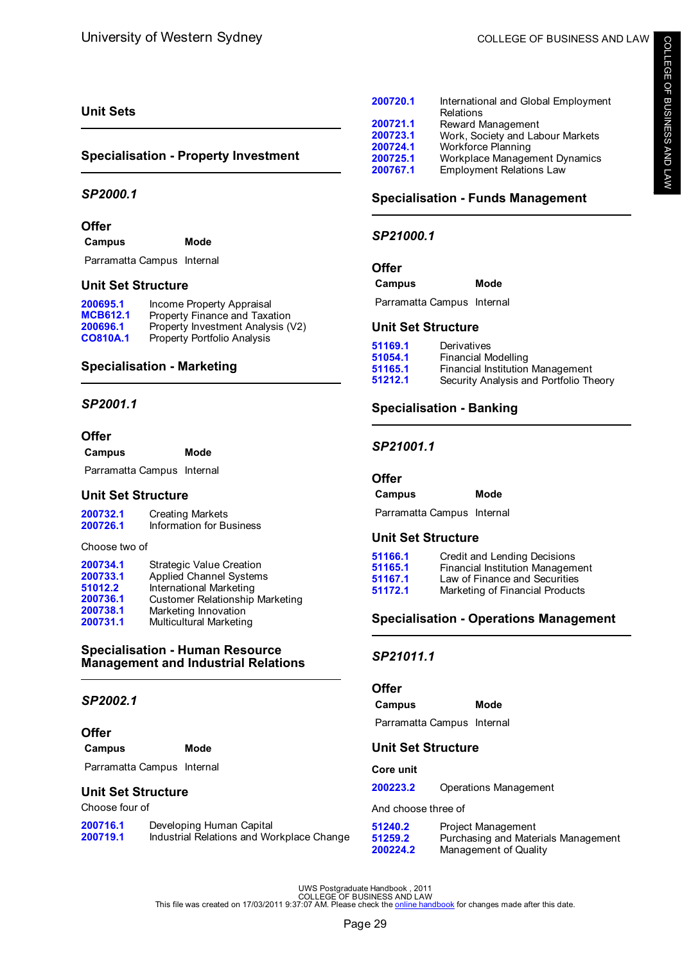#### <span id="page-32-0"></span>**Unit Sets**

#### **Specialisation - Property Investment**

#### *SP2000.1*

#### **Offer**

**Campus Mode**

Parramatta Campus Internal

#### **Unit Set Structure**

| 200695.1        | Income Property Appraisal          |
|-----------------|------------------------------------|
| <b>MCB612.1</b> | Property Finance and Taxation      |
| 200696.1        | Property Investment Analysis (V2)  |
| <b>CO810A.1</b> | <b>Property Portfolio Analysis</b> |

### **Specialisation - Marketing**

#### *SP2001.1*

### **Offer**

**Campus Mode**

Parramatta Campus Internal

#### **Unit Set Structure**

| 200732.1 | <b>Creating Markets</b>  |  |
|----------|--------------------------|--|
| 200726.1 | Information for Business |  |

#### Choose two of

| 200734.1 | <b>Strategic Value Creation</b>        |
|----------|----------------------------------------|
| 200733.1 | <b>Applied Channel Systems</b>         |
| 51012.2  | International Marketing                |
| 200736.1 | <b>Customer Relationship Marketing</b> |
| 200738.1 | Marketing Innovation                   |
| 200731.1 | Multicultural Marketing                |

#### **Specialisation - Human Resource Management and Industrial Relations**

#### *SP2002.1*

#### **Offer**

**Campus Mode**

Parramatta Campus Internal

#### **Unit Set Structure**

Choose four of

| 200716.1 | Developing Human Capital                  |
|----------|-------------------------------------------|
| 200719.1 | Industrial Relations and Workplace Change |

| 200720.1 | International and Global Employment |
|----------|-------------------------------------|
|          | <b>Relations</b>                    |
| 200721.1 | Reward Management                   |
| 200723.1 | Work, Society and Labour Markets    |
| 200724.1 | Workforce Planning                  |
| 200725.1 | Workplace Management Dynamics       |
| 200767.1 | <b>Employment Relations Law</b>     |

### **Specialisation - Funds Management**

#### *SP21000.1*

### **Offer**

| Campus | Mode |
|--------|------|
|--------|------|

Parramatta Campus Internal

#### **Unit Set Structure**

| 51169.1 | Derivatives                            |
|---------|----------------------------------------|
| 51054.1 | Financial Modelling                    |
| 51165.1 | Financial Institution Management       |
| 51212.1 | Security Analysis and Portfolio Theory |

### **Specialisation - Banking**

#### *SP21001.1*

| <b>Offer</b> |      |
|--------------|------|
| Campus       | Mode |

Parramatta Campus Internal

#### **Unit Set Structure**

| 51166.1 | Credit and Lending Decisions     |
|---------|----------------------------------|
| 51165.1 | Financial Institution Management |
| 51167.1 | Law of Finance and Securities    |
| 51172.1 | Marketing of Financial Products  |

#### **Specialisation - Operations Management**

#### *SP21011.1*

**Campus Mode**

Parramatta Campus Internal

### **Unit Set Structure**

#### **Core unit**

| 200223.2 |  | <b>Operations Management</b> |
|----------|--|------------------------------|
|----------|--|------------------------------|

#### And choose three of

| 51240.2  | Project Management                  |
|----------|-------------------------------------|
| 51259.2  | Purchasing and Materials Management |
| 200224.2 | Management of Quality               |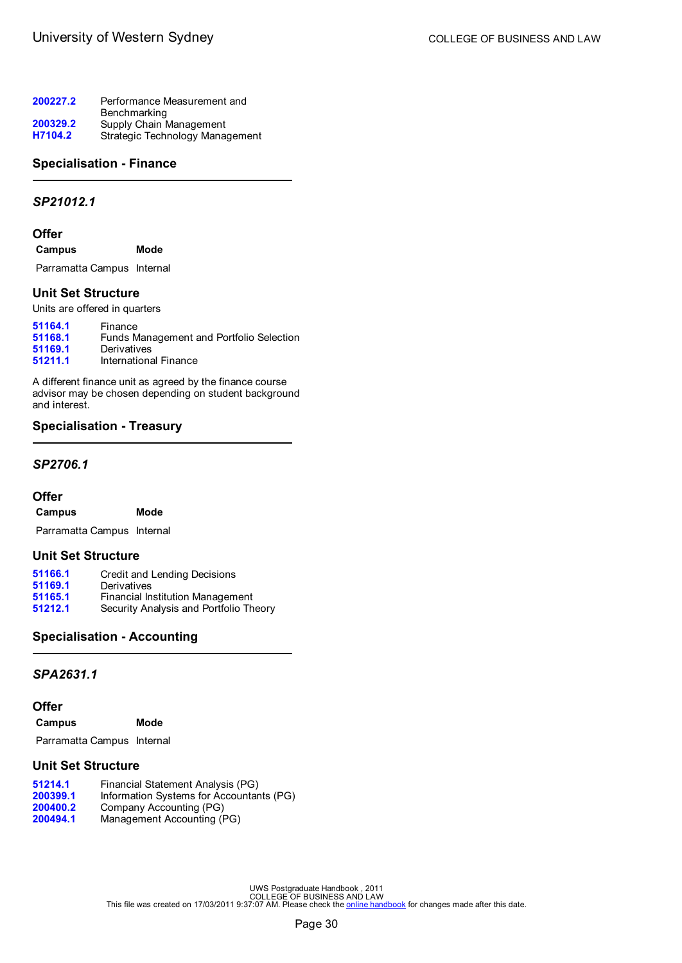<span id="page-33-0"></span>

| 200227.2 | Performance Measurement and     |
|----------|---------------------------------|
|          | Benchmarking                    |
| 200329.2 | Supply Chain Management         |
| H7104.2  | Strategic Technology Management |

#### **Specialisation - Finance**

#### *SP21012.1*

#### **Offer**

**Campus Mode**

Parramatta Campus Internal

#### **Unit Set Structure**

Units are offered in quarters

| 51164.1 | Finance                                  |
|---------|------------------------------------------|
| 51168.1 | Funds Management and Portfolio Selection |
| 51169.1 | Derivatives                              |
| 51211.1 | International Finance                    |

A different finance unit as agreed by the finance course advisor may be chosen depending on student background and interest.

### **Specialisation - Treasury**

### *SP2706.1*

#### **Offer**

**Campus Mode**

Parramatta Campus Internal

#### **Unit Set Structure**

| Credit and Lending Decisions           |
|----------------------------------------|
| Derivatives                            |
| Financial Institution Management       |
| Security Analysis and Portfolio Theory |
|                                        |

### **Specialisation - Accounting**

### *SPA2631.1*

#### **Offer**

| Campus | Mode |
|--------|------|
|        |      |

Parramatta Campus Internal

### **Unit Set Structure**

| 51214.1  | Financial Statement Analysis (PG)        |
|----------|------------------------------------------|
| 200399.1 | Information Systems for Accountants (PG) |
| 200400.2 | Company Accounting (PG)                  |
| 200494.1 | Management Accounting (PG)               |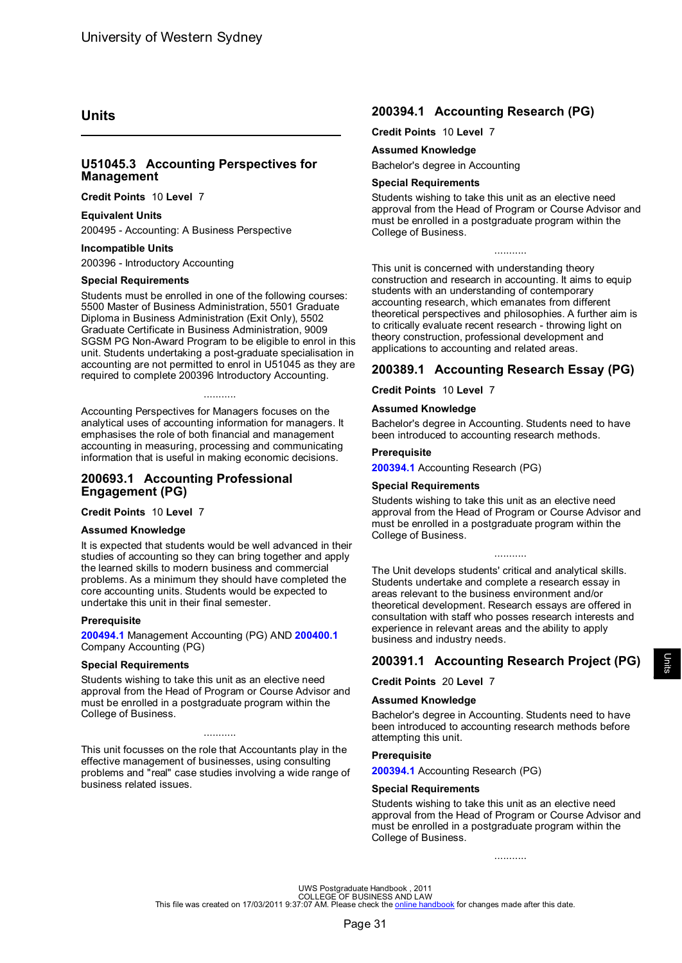### <span id="page-34-0"></span>**Units**

#### **U51045.3 Accounting Perspectives for Management**

**Credit Points** 10 **Level** 7

#### **Equivalent Units**

200495 - Accounting: A Business Perspective

#### **Incompatible Units**

200396 - Introductory Accounting

#### **Special Requirements**

Students must be enrolled in one of the following courses: 5500 Master of Business Administration, 5501 Graduate Diploma in Business Administration (Exit Only), 5502 Graduate Certificate in Business Administration, 9009 SGSM PG Non-Award Program to be eligible to enrol in this unit. Students undertaking a post-graduate specialisation in accounting are not permitted to enrol in U51045 as they are required to complete 200396 Introductory Accounting.

...........

Accounting Perspectives for Managers focuses on the analytical uses of accounting information for managers. It emphasises the role of both financial and management accounting in measuring, processing and communicating information that is useful in making economic decisions.

#### **200693.1 Accounting Professional Engagement (PG)**

#### **Credit Points** 10 **Level** 7

#### **Assumed Knowledge**

It is expected that students would be well advanced in their studies of accounting so they can bring together and apply the learned skills to modern business and commercial problems. As a minimum they should have completed the core accounting units. Students would be expected to undertake this unit in their final semester.

#### **Prerequisite**

**[200494.1](#page-50-0)** Management Accounting (PG) AND **200400.1** Company Accounting (PG)

#### **Special Requirements**

Students wishing to take this unit as an elective need approval from the Head of Program or Course Advisor and must be enrolled in a postgraduate program within the College of Business.

This unit focusses on the role that Accountants play in the effective management of businesses, using consulting problems and "real" case studies involving a wide range of business related issues.

...........

### **200394.1 Accounting Research (PG)**

**Credit Points** 10 **Level** 7

#### **Assumed Knowledge**

Bachelor's degree in Accounting

#### **Special Requirements**

Students wishing to take this unit as an elective need approval from the Head of Program or Course Advisor and must be enrolled in a postgraduate program within the College of Business.

...........

This unit is concerned with understanding theory construction and research in accounting. It aims to equip students with an understanding of contemporary accounting research, which emanates from different theoretical perspectives and philosophies. A further aim is to critically evaluate recent research - throwing light on theory construction, professional development and applications to accounting and related areas.

### **200389.1 Accounting Research Essay (PG)**

#### **Credit Points** 10 **Level** 7

#### **Assumed Knowledge**

Bachelor's degree in Accounting. Students need to have been introduced to accounting research methods.

#### **Prerequisite**

**200394.1** Accounting Research (PG)

#### **Special Requirements**

Students wishing to take this unit as an elective need approval from the Head of Program or Course Advisor and must be enrolled in a postgraduate program within the College of Business.

...........

The Unit develops students' critical and analytical skills. Students undertake and complete a research essay in areas relevant to the business environment and/or theoretical development. Research essays are offered in consultation with staff who posses research interests and experience in relevant areas and the ability to apply business and industry needs.

### **200391.1 Accounting Research Project (PG)**

**Credit Points** 20 **Level** 7

#### **Assumed Knowledge**

Bachelor's degree in Accounting. Students need to have been introduced to accounting research methods before attempting this unit.

#### **Prerequisite**

**200394.1** Accounting Research (PG)

#### **Special Requirements**

Students wishing to take this unit as an elective need approval from the Head of Program or Course Advisor and must be enrolled in a postgraduate program within the College of Business.

...........

UWS Postgraduate Handbook , 2011 COLLEGE OF BUSINESS AND LAW This file was created on 17/03/2011 9:37:07 AM. Please check the online [handbook](http://handbook.uws.edu.au/hbook/) for changes made after this date.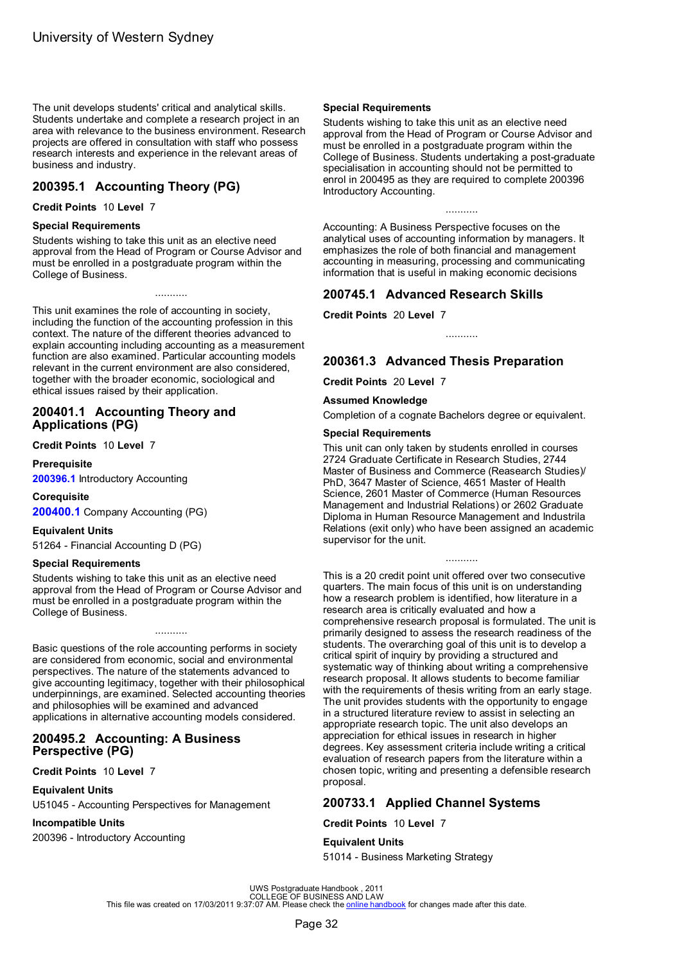<span id="page-35-0"></span>The unit develops students' critical and analytical skills. Students undertake and complete a research project in an area with relevance to the business environment. Research projects are offered in consultation with staff who possess research interests and experience in the relevant areas of business and industry.

### **200395.1 Accounting Theory (PG)**

**Credit Points** 10 **Level** 7

#### **Special Requirements**

Students wishing to take this unit as an elective need approval from the Head of Program or Course Advisor and must be enrolled in a postgraduate program within the College of Business.

...........

This unit examines the role of accounting in society, including the function of the accounting profession in this context. The nature of the different theories advanced to explain accounting including accounting as a measurement function are also examined. Particular accounting models relevant in the current environment are also considered, together with the broader economic, sociological and ethical issues raised by their application.

#### **200401.1 Accounting Theory and Applications (PG)**

**Credit Points** 10 **Level** 7

**Prerequisite 200396.1** Introductory Accounting

**Corequisite 200400.1** Company Accounting (PG)

**Equivalent Units** 51264 - Financial Accounting D (PG)

#### **Special Requirements**

Students wishing to take this unit as an elective need approval from the Head of Program or Course Advisor and must be enrolled in a postgraduate program within the College of Business.

...........

Basic questions of the role accounting performs in society are considered from economic, social and environmental perspectives. The nature of the statements advanced to give accounting legitimacy, together with their philosophical underpinnings, are examined. Selected accounting theories and philosophies will be examined and advanced applications in alternative accounting models considered.

#### **200495.2 Accounting: A Business Perspective (PG)**

**Credit Points** 10 **Level** 7

#### **Equivalent Units**

U51045 - Accounting Perspectives for Management

#### **Incompatible Units**

200396 - Introductory Accounting

#### **Special Requirements**

Students wishing to take this unit as an elective need approval from the Head of Program or Course Advisor and must be enrolled in a postgraduate program within the College of Business. Students undertaking a post-graduate specialisation in accounting should not be permitted to enrol in 200495 as they are required to complete 200396 Introductory Accounting.

Accounting: A Business Perspective focuses on the analytical uses of accounting information by managers. It emphasizes the role of both financial and management accounting in measuring, processing and communicating information that is useful in making economic decisions

### **200745.1 Advanced Research Skills**

**Credit Points** 20 **Level** 7

### **200361.3 Advanced Thesis Preparation**

...........

**Credit Points** 20 **Level** 7

#### **Assumed Knowledge**

Completion of a cognate Bachelors degree or equivalent.

#### **Special Requirements**

This unit can only taken by students enrolled in courses 2724 Graduate Certificate in Research Studies, 2744 Master of Business and Commerce (Reasearch Studies)/ PhD, 3647 Master of Science, 4651 Master of Health Science, 2601 Master of Commerce (Human Resources Management and Industrial Relations) or 2602 Graduate Diploma in Human Resource Management and Industrila Relations (exit only) who have been assigned an academic supervisor for the unit.

...........

This is a 20 credit point unit offered over two consecutive quarters. The main focus of this unit is on understanding how a research problem is identified, how literature in a research area is critically evaluated and how a comprehensive research proposal is formulated. The unit is primarily designed to assess the research readiness of the students. The overarching goal of this unit is to develop a critical spirit of inquiry by providing a structured and systematic way of thinking about writing a comprehensive research proposal. It allows students to become familiar with the requirements of thesis writing from an early stage. The unit provides students with the opportunity to engage in a structured literature review to assist in selecting an appropriate research topic. The unit also develops an appreciation for ethical issues in research in higher degrees. Key assessment criteria include writing a critical evaluation of research papers from the literature within a chosen topic, writing and presenting a defensible research proposal.

### **200733.1 Applied Channel Systems**

**Credit Points** 10 **Level** 7

#### **Equivalent Units**

51014 - Business Marketing Strategy

UWS Postgraduate Handbook , 2011 COLLEGE OF BUSINESS AND LAW This file was created on 17/03/2011 9:37:07 AM. Please check the online [handbook](http://handbook.uws.edu.au/hbook/) for changes made after this date.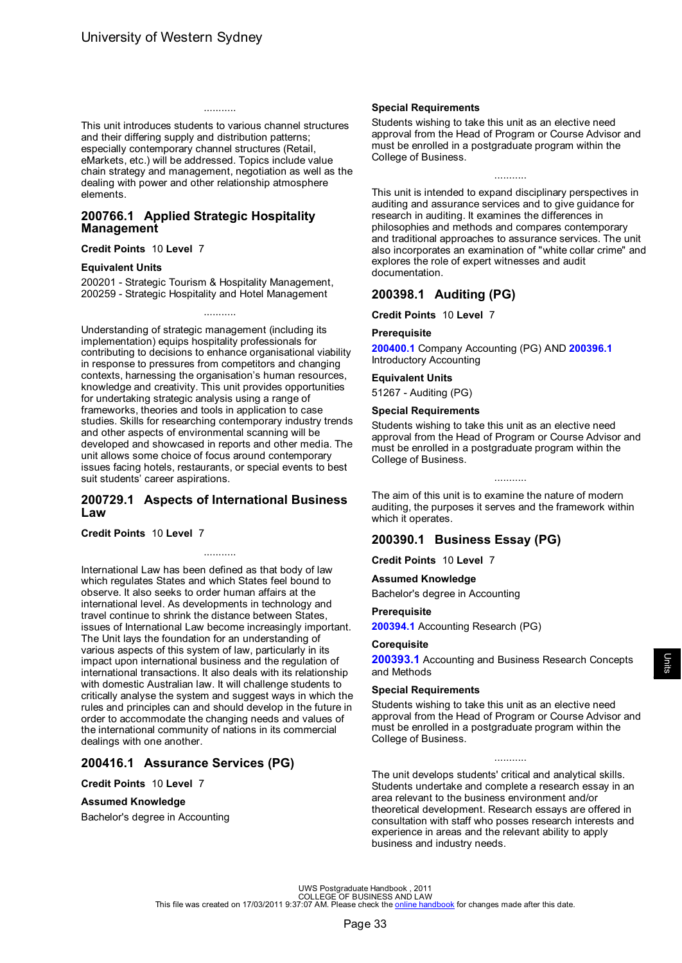<span id="page-36-0"></span>This unit introduces students to various channel structures and their differing supply and distribution patterns; especially contemporary channel structures (Retail, eMarkets, etc.) will be addressed. Topics include value chain strategy and management, negotiation as well as the dealing with power and other relationship atmosphere elements.

...........

### **200766.1 Applied Strategic Hospitality Management**

#### **Credit Points** 10 **Level** 7

#### **Equivalent Units**

200201 - Strategic Tourism & Hospitality Management, 200259 - Strategic Hospitality and Hotel Management

...........

Understanding of strategic management (including its implementation) equips hospitality professionals for contributing to decisions to enhance organisational viability in response to pressures from competitors and changing contexts, harnessing the organisation's human resources, knowledge and creativity. This unit provides opportunities for undertaking strategic analysis using a range of frameworks, theories and tools in application to case studies. Skills for researching contemporary industry trends and other aspects of environmental scanning will be developed and showcased in reports and other media. The unit allows some choice of focus around contemporary issues facing hotels, restaurants, or special events to best suit students' career aspirations.

### **200729.1 Aspects of International Business Law**

...........

**Credit Points** 10 **Level** 7

International Law has been defined as that body of law which regulates States and which States feel bound to observe. It also seeks to order human affairs at the international level. As developments in technology and travel continue to shrink the distance between States, issues of International Law become increasingly important. The Unit lays the foundation for an understanding of various aspects of this system of law, particularly in its impact upon international business and the regulation of international transactions. It also deals with its relationship with domestic Australian law. It will challenge students to critically analyse the system and suggest ways in which the rules and principles can and should develop in the future in order to accommodate the changing needs and values of the international community of nations in its commercial dealings with one another.

### **200416.1 Assurance Services (PG)**

#### **Credit Points** 10 **Level** 7

#### **Assumed Knowledge**

Bachelor's degree in Accounting

#### **Special Requirements**

Students wishing to take this unit as an elective need approval from the Head of Program or Course Advisor and must be enrolled in a postgraduate program within the College of Business.

#### ...........

This unit is intended to expand disciplinary perspectives in auditing and assurance services and to give guidance for research in auditing. It examines the differences in philosophies and methods and compares contemporary and traditional approaches to assurance services. The unit also incorporates an examination of "white collar crime" and explores the role of expert witnesses and audit documentation.

#### **200398.1 Auditing (PG)**

**Credit Points** 10 **Level** 7

#### **Prerequisite**

**200400.1** Company Accounting (PG) AND **200396.1** Introductory Accounting

#### **Equivalent Units**

51267 - Auditing (PG)

#### **Special Requirements**

Students wishing to take this unit as an elective need approval from the Head of Program or Course Advisor and must be enrolled in a postgraduate program within the College of Business.

...........

The aim of this unit is to examine the nature of modern auditing, the purposes it serves and the framework within which it operates.

### **200390.1 Business Essay (PG)**

**Credit Points** 10 **Level** 7

#### **Assumed Knowledge**

Bachelor's degree in Accounting

#### **Prerequisite**

**[200394.1](#page-34-0)** Accounting Research (PG)

#### **Corequisite**

**200393.1** Accounting and Business Research Concepts and Methods

#### **Special Requirements**

Students wishing to take this unit as an elective need approval from the Head of Program or Course Advisor and must be enrolled in a postgraduate program within the College of Business.

#### ...........

The unit develops students' critical and analytical skills. Students undertake and complete a research essay in an area relevant to the business environment and/or theoretical development. Research essays are offered in consultation with staff who posses research interests and experience in areas and the relevant ability to apply business and industry needs.

UWS Postgraduate Handbook , 2011 COLLEGE OF BUSINESS AND LAW This file was created on 17/03/2011 9:37:07 AM. Please check the online [handbook](http://handbook.uws.edu.au/hbook/) for changes made after this date.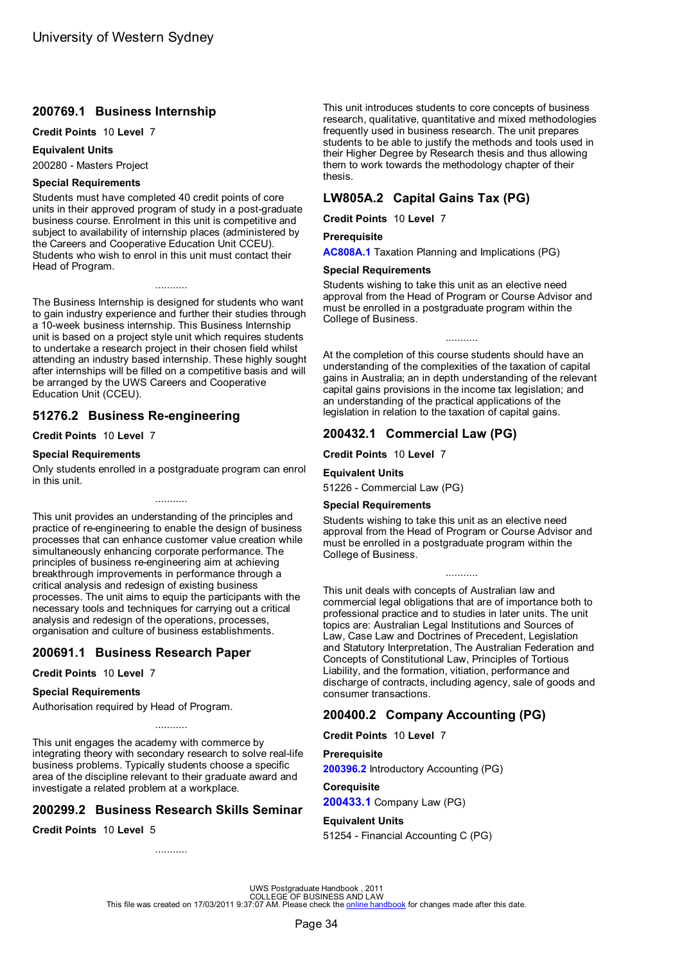## <span id="page-37-0"></span>**200769.1 Business Internship**

#### **Credit Points** 10 **Level** 7

#### **Equivalent Units**

200280 - Masters Project

### **Special Requirements**

Students must have completed 40 credit points of core units in their approved program of study in a post-graduate business course. Enrolment in this unit is competitive and subject to availability of internship places (administered by the Careers and Cooperative Education Unit CCEU). Students who wish to enrol in this unit must contact their Head of Program.

...........

The Business Internship is designed for students who want to gain industry experience and further their studies through a 10-week business internship. This Business Internship unit is based on a project style unit which requires students to undertake a research project in their chosen field whilst attending an industry based internship. These highly sought after internships will be filled on a competitive basis and will be arranged by the UWS Careers and Cooperative Education Unit (CCEU).

## **51276.2 Business Re-engineering**

#### **Credit Points** 10 **Level** 7

#### **Special Requirements**

Only students enrolled in a postgraduate program can enrol in this unit.

...........

This unit provides an understanding of the principles and practice of re-engineering to enable the design of business processes that can enhance customer value creation while simultaneously enhancing corporate performance. The principles of business re-engineering aim at achieving breakthrough improvements in performance through a critical analysis and redesign of existing business processes. The unit aims to equip the participants with the necessary tools and techniques for carrying out a critical analysis and redesign of the operations, processes, organisation and culture of business establishments.

## **200691.1 Business Research Paper**

#### **Credit Points** 10 **Level** 7

#### **Special Requirements**

Authorisation required by Head of Program.

This unit engages the academy with commerce by integrating theory with secondary research to solve real-life business problems. Typically students choose a specific area of the discipline relevant to their graduate award and investigate a related problem at a workplace.

...........

## **200299.2 Business Research Skills Seminar**

...........

**Credit Points** 10 **Level** 5

This unit introduces students to core concepts of business research, qualitative, quantitative and mixed methodologies frequently used in business research. The unit prepares students to be able to justify the methods and tools used in their Higher Degree by Research thesis and thus allowing them to work towards the methodology chapter of their thesis.

## **LW805A.2 Capital Gains Tax (PG)**

**Credit Points** 10 **Level** 7

#### **Prerequisite**

**[AC808A.1](#page-62-0)** Taxation Planning and Implications (PG)

#### **Special Requirements**

Students wishing to take this unit as an elective need approval from the Head of Program or Course Advisor and must be enrolled in a postgraduate program within the College of Business.

...........

At the completion of this course students should have an understanding of the complexities of the taxation of capital gains in Australia; an in depth understanding of the relevant capital gains provisions in the income tax legislation; and an understanding of the practical applications of the legislation in relation to the taxation of capital gains.

## **200432.1 Commercial Law (PG)**

**Credit Points** 10 **Level** 7

#### **Equivalent Units**

51226 - Commercial Law (PG)

### **Special Requirements**

Students wishing to take this unit as an elective need approval from the Head of Program or Course Advisor and must be enrolled in a postgraduate program within the College of Business.

...........

This unit deals with concepts of Australian law and commercial legal obligations that are of importance both to professional practice and to studies in later units. The unit topics are: Australian Legal Institutions and Sources of Law, Case Law and Doctrines of Precedent, Legislation and Statutory Interpretation, The Australian Federation and Concepts of Constitutional Law, Principles of Tortious Liability, and the formation, vitiation, performance and discharge of contracts, including agency, sale of goods and consumer transactions.

## **200400.2 Company Accounting (PG)**

**Credit Points** 10 **Level** 7

### **Prerequisite**

**[200396.2](#page-48-0)** Introductory Accounting (PG)

### **Corequisite**

**[200433.1](#page-38-0)** Company Law (PG)

### **Equivalent Units**

51254 - Financial Accounting C (PG)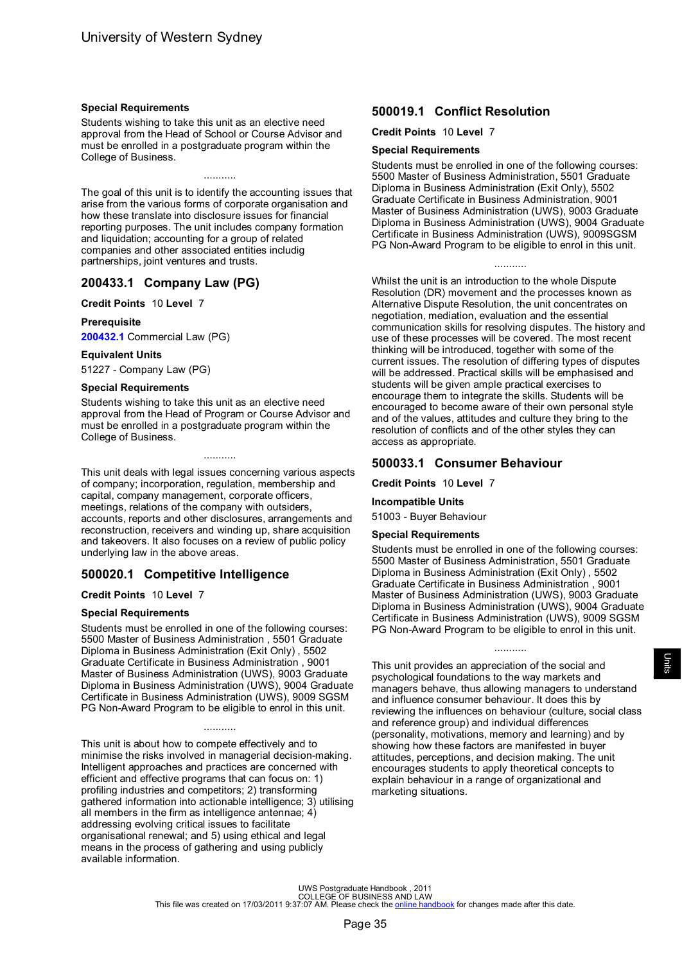#### <span id="page-38-0"></span>**Special Requirements**

Students wishing to take this unit as an elective need approval from the Head of School or Course Advisor and must be enrolled in a postgraduate program within the College of Business.

...........

The goal of this unit is to identify the accounting issues that arise from the various forms of corporate organisation and how these translate into disclosure issues for financial reporting purposes. The unit includes company formation and liquidation; accounting for a group of related companies and other associated entities includig partnerships, joint ventures and trusts.

### **200433.1 Company Law (PG)**

**Credit Points** 10 **Level** 7

#### **Prerequisite**

**[200432.1](#page-37-0)** Commercial Law (PG)

## **Equivalent Units**

51227 - Company Law (PG)

#### **Special Requirements**

Students wishing to take this unit as an elective need approval from the Head of Program or Course Advisor and must be enrolled in a postgraduate program within the College of Business.

...........

This unit deals with legal issues concerning various aspects of company; incorporation, regulation, membership and capital, company management, corporate officers, meetings, relations of the company with outsiders, accounts, reports and other disclosures, arrangements and reconstruction, receivers and winding up, share acquisition and takeovers. It also focuses on a review of public policy underlying law in the above areas.

### **500020.1 Competitive Intelligence**

#### **Credit Points** 10 **Level** 7

#### **Special Requirements**

Students must be enrolled in one of the following courses: 5500 Master of Business Administration , 5501 Graduate Diploma in Business Administration (Exit Only) , 5502 Graduate Certificate in Business Administration , 9001 Master of Business Administration (UWS), 9003 Graduate Diploma in Business Administration (UWS), 9004 Graduate Certificate in Business Administration (UWS), 9009 SGSM PG Non-Award Program to be eligible to enrol in this unit.

...........

This unit is about how to compete effectively and to minimise the risks involved in managerial decision-making. Intelligent approaches and practices are concerned with efficient and effective programs that can focus on: 1) profiling industries and competitors; 2) transforming gathered information into actionable intelligence; 3) utilising all members in the firm as intelligence antennae; 4) addressing evolving critical issues to facilitate organisational renewal; and 5) using ethical and legal means in the process of gathering and using publicly available information.

## **500019.1 Conflict Resolution**

**Credit Points** 10 **Level** 7

#### **Special Requirements**

Students must be enrolled in one of the following courses: 5500 Master of Business Administration, 5501 Graduate Diploma in Business Administration (Exit Only), 5502 Graduate Certificate in Business Administration, 9001 Master of Business Administration (UWS), 9003 Graduate Diploma in Business Administration (UWS), 9004 Graduate Certificate in Business Administration (UWS), 9009SGSM PG Non-Award Program to be eligible to enrol in this unit.

...........

Whilst the unit is an introduction to the whole Dispute Resolution (DR) movement and the processes known as Alternative Dispute Resolution, the unit concentrates on negotiation, mediation, evaluation and the essential communication skills for resolving disputes. The history and use of these processes will be covered. The most recent thinking will be introduced, together with some of the current issues. The resolution of differing types of disputes will be addressed. Practical skills will be emphasised and students will be given ample practical exercises to encourage them to integrate the skills. Students will be encouraged to become aware of their own personal style and of the values, attitudes and culture they bring to the resolution of conflicts and of the other styles they can access as appropriate.

## **500033.1 Consumer Behaviour**

**Credit Points** 10 **Level** 7

### **Incompatible Units**

51003 - Buyer Behaviour

#### **Special Requirements**

Students must be enrolled in one of the following courses: 5500 Master of Business Administration, 5501 Graduate Diploma in Business Administration (Exit Only) , 5502 Graduate Certificate in Business Administration , 9001 Master of Business Administration (UWS), 9003 Graduate Diploma in Business Administration (UWS), 9004 Graduate Certificate in Business Administration (UWS), 9009 SGSM PG Non-Award Program to be eligible to enrol in this unit.

...........

This unit provides an appreciation of the social and psychological foundations to the way markets and managers behave, thus allowing managers to understand and influence consumer behaviour. It does this by reviewing the influences on behaviour (culture, social class and reference group) and individual differences (personality, motivations, memory and learning) and by showing how these factors are manifested in buyer attitudes, perceptions, and decision making. The unit encourages students to apply theoretical concepts to explain behaviour in a range of organizational and marketing situations.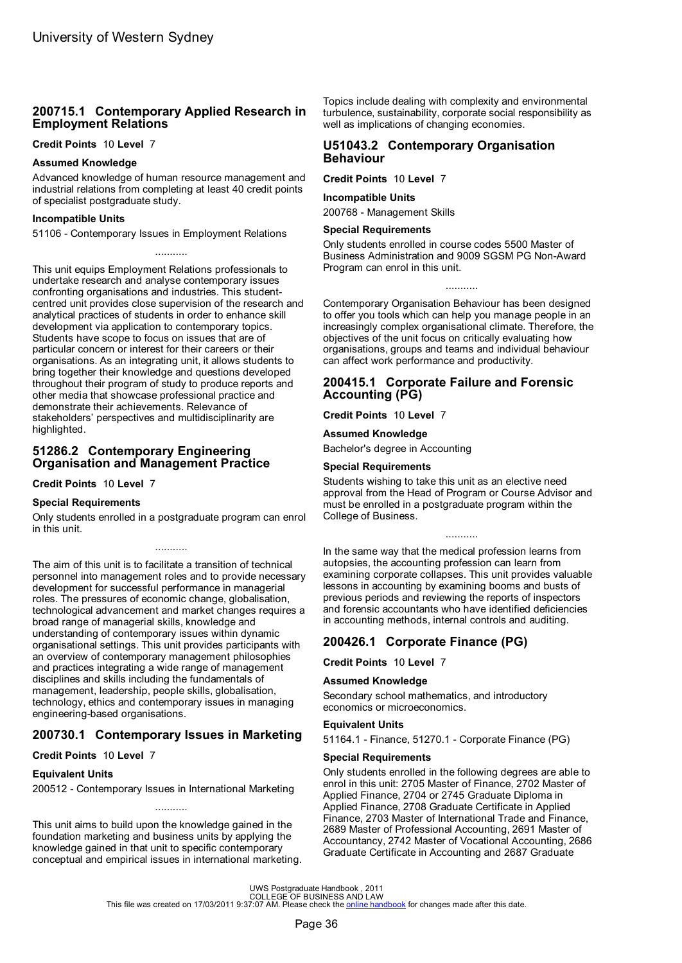### <span id="page-39-0"></span>**200715.1 Contemporary Applied Research in Employment Relations**

#### **Credit Points** 10 **Level** 7

#### **Assumed Knowledge**

Advanced knowledge of human resource management and industrial relations from completing at least 40 credit points of specialist postgraduate study.

#### **Incompatible Units**

51106 - Contemporary Issues in Employment Relations

...........

This unit equips Employment Relations professionals to undertake research and analyse contemporary issues confronting organisations and industries. This studentcentred unit provides close supervision of the research and analytical practices of students in order to enhance skill development via application to contemporary topics. Students have scope to focus on issues that are of particular concern or interest for their careers or their organisations. As an integrating unit, it allows students to bring together their knowledge and questions developed throughout their program of study to produce reports and other media that showcase professional practice and demonstrate their achievements. Relevance of stakeholders' perspectives and multidisciplinarity are highlighted.

### **51286.2 Contemporary Engineering Organisation and Management Practice**

**Credit Points** 10 **Level** 7

#### **Special Requirements**

Only students enrolled in a postgraduate program can enrol in this unit.

...........

The aim of this unit is to facilitate a transition of technical personnel into management roles and to provide necessary development for successful performance in managerial roles. The pressures of economic change, globalisation, technological advancement and market changes requires a broad range of managerial skills, knowledge and understanding of contemporary issues within dynamic organisational settings. This unit provides participants with an overview of contemporary management philosophies and practices integrating a wide range of management disciplines and skills including the fundamentals of management, leadership, people skills, globalisation, technology, ethics and contemporary issues in managing engineering-based organisations.

## **200730.1 Contemporary Issues in Marketing**

### **Credit Points** 10 **Level** 7

#### **Equivalent Units**

200512 - Contemporary Issues in International Marketing

This unit aims to build upon the knowledge gained in the foundation marketing and business units by applying the knowledge gained in that unit to specific contemporary conceptual and empirical issues in international marketing.

...........

Topics include dealing with complexity and environmental turbulence, sustainability, corporate social responsibility as well as implications of changing economies.

## **U51043.2 Contemporary Organisation Behaviour**

**Credit Points** 10 **Level** 7

#### **Incompatible Units**

200768 - Management Skills

#### **Special Requirements**

Only students enrolled in course codes 5500 Master of Business Administration and 9009 SGSM PG Non-Award Program can enrol in this unit.

...........

Contemporary Organisation Behaviour has been designed to offer you tools which can help you manage people in an increasingly complex organisational climate. Therefore, the objectives of the unit focus on critically evaluating how organisations, groups and teams and individual behaviour can affect work performance and productivity.

### **200415.1 Corporate Failure and Forensic Accounting (PG)**

**Credit Points** 10 **Level** 7

### **Assumed Knowledge**

Bachelor's degree in Accounting

#### **Special Requirements**

Students wishing to take this unit as an elective need approval from the Head of Program or Course Advisor and must be enrolled in a postgraduate program within the College of Business.

........... In the same way that the medical profession learns from autopsies, the accounting profession can learn from examining corporate collapses. This unit provides valuable lessons in accounting by examining booms and busts of

previous periods and reviewing the reports of inspectors and forensic accountants who have identified deficiencies in accounting methods, internal controls and auditing.

### **200426.1 Corporate Finance (PG)**

**Credit Points** 10 **Level** 7

#### **Assumed Knowledge**

Secondary school mathematics, and introductory economics or microeconomics.

#### **Equivalent Units**

51164.1 - Finance, 51270.1 - Corporate Finance (PG)

#### **Special Requirements**

Only students enrolled in the following degrees are able to enrol in this unit: 2705 Master of Finance, 2702 Master of Applied Finance, 2704 or 2745 Graduate Diploma in Applied Finance, 2708 Graduate Certificate in Applied Finance, 2703 Master of International Trade and Finance, 2689 Master of Professional Accounting, 2691 Master of Accountancy, 2742 Master of Vocational Accounting, 2686 Graduate Certificate in Accounting and 2687 Graduate

UWS Postgraduate Handbook , 2011 COLLEGE OF BUSINESS AND LAW

This file was created on 17/03/2011 9:37:07 AM. Please check the online [handbook](http://handbook.uws.edu.au/hbook/) for changes made after this date.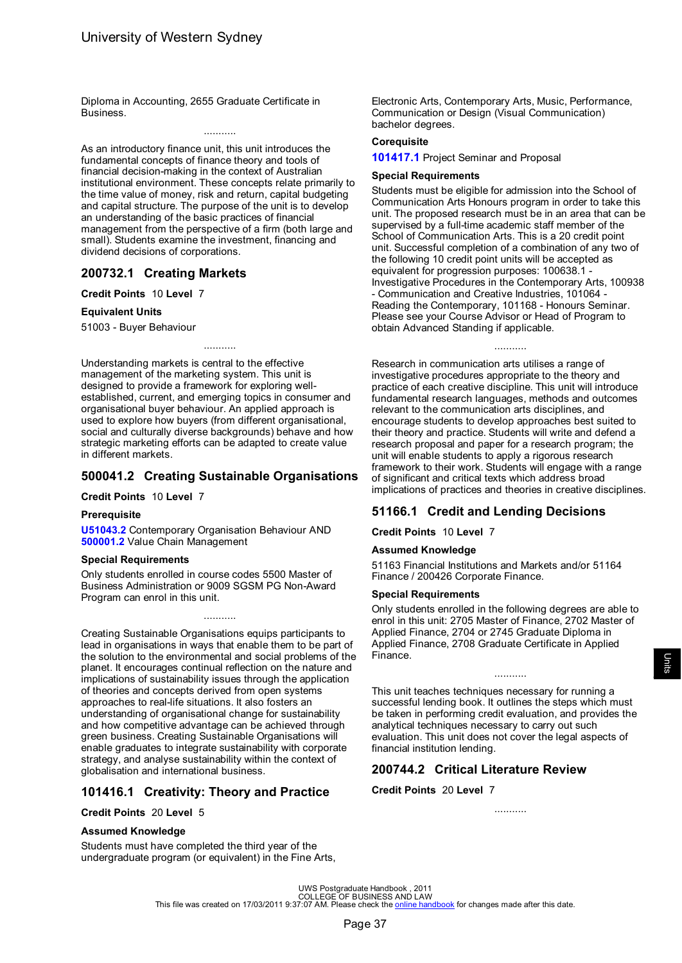<span id="page-40-0"></span>Diploma in Accounting, 2655 Graduate Certificate in Business.

#### ...........

As an introductory finance unit, this unit introduces the fundamental concepts of finance theory and tools of financial decision-making in the context of Australian institutional environment. These concepts relate primarily to the time value of money, risk and return, capital budgeting and capital structure. The purpose of the unit is to develop an understanding of the basic practices of financial management from the perspective of a firm (both large and small). Students examine the investment, financing and dividend decisions of corporations.

## **200732.1 Creating Markets**

**Credit Points** 10 **Level** 7

#### **Equivalent Units**

51003 - Buyer Behaviour

Understanding markets is central to the effective management of the marketing system. This unit is designed to provide a framework for exploring wellestablished, current, and emerging topics in consumer and organisational buyer behaviour. An applied approach is used to explore how buyers (from different organisational, social and culturally diverse backgrounds) behave and how strategic marketing efforts can be adapted to create value in different markets.

...........

### **500041.2 Creating Sustainable Organisations**

**Credit Points** 10 **Level** 7

#### **Prerequisite**

**[U51043.2](#page-39-0)** Contemporary Organisation Behaviour AND **[500001.2](#page-63-0)** Value Chain Management

#### **Special Requirements**

Only students enrolled in course codes 5500 Master of Business Administration or 9009 SGSM PG Non-Award Program can enrol in this unit.

...........

Creating Sustainable Organisations equips participants to lead in organisations in ways that enable them to be part of the solution to the environmental and social problems of the planet. It encourages continual reflection on the nature and implications of sustainability issues through the application of theories and concepts derived from open systems approaches to real-life situations. It also fosters an understanding of organisational change for sustainability and how competitive advantage can be achieved through green business. Creating Sustainable Organisations will enable graduates to integrate sustainability with corporate strategy, and analyse sustainability within the context of globalisation and international business.

## **101416.1 Creativity: Theory and Practice**

#### **Credit Points** 20 **Level** 5

#### **Assumed Knowledge**

Students must have completed the third year of the undergraduate program (or equivalent) in the Fine Arts, Electronic Arts, Contemporary Arts, Music, Performance, Communication or Design (Visual Communication) bachelor degrees.

#### **Corequisite**

**[101417.1](#page-56-0)** Project Seminar and Proposal

#### **Special Requirements**

Students must be eligible for admission into the School of Communication Arts Honours program in order to take this unit. The proposed research must be in an area that can be supervised by a full-time academic staff member of the School of Communication Arts. This is a 20 credit point unit. Successful completion of a combination of any two of the following 10 credit point units will be accepted as equivalent for progression purposes: 100638.1 - Investigative Procedures in the Contemporary Arts, 100938 - Communication and Creative Industries, 101064 - Reading the Contemporary, 101168 - Honours Seminar. Please see your Course Advisor or Head of Program to obtain Advanced Standing if applicable.

Research in communication arts utilises a range of investigative procedures appropriate to the theory and practice of each creative discipline. This unit will introduce fundamental research languages, methods and outcomes relevant to the communication arts disciplines, and encourage students to develop approaches best suited to their theory and practice. Students will write and defend a research proposal and paper for a research program; the unit will enable students to apply a rigorous research framework to their work. Students will engage with a range of significant and critical texts which address broad implications of practices and theories in creative disciplines.

...........

## **51166.1 Credit and Lending Decisions**

**Credit Points** 10 **Level** 7

#### **Assumed Knowledge**

51163 Financial Institutions and Markets and/or 51164 Finance / 200426 Corporate Finance.

#### **Special Requirements**

Only students enrolled in the following degrees are able to enrol in this unit: 2705 Master of Finance, 2702 Master of Applied Finance, 2704 or 2745 Graduate Diploma in Applied Finance, 2708 Graduate Certificate in Applied Finance.

...........

This unit teaches techniques necessary for running a successful lending book. It outlines the steps which must be taken in performing credit evaluation, and provides the analytical techniques necessary to carry out such evaluation. This unit does not cover the legal aspects of financial institution lending.

...........

## **200744.2 Critical Literature Review**

**Credit Points** 20 **Level** 7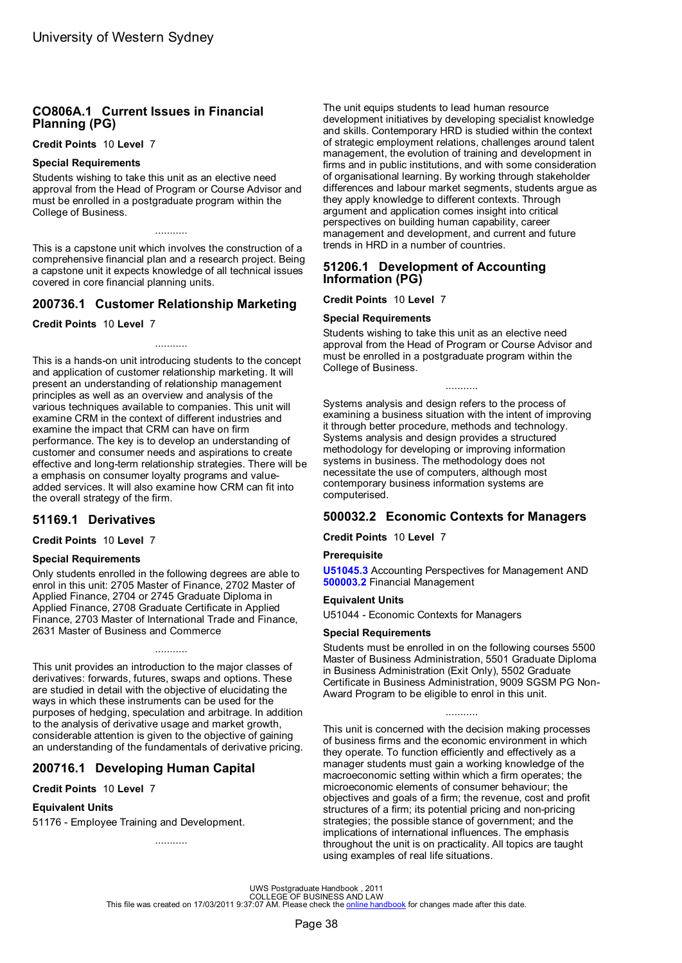## <span id="page-41-0"></span>**CO806A.1 Current Issues in Financial Planning (PG)**

#### **Credit Points** 10 **Level** 7

#### **Special Requirements**

Students wishing to take this unit as an elective need approval from the Head of Program or Course Advisor and must be enrolled in a postgraduate program within the College of Business.

This is a capstone unit which involves the construction of a comprehensive financial plan and a research project. Being a capstone unit it expects knowledge of all technical issues covered in core financial planning units.

...........

## **200736.1 Customer Relationship Marketing**

#### **Credit Points** 10 **Level** 7

...........

This is a hands-on unit introducing students to the concept and application of customer relationship marketing. It will present an understanding of relationship management principles as well as an overview and analysis of the various techniques available to companies. This unit will examine CRM in the context of different industries and examine the impact that CRM can have on firm performance. The key is to develop an understanding of customer and consumer needs and aspirations to create effective and long-term relationship strategies. There will be a emphasis on consumer loyalty programs and valueadded services. It will also examine how CRM can fit into the overall strategy of the firm.

### **51169.1 Derivatives**

#### **Credit Points** 10 **Level** 7

#### **Special Requirements**

Only students enrolled in the following degrees are able to enrol in this unit: 2705 Master of Finance, 2702 Master of Applied Finance, 2704 or 2745 Graduate Diploma in Applied Finance, 2708 Graduate Certificate in Applied Finance, 2703 Master of International Trade and Finance, 2631 Master of Business and Commerce

...........

This unit provides an introduction to the major classes of derivatives: forwards, futures, swaps and options. These are studied in detail with the objective of elucidating the ways in which these instruments can be used for the purposes of hedging, speculation and arbitrage. In addition to the analysis of derivative usage and market growth, considerable attention is given to the objective of gaining an understanding of the fundamentals of derivative pricing.

...........

## **200716.1 Developing Human Capital**

### **Credit Points** 10 **Level** 7

### **Equivalent Units**

51176 - Employee Training and Development.

The unit equips students to lead human resource development initiatives by developing specialist knowledge and skills. Contemporary HRD is studied within the context of strategic employment relations, challenges around talent management, the evolution of training and development in firms and in public institutions, and with some consideration of organisational learning. By working through stakeholder differences and labour market segments, students argue as they apply knowledge to different contexts. Through argument and application comes insight into critical perspectives on building human capability, career management and development, and current and future trends in HRD in a number of countries.

## **51206.1 Development of Accounting Information (PG)**

**Credit Points** 10 **Level** 7

#### **Special Requirements**

Students wishing to take this unit as an elective need approval from the Head of Program or Course Advisor and must be enrolled in a postgraduate program within the College of Business.

...........

Systems analysis and design refers to the process of examining a business situation with the intent of improving it through better procedure, methods and technology. Systems analysis and design provides a structured methodology for developing or improving information systems in business. The methodology does not necessitate the use of computers, although most contemporary business information systems are computerised.

### **500032.2 Economic Contexts for Managers**

#### **Credit Points** 10 **Level** 7

#### **Prerequisite**

**[U51045.3](#page-34-0)** Accounting Perspectives for Management AND **[500003.2](#page-43-0)** Financial Management

### **Equivalent Units**

U51044 - Economic Contexts for Managers

#### **Special Requirements**

Students must be enrolled in on the following courses 5500 Master of Business Administration, 5501 Graduate Diploma in Business Administration (Exit Only), 5502 Graduate Certificate in Business Administration, 9009 SGSM PG Non-Award Program to be eligible to enrol in this unit.

...........

This unit is concerned with the decision making processes of business firms and the economic environment in which they operate. To function efficiently and effectively as a manager students must gain a working knowledge of the macroeconomic setting within which a firm operates; the microeconomic elements of consumer behaviour; the objectives and goals of a firm; the revenue, cost and profit structures of a firm; its potential pricing and non-pricing strategies; the possible stance of government; and the implications of international influences. The emphasis throughout the unit is on practicality. All topics are taught using examples of real life situations.

UWS Postgraduate Handbook , 2011 COLLEGE OF BUSINESS AND LAW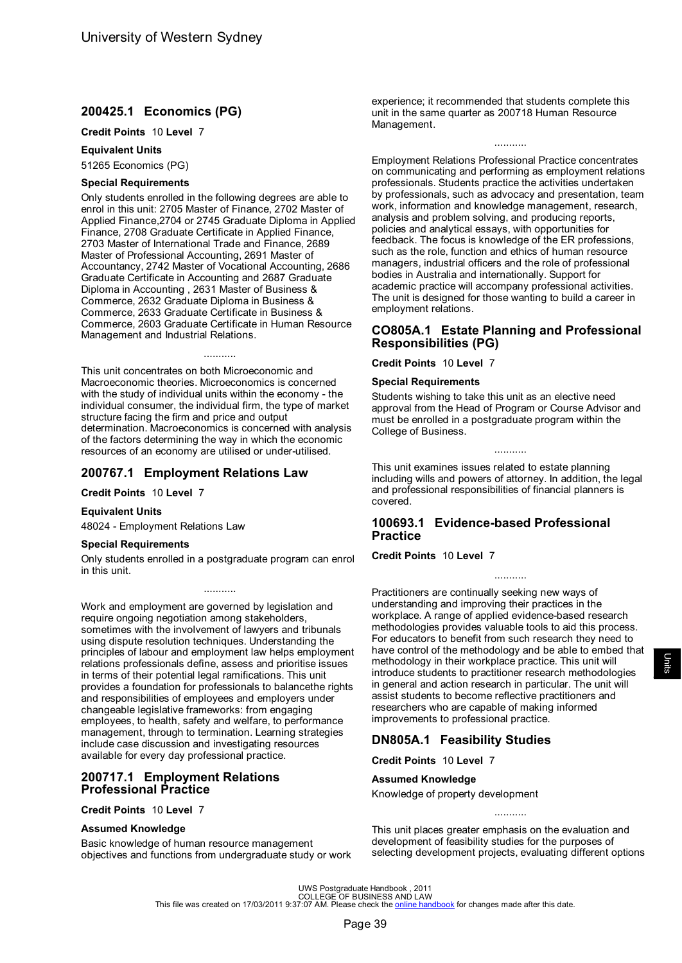## <span id="page-42-0"></span>**200425.1 Economics (PG)**

#### **Credit Points** 10 **Level** 7

#### **Equivalent Units**

51265 Economics (PG)

#### **Special Requirements**

Only students enrolled in the following degrees are able to enrol in this unit: 2705 Master of Finance, 2702 Master of Applied Finance,2704 or 2745 Graduate Diploma in Applied Finance, 2708 Graduate Certificate in Applied Finance, 2703 Master of International Trade and Finance, 2689 Master of Professional Accounting, 2691 Master of Accountancy, 2742 Master of Vocational Accounting, 2686 Graduate Certificate in Accounting and 2687 Graduate Diploma in Accounting , 2631 Master of Business & Commerce, 2632 Graduate Diploma in Business & Commerce, 2633 Graduate Certificate in Business & Commerce, 2603 Graduate Certificate in Human Resource Management and Industrial Relations.

This unit concentrates on both Microeconomic and Macroeconomic theories. Microeconomics is concerned with the study of individual units within the economy - the individual consumer, the individual firm, the type of market structure facing the firm and price and output determination. Macroeconomics is concerned with analysis of the factors determining the way in which the economic resources of an economy are utilised or under-utilised.

...........

## **200767.1 Employment Relations Law**

**Credit Points** 10 **Level** 7

#### **Equivalent Units**

48024 - Employment Relations Law

#### **Special Requirements**

Only students enrolled in a postgraduate program can enrol in this unit.

...........

Work and employment are governed by legislation and require ongoing negotiation among stakeholders, sometimes with the involvement of lawyers and tribunals using dispute resolution techniques. Understanding the principles of labour and employment law helps employment relations professionals define, assess and prioritise issues in terms of their potential legal ramifications. This unit provides a foundation for professionals to balancethe rights and responsibilities of employees and employers under changeable legislative frameworks: from engaging employees, to health, safety and welfare, to performance management, through to termination. Learning strategies include case discussion and investigating resources available for every day professional practice.

### **200717.1 Employment Relations Professional Practice**

### **Credit Points** 10 **Level** 7

#### **Assumed Knowledge**

Basic knowledge of human resource management objectives and functions from undergraduate study or work experience; it recommended that students complete this unit in the same quarter as 200718 Human Resource Management.

...........

Employment Relations Professional Practice concentrates on communicating and performing as employment relations professionals. Students practice the activities undertaken by professionals, such as advocacy and presentation, team work, information and knowledge management, research, analysis and problem solving, and producing reports, policies and analytical essays, with opportunities for feedback. The focus is knowledge of the ER professions, such as the role, function and ethics of human resource managers, industrial officers and the role of professional bodies in Australia and internationally. Support for academic practice will accompany professional activities. The unit is designed for those wanting to build a career in employment relations.

### **CO805A.1 Estate Planning and Professional Responsibilities (PG)**

**Credit Points** 10 **Level** 7

#### **Special Requirements**

Students wishing to take this unit as an elective need approval from the Head of Program or Course Advisor and must be enrolled in a postgraduate program within the College of Business.

This unit examines issues related to estate planning including wills and powers of attorney. In addition, the legal and professional responsibilities of financial planners is covered.

...........

### **100693.1 Evidence-based Professional Practice**

#### **Credit Points** 10 **Level** 7

Practitioners are continually seeking new ways of understanding and improving their practices in the workplace. A range of applied evidence-based research methodologies provides valuable tools to aid this process. For educators to benefit from such research they need to have control of the methodology and be able to embed that methodology in their workplace practice. This unit will introduce students to practitioner research methodologies in general and action research in particular. The unit will assist students to become reflective practitioners and researchers who are capable of making informed improvements to professional practice.

...........

### **DN805A.1 Feasibility Studies**

**Credit Points** 10 **Level** 7

#### **Assumed Knowledge**

Knowledge of property development

This unit places greater emphasis on the evaluation and development of feasibility studies for the purposes of selecting development projects, evaluating different options

...........

Page 39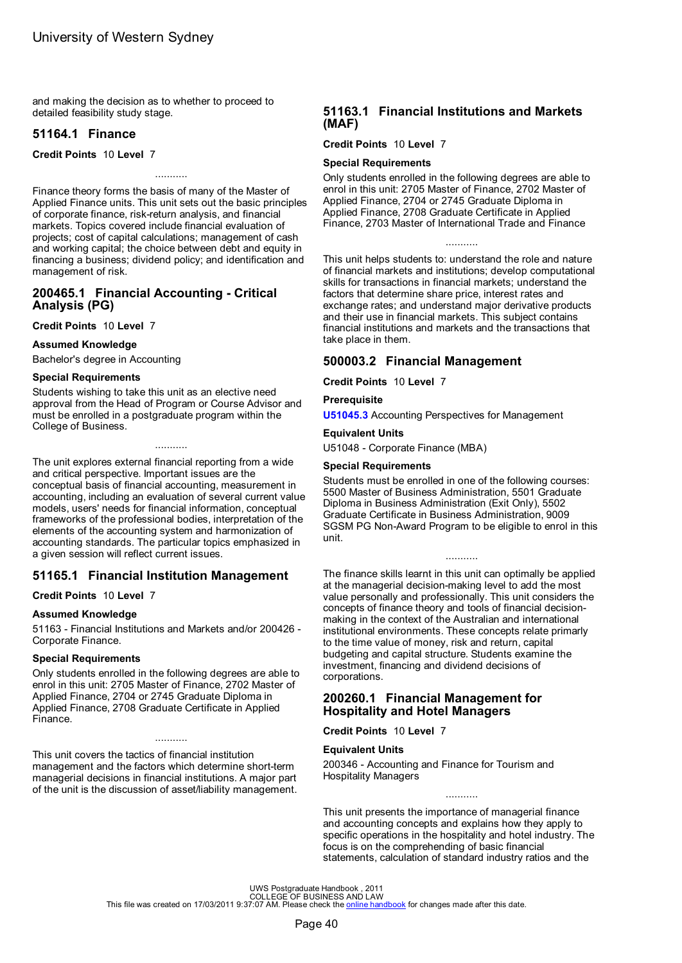<span id="page-43-0"></span>and making the decision as to whether to proceed to detailed feasibility study stage.

### **51164.1 Finance**

**Credit Points** 10 **Level** 7

Finance theory forms the basis of many of the Master of Applied Finance units. This unit sets out the basic principles of corporate finance, risk-return analysis, and financial markets. Topics covered include financial evaluation of projects; cost of capital calculations; management of cash and working capital; the choice between debt and equity in financing a business; dividend policy; and identification and management of risk.

### **200465.1 Financial Accounting - Critical Analysis (PG)**

**Credit Points** 10 **Level** 7

#### **Assumed Knowledge**

Bachelor's degree in Accounting

#### **Special Requirements**

Students wishing to take this unit as an elective need approval from the Head of Program or Course Advisor and must be enrolled in a postgraduate program within the College of Business.

...........

The unit explores external financial reporting from a wide and critical perspective. Important issues are the conceptual basis of financial accounting, measurement in accounting, including an evaluation of several current value models, users' needs for financial information, conceptual frameworks of the professional bodies, interpretation of the elements of the accounting system and harmonization of accounting standards. The particular topics emphasized in a given session will reflect current issues.

### **51165.1 Financial Institution Management**

**Credit Points** 10 **Level** 7

#### **Assumed Knowledge**

51163 - Financial Institutions and Markets and/or 200426 - Corporate Finance.

#### **Special Requirements**

Only students enrolled in the following degrees are able to enrol in this unit: 2705 Master of Finance, 2702 Master of Applied Finance, 2704 or 2745 Graduate Diploma in Applied Finance, 2708 Graduate Certificate in Applied Finance.

...........

This unit covers the tactics of financial institution management and the factors which determine short-term managerial decisions in financial institutions. A major part of the unit is the discussion of asset/liability management.

## **51163.1 Financial Institutions and Markets (MAF)**

**Credit Points** 10 **Level** 7

#### **Special Requirements**

Only students enrolled in the following degrees are able to enrol in this unit: 2705 Master of Finance, 2702 Master of Applied Finance, 2704 or 2745 Graduate Diploma in Applied Finance, 2708 Graduate Certificate in Applied Finance, 2703 Master of International Trade and Finance

...........

This unit helps students to: understand the role and nature of financial markets and institutions; develop computational skills for transactions in financial markets; understand the factors that determine share price, interest rates and exchange rates; and understand major derivative products and their use in financial markets. This subject contains financial institutions and markets and the transactions that take place in them.

### **500003.2 Financial Management**

**Credit Points** 10 **Level** 7

#### **Prerequisite**

**[U51045.3](#page-34-0)** Accounting Perspectives for Management

#### **Equivalent Units**

U51048 - Corporate Finance (MBA)

#### **Special Requirements**

Students must be enrolled in one of the following courses: 5500 Master of Business Administration, 5501 Graduate Diploma in Business Administration (Exit Only), 5502 Graduate Certificate in Business Administration, 9009 SGSM PG Non-Award Program to be eligible to enrol in this unit.

...........

The finance skills learnt in this unit can optimally be applied at the managerial decision-making level to add the most value personally and professionally. This unit considers the concepts of finance theory and tools of financial decisionmaking in the context of the Australian and international institutional environments. These concepts relate primarly to the time value of money, risk and return, capital budgeting and capital structure. Students examine the investment, financing and dividend decisions of corporations.

### **200260.1 Financial Management for Hospitality and Hotel Managers**

**Credit Points** 10 **Level** 7

#### **Equivalent Units**

200346 - Accounting and Finance for Tourism and Hospitality Managers

This unit presents the importance of managerial finance and accounting concepts and explains how they apply to specific operations in the hospitality and hotel industry. The focus is on the comprehending of basic financial statements, calculation of standard industry ratios and the

...........

UWS Postgraduate Handbook , 2011 COLLEGE OF BUSINESS AND LAW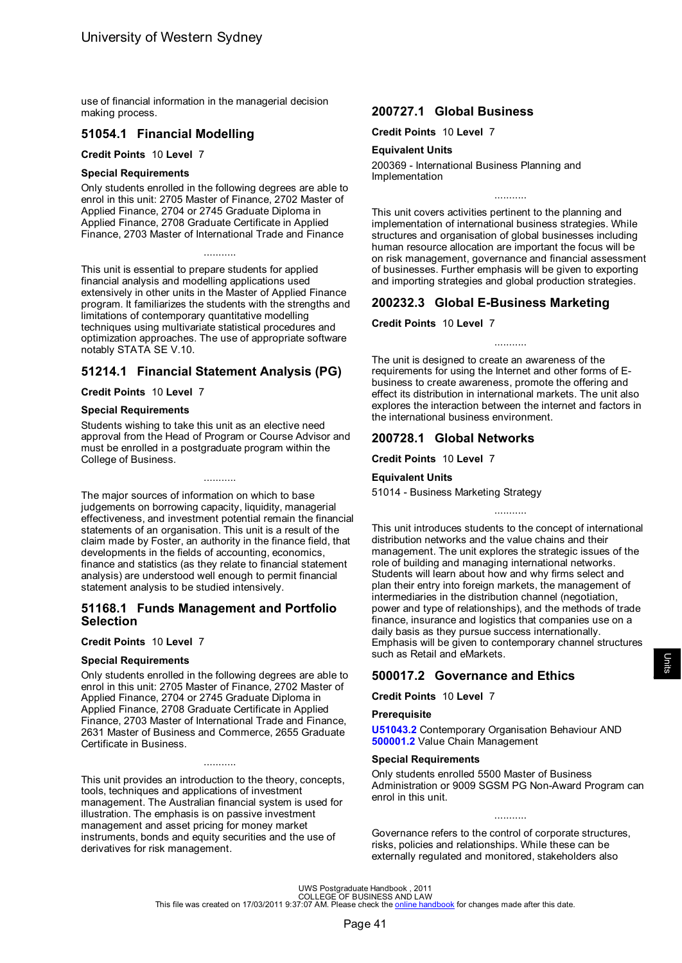<span id="page-44-0"></span>use of financial information in the managerial decision making process.

## **51054.1 Financial Modelling**

#### **Credit Points** 10 **Level** 7

#### **Special Requirements**

Only students enrolled in the following degrees are able to enrol in this unit: 2705 Master of Finance, 2702 Master of Applied Finance, 2704 or 2745 Graduate Diploma in Applied Finance, 2708 Graduate Certificate in Applied Finance, 2703 Master of International Trade and Finance

...........

This unit is essential to prepare students for applied financial analysis and modelling applications used extensively in other units in the Master of Applied Finance program. It familiarizes the students with the strengths and limitations of contemporary quantitative modelling techniques using multivariate statistical procedures and optimization approaches. The use of appropriate software notably STATA SE V.10.

## **51214.1 Financial Statement Analysis (PG)**

#### **Credit Points** 10 **Level** 7

#### **Special Requirements**

Students wishing to take this unit as an elective need approval from the Head of Program or Course Advisor and must be enrolled in a postgraduate program within the College of Business.

...........

The major sources of information on which to base judgements on borrowing capacity, liquidity, managerial effectiveness, and investment potential remain the financial statements of an organisation. This unit is a result of the claim made by Foster, an authority in the finance field, that developments in the fields of accounting, economics, finance and statistics (as they relate to financial statement analysis) are understood well enough to permit financial statement analysis to be studied intensively.

### **51168.1 Funds Management and Portfolio Selection**

#### **Credit Points** 10 **Level** 7

### **Special Requirements**

Only students enrolled in the following degrees are able to enrol in this unit: 2705 Master of Finance, 2702 Master of Applied Finance, 2704 or 2745 Graduate Diploma in Applied Finance, 2708 Graduate Certificate in Applied Finance, 2703 Master of International Trade and Finance, 2631 Master of Business and Commerce, 2655 Graduate Certificate in Business.

...........

This unit provides an introduction to the theory, concepts, tools, techniques and applications of investment management. The Australian financial system is used for illustration. The emphasis is on passive investment management and asset pricing for money market instruments, bonds and equity securities and the use of derivatives for risk management.

## **200727.1 Global Business**

**Credit Points** 10 **Level** 7

#### **Equivalent Units**

200369 - International Business Planning and Implementation

This unit covers activities pertinent to the planning and implementation of international business strategies. While structures and organisation of global businesses including human resource allocation are important the focus will be on risk management, governance and financial assessment of businesses. Further emphasis will be given to exporting and importing strategies and global production strategies.

...........

## **200232.3 Global E-Business Marketing**

#### **Credit Points** 10 **Level** 7

The unit is designed to create an awareness of the requirements for using the Internet and other forms of Ebusiness to create awareness, promote the offering and effect its distribution in international markets. The unit also explores the interaction between the internet and factors in the international business environment.

...........

### **200728.1 Global Networks**

**Credit Points** 10 **Level** 7

#### **Equivalent Units**

51014 - Business Marketing Strategy

This unit introduces students to the concept of international distribution networks and the value chains and their management. The unit explores the strategic issues of the role of building and managing international networks. Students will learn about how and why firms select and plan their entry into foreign markets, the management of intermediaries in the distribution channel (negotiation, power and type of relationships), and the methods of trade finance, insurance and logistics that companies use on a daily basis as they pursue success internationally. Emphasis will be given to contemporary channel structures such as Retail and eMarkets.

## **500017.2 Governance and Ethics**

**Credit Points** 10 **Level** 7

#### **Prerequisite**

**[U51043.2](#page-39-0)** Contemporary Organisation Behaviour AND **[500001.2](#page-63-0)** Value Chain Management

### **Special Requirements**

Only students enrolled 5500 Master of Business Administration or 9009 SGSM PG Non-Award Program can enrol in this unit.

...........

Governance refers to the control of corporate structures, risks, policies and relationships. While these can be externally regulated and monitored, stakeholders also

Page 41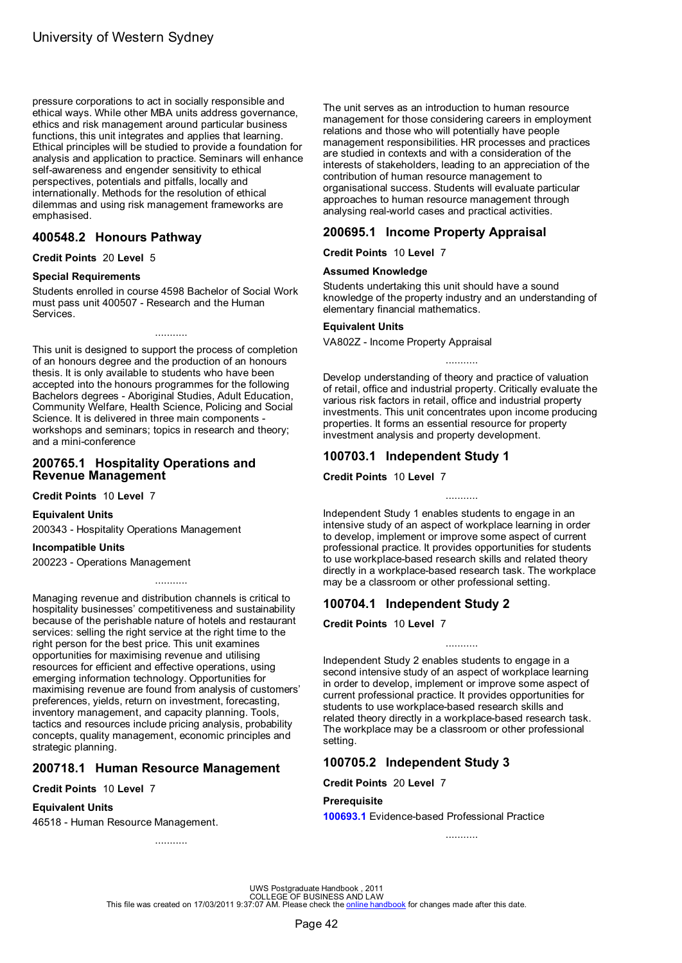<span id="page-45-0"></span>pressure corporations to act in socially responsible and ethical ways. While other MBA units address governance, ethics and risk management around particular business functions, this unit integrates and applies that learning. Ethical principles will be studied to provide a foundation for analysis and application to practice. Seminars will enhance self-awareness and engender sensitivity to ethical perspectives, potentials and pitfalls, locally and internationally. Methods for the resolution of ethical dilemmas and using risk management frameworks are emphasised.

### **400548.2 Honours Pathway**

#### **Credit Points** 20 **Level** 5

#### **Special Requirements**

Students enrolled in course 4598 Bachelor of Social Work must pass unit 400507 - Research and the Human Services.

...........

This unit is designed to support the process of completion of an honours degree and the production of an honours thesis. It is only available to students who have been accepted into the honours programmes for the following Bachelors degrees - Aboriginal Studies, Adult Education, Community Welfare, Health Science, Policing and Social Science. It is delivered in three main components workshops and seminars; topics in research and theory; and a mini-conference

### **200765.1 Hospitality Operations and Revenue Management**

**Credit Points** 10 **Level** 7

**Equivalent Units**

200343 - Hospitality Operations Management

#### **Incompatible Units**

200223 - Operations Management

Managing revenue and distribution channels is critical to hospitality businesses' competitiveness and sustainability because of the perishable nature of hotels and restaurant services: selling the right service at the right time to the right person for the best price. This unit examines opportunities for maximising revenue and utilising resources for efficient and effective operations, using emerging information technology. Opportunities for maximising revenue are found from analysis of customers' preferences, yields, return on investment, forecasting, inventory management, and capacity planning. Tools, tactics and resources include pricing analysis, probability concepts, quality management, economic principles and strategic planning.

...........

### **200718.1 Human Resource Management**

...........

**Credit Points** 10 **Level** 7

#### **Equivalent Units**

46518 - Human Resource Management.

The unit serves as an introduction to human resource management for those considering careers in employment relations and those who will potentially have people management responsibilities. HR processes and practices are studied in contexts and with a consideration of the interests of stakeholders, leading to an appreciation of the contribution of human resource management to organisational success. Students will evaluate particular approaches to human resource management through analysing real-world cases and practical activities.

## **200695.1 Income Property Appraisal**

**Credit Points** 10 **Level** 7

#### **Assumed Knowledge**

Students undertaking this unit should have a sound knowledge of the property industry and an understanding of elementary financial mathematics.

#### **Equivalent Units**

VA802Z - Income Property Appraisal

Develop understanding of theory and practice of valuation of retail, office and industrial property. Critically evaluate the various risk factors in retail, office and industrial property investments. This unit concentrates upon income producing properties. It forms an essential resource for property investment analysis and property development.

...........

### **100703.1 Independent Study 1**

**Credit Points** 10 **Level** 7

...........

Independent Study 1 enables students to engage in an intensive study of an aspect of workplace learning in order to develop, implement or improve some aspect of current professional practice. It provides opportunities for students to use workplace-based research skills and related theory directly in a workplace-based research task. The workplace may be a classroom or other professional setting.

### **100704.1 Independent Study 2**

**Credit Points** 10 **Level** 7

Independent Study 2 enables students to engage in a second intensive study of an aspect of workplace learning in order to develop, implement or improve some aspect of current professional practice. It provides opportunities for students to use workplace-based research skills and related theory directly in a workplace-based research task. The workplace may be a classroom or other professional setting.

...........

### **100705.2 Independent Study 3**

**Credit Points** 20 **Level** 7

#### **Prerequisite**

**[100693.1](#page-42-0)** Evidence-based Professional Practice

...........

UWS Postgraduate Handbook , 2011 COLLEGE OF BUSINESS AND LAW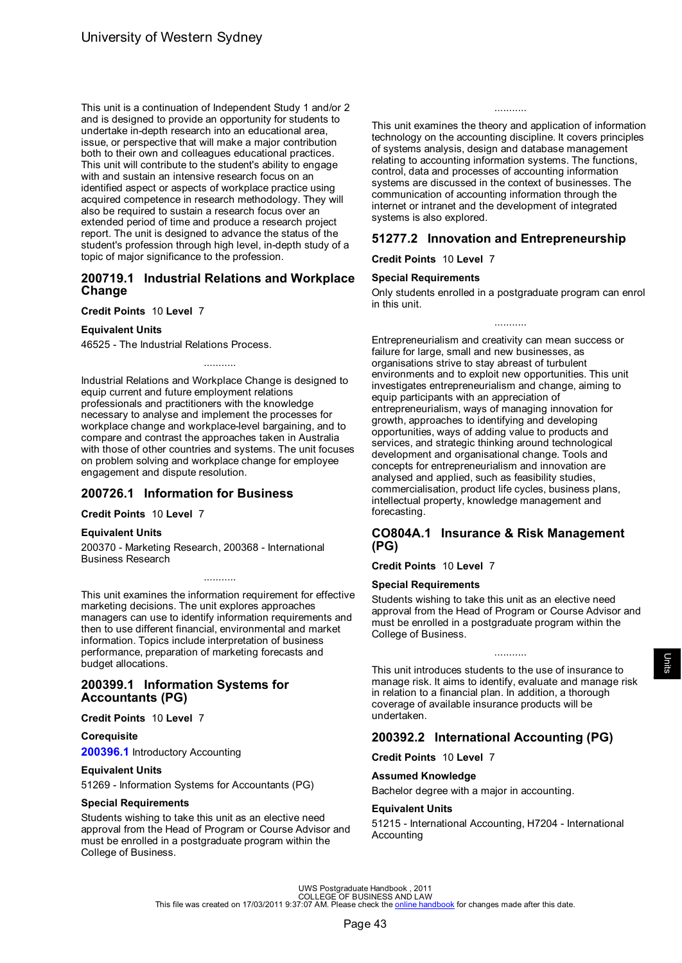<span id="page-46-0"></span>This unit is a continuation of Independent Study 1 and/or 2 and is designed to provide an opportunity for students to undertake in-depth research into an educational area, issue, or perspective that will make a major contribution both to their own and colleagues educational practices. This unit will contribute to the student's ability to engage with and sustain an intensive research focus on an identified aspect or aspects of workplace practice using acquired competence in research methodology. They will also be required to sustain a research focus over an extended period of time and produce a research project report. The unit is designed to advance the status of the student's profession through high level, in-depth study of a topic of major significance to the profession.

### **200719.1 Industrial Relations and Workplace Change**

**Credit Points** 10 **Level** 7

#### **Equivalent Units**

46525 - The Industrial Relations Process.

Industrial Relations and Workplace Change is designed to equip current and future employment relations professionals and practitioners with the knowledge necessary to analyse and implement the processes for workplace change and workplace-level bargaining, and to compare and contrast the approaches taken in Australia with those of other countries and systems. The unit focuses on problem solving and workplace change for employee engagement and dispute resolution.

...........

### **200726.1 Information for Business**

#### **Credit Points** 10 **Level** 7

#### **Equivalent Units**

200370 - Marketing Research, 200368 - International Business Research

This unit examines the information requirement for effective marketing decisions. The unit explores approaches managers can use to identify information requirements and then to use different financial, environmental and market information. Topics include interpretation of business performance, preparation of marketing forecasts and budget allocations.

### **200399.1 Information Systems for Accountants (PG)**

#### **Credit Points** 10 **Level** 7

#### **Corequisite**

**200396.1** Introductory Accounting

#### **Equivalent Units**

51269 - Information Systems for Accountants (PG)

#### **Special Requirements**

Students wishing to take this unit as an elective need approval from the Head of Program or Course Advisor and must be enrolled in a postgraduate program within the College of Business.

...........

This unit examines the theory and application of information technology on the accounting discipline. It covers principles of systems analysis, design and database management relating to accounting information systems. The functions, control, data and processes of accounting information systems are discussed in the context of businesses. The communication of accounting information through the internet or intranet and the development of integrated systems is also explored.

### **51277.2 Innovation and Entrepreneurship**

**Credit Points** 10 **Level** 7

#### **Special Requirements**

Only students enrolled in a postgraduate program can enrol in this unit.

...........

Entrepreneurialism and creativity can mean success or failure for large, small and new businesses, as organisations strive to stay abreast of turbulent environments and to exploit new opportunities. This unit investigates entrepreneurialism and change, aiming to equip participants with an appreciation of entrepreneurialism, ways of managing innovation for growth, approaches to identifying and developing opportunities, ways of adding value to products and services, and strategic thinking around technological development and organisational change. Tools and concepts for entrepreneurialism and innovation are analysed and applied, such as feasibility studies, commercialisation, product life cycles, business plans, intellectual property, knowledge management and forecasting.

### **CO804A.1 Insurance & Risk Management (PG)**

**Credit Points** 10 **Level** 7

#### **Special Requirements**

Students wishing to take this unit as an elective need approval from the Head of Program or Course Advisor and must be enrolled in a postgraduate program within the College of Business.

...........

This unit introduces students to the use of insurance to manage risk. It aims to identify, evaluate and manage risk in relation to a financial plan. In addition, a thorough coverage of available insurance products will be undertaken.

## **200392.2 International Accounting (PG)**

**Credit Points** 10 **Level** 7

#### **Assumed Knowledge**

Bachelor degree with a major in accounting.

#### **Equivalent Units**

51215 - International Accounting, H7204 - International Accounting

Units Units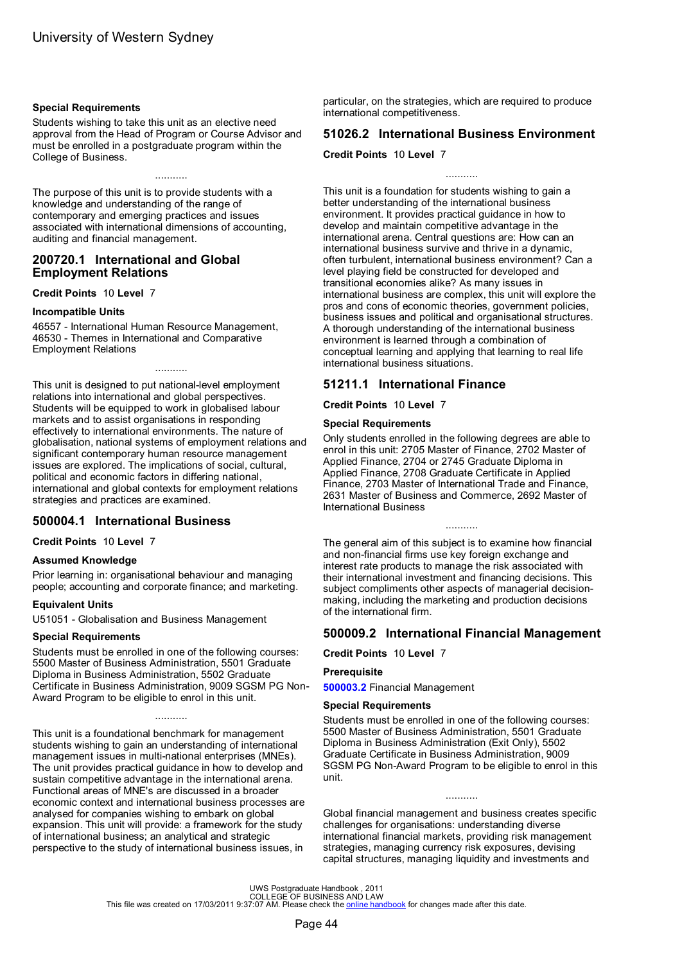#### <span id="page-47-0"></span>**Special Requirements**

Students wishing to take this unit as an elective need approval from the Head of Program or Course Advisor and must be enrolled in a postgraduate program within the College of Business.

...........

The purpose of this unit is to provide students with a knowledge and understanding of the range of contemporary and emerging practices and issues associated with international dimensions of accounting, auditing and financial management.

### **200720.1 International and Global Employment Relations**

**Credit Points** 10 **Level** 7

#### **Incompatible Units**

46557 - International Human Resource Management, 46530 - Themes in International and Comparative Employment Relations

This unit is designed to put national-level employment relations into international and global perspectives. Students will be equipped to work in globalised labour markets and to assist organisations in responding effectively to international environments. The nature of globalisation, national systems of employment relations and significant contemporary human resource management issues are explored. The implications of social, cultural, political and economic factors in differing national, international and global contexts for employment relations strategies and practices are examined.

...........

### **500004.1 International Business**

**Credit Points** 10 **Level** 7

#### **Assumed Knowledge**

Prior learning in: organisational behaviour and managing people; accounting and corporate finance; and marketing.

#### **Equivalent Units**

U51051 - Globalisation and Business Management

#### **Special Requirements**

Students must be enrolled in one of the following courses: 5500 Master of Business Administration, 5501 Graduate Diploma in Business Administration, 5502 Graduate Certificate in Business Administration, 9009 SGSM PG Non-Award Program to be eligible to enrol in this unit.

...........

This unit is a foundational benchmark for management students wishing to gain an understanding of international management issues in multi-national enterprises (MNEs). The unit provides practical guidance in how to develop and sustain competitive advantage in the international arena. Functional areas of MNE's are discussed in a broader economic context and international business processes are analysed for companies wishing to embark on global expansion. This unit will provide: a framework for the study of international business; an analytical and strategic perspective to the study of international business issues, in

particular, on the strategies, which are required to produce international competitiveness.

### **51026.2 International Business Environment**

#### **Credit Points** 10 **Level** 7

This unit is a foundation for students wishing to gain a better understanding of the international business environment. It provides practical guidance in how to develop and maintain competitive advantage in the international arena. Central questions are: How can an international business survive and thrive in a dynamic, often turbulent, international business environment? Can a level playing field be constructed for developed and transitional economies alike? As many issues in international business are complex, this unit will explore the pros and cons of economic theories, government policies, business issues and political and organisational structures. A thorough understanding of the international business environment is learned through a combination of conceptual learning and applying that learning to real life international business situations.

#### **51211.1 International Finance**

**Credit Points** 10 **Level** 7

#### **Special Requirements**

Only students enrolled in the following degrees are able to enrol in this unit: 2705 Master of Finance, 2702 Master of Applied Finance, 2704 or 2745 Graduate Diploma in Applied Finance, 2708 Graduate Certificate in Applied Finance, 2703 Master of International Trade and Finance, 2631 Master of Business and Commerce, 2692 Master of International Business

The general aim of this subject is to examine how financial and non-financial firms use key foreign exchange and interest rate products to manage the risk associated with their international investment and financing decisions. This subject compliments other aspects of managerial decisionmaking, including the marketing and production decisions of the international firm.

...........

### **500009.2 International Financial Management**

**Credit Points** 10 **Level** 7

#### **Prerequisite**

**[500003.2](#page-43-0)** Financial Management

#### **Special Requirements**

Students must be enrolled in one of the following courses: 5500 Master of Business Administration, 5501 Graduate Diploma in Business Administration (Exit Only), 5502 Graduate Certificate in Business Administration, 9009 SGSM PG Non-Award Program to be eligible to enrol in this unit.

Global financial management and business creates specific challenges for organisations: understanding diverse international financial markets, providing risk management strategies, managing currency risk exposures, devising capital structures, managing liquidity and investments and

...........

UWS Postgraduate Handbook , 2011 COLLEGE OF BUSINESS AND LAW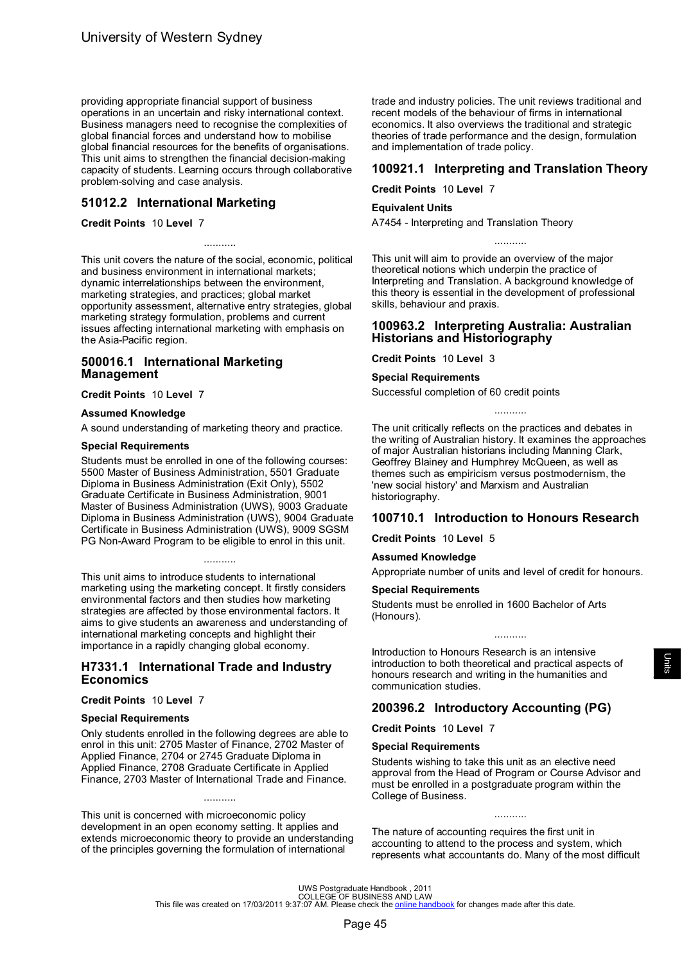<span id="page-48-0"></span>providing appropriate financial support of business operations in an uncertain and risky international context. Business managers need to recognise the complexities of global financial forces and understand how to mobilise global financial resources for the benefits of organisations. This unit aims to strengthen the financial decision-making capacity of students. Learning occurs through collaborative problem-solving and case analysis.

## **51012.2 International Marketing**

**Credit Points** 10 **Level** 7

This unit covers the nature of the social, economic, political and business environment in international markets; dynamic interrelationships between the environment, marketing strategies, and practices; global market opportunity assessment, alternative entry strategies, global marketing strategy formulation, problems and current issues affecting international marketing with emphasis on the Asia-Pacific region.

...........

### **500016.1 International Marketing Management**

**Credit Points** 10 **Level** 7

#### **Assumed Knowledge**

A sound understanding of marketing theory and practice.

#### **Special Requirements**

Students must be enrolled in one of the following courses: 5500 Master of Business Administration, 5501 Graduate Diploma in Business Administration (Exit Only), 5502 Graduate Certificate in Business Administration, 9001 Master of Business Administration (UWS), 9003 Graduate Diploma in Business Administration (UWS), 9004 Graduate Certificate in Business Administration (UWS), 9009 SGSM PG Non-Award Program to be eligible to enrol in this unit.

...........

This unit aims to introduce students to international marketing using the marketing concept. It firstly considers environmental factors and then studies how marketing strategies are affected by those environmental factors. It aims to give students an awareness and understanding of international marketing concepts and highlight their importance in a rapidly changing global economy.

### **H7331.1 International Trade and Industry Economics**

#### **Credit Points** 10 **Level** 7

#### **Special Requirements**

Only students enrolled in the following degrees are able to enrol in this unit: 2705 Master of Finance, 2702 Master of Applied Finance, 2704 or 2745 Graduate Diploma in Applied Finance, 2708 Graduate Certificate in Applied Finance, 2703 Master of International Trade and Finance.

This unit is concerned with microeconomic policy development in an open economy setting. It applies and extends microeconomic theory to provide an understanding of the principles governing the formulation of international

...........

trade and industry policies. The unit reviews traditional and recent models of the behaviour of firms in international economics. It also overviews the traditional and strategic theories of trade performance and the design, formulation and implementation of trade policy.

### **100921.1 Interpreting and Translation Theory**

**Credit Points** 10 **Level** 7

#### **Equivalent Units**

A7454 - Interpreting and Translation Theory

This unit will aim to provide an overview of the major theoretical notions which underpin the practice of Interpreting and Translation. A background knowledge of this theory is essential in the development of professional skills, behaviour and praxis.

...........

### **100963.2 Interpreting Australia: Australian Historians and Historiography**

**Credit Points** 10 **Level** 3

### **Special Requirements**

Successful completion of 60 credit points

The unit critically reflects on the practices and debates in the writing of Australian history. It examines the approaches of major Australian historians including Manning Clark, Geoffrey Blainey and Humphrey McQueen, as well as themes such as empiricism versus postmodernism, the 'new social history' and Marxism and Australian historiography.

...........

## **100710.1 Introduction to Honours Research**

**Credit Points** 10 **Level** 5

#### **Assumed Knowledge**

Appropriate number of units and level of credit for honours.

...........

#### **Special Requirements**

Students must be enrolled in 1600 Bachelor of Arts (Honours).

Introduction to Honours Research is an intensive introduction to both theoretical and practical aspects of honours research and writing in the humanities and communication studies.

### **200396.2 Introductory Accounting (PG)**

**Credit Points** 10 **Level** 7

#### **Special Requirements**

Students wishing to take this unit as an elective need approval from the Head of Program or Course Advisor and must be enrolled in a postgraduate program within the College of Business.

The nature of accounting requires the first unit in accounting to attend to the process and system, which represents what accountants do. Many of the most difficult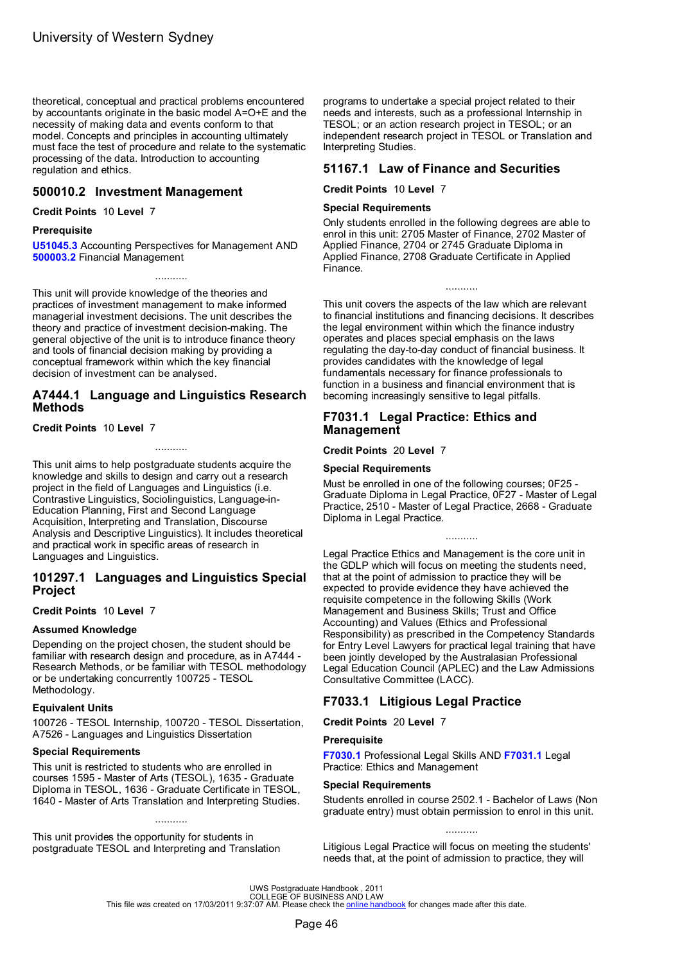<span id="page-49-0"></span>theoretical, conceptual and practical problems encountered by accountants originate in the basic model A=O+E and the necessity of making data and events conform to that model. Concepts and principles in accounting ultimately must face the test of procedure and relate to the systematic processing of the data. Introduction to accounting regulation and ethics.

### **500010.2 Investment Management**

**Credit Points** 10 **Level** 7

#### **Prerequisite**

**[U51045.3](#page-34-0)** Accounting Perspectives for Management AND **[500003.2](#page-43-0)** Financial Management

...........

This unit will provide knowledge of the theories and practices of investment management to make informed managerial investment decisions. The unit describes the theory and practice of investment decision-making. The general objective of the unit is to introduce finance theory and tools of financial decision making by providing a conceptual framework within which the key financial decision of investment can be analysed.

### **A7444.1 Language and Linguistics Research Methods**

#### **Credit Points** 10 **Level** 7

...........

This unit aims to help postgraduate students acquire the knowledge and skills to design and carry out a research project in the field of Languages and Linguistics (i.e. Contrastive Linguistics, Sociolinguistics, Language-in-Education Planning, First and Second Language Acquisition, Interpreting and Translation, Discourse Analysis and Descriptive Linguistics). It includes theoretical and practical work in specific areas of research in Languages and Linguistics.

#### **101297.1 Languages and Linguistics Special Project**

**Credit Points** 10 **Level** 7

#### **Assumed Knowledge**

Depending on the project chosen, the student should be familiar with research design and procedure, as in A7444 - Research Methods, or be familiar with TESOL methodology or be undertaking concurrently 100725 - TESOL Methodology.

#### **Equivalent Units**

100726 - TESOL Internship, 100720 - TESOL Dissertation, A7526 - Languages and Linguistics Dissertation

#### **Special Requirements**

This unit is restricted to students who are enrolled in courses 1595 - Master of Arts (TESOL), 1635 - Graduate Diploma in TESOL, 1636 - Graduate Certificate in TESOL, 1640 - Master of Arts Translation and Interpreting Studies.

...........

This unit provides the opportunity for students in postgraduate TESOL and Interpreting and Translation programs to undertake a special project related to their needs and interests, such as a professional Internship in TESOL; or an action research project in TESOL; or an independent research project in TESOL or Translation and Interpreting Studies.

### **51167.1 Law of Finance and Securities**

**Credit Points** 10 **Level** 7

#### **Special Requirements**

Only students enrolled in the following degrees are able to enrol in this unit: 2705 Master of Finance, 2702 Master of Applied Finance, 2704 or 2745 Graduate Diploma in Applied Finance, 2708 Graduate Certificate in Applied Finance.

...........

This unit covers the aspects of the law which are relevant to financial institutions and financing decisions. It describes the legal environment within which the finance industry operates and places special emphasis on the laws regulating the day-to-day conduct of financial business. It provides candidates with the knowledge of legal fundamentals necessary for finance professionals to function in a business and financial environment that is becoming increasingly sensitive to legal pitfalls.

### **F7031.1 Legal Practice: Ethics and Management**

**Credit Points** 20 **Level** 7

#### **Special Requirements**

Must be enrolled in one of the following courses; 0F25 - Graduate Diploma in Legal Practice, 0F27 - Master of Legal Practice, 2510 - Master of Legal Practice, 2668 - Graduate Diploma in Legal Practice.

...........

Legal Practice Ethics and Management is the core unit in the GDLP which will focus on meeting the students need, that at the point of admission to practice they will be expected to provide evidence they have achieved the requisite competence in the following Skills (Work Management and Business Skills; Trust and Office Accounting) and Values (Ethics and Professional Responsibility) as prescribed in the Competency Standards for Entry Level Lawyers for practical legal training that have been jointly developed by the Australasian Professional Legal Education Council (APLEC) and the Law Admissions Consultative Committee (LACC).

### **F7033.1 Litigious Legal Practice**

**Credit Points** 20 **Level** 7

#### **Prerequisite**

**[F7030.1](#page-55-0)** Professional Legal Skills AND **F7031.1** Legal Practice: Ethics and Management

#### **Special Requirements**

Students enrolled in course 2502.1 - Bachelor of Laws (Non graduate entry) must obtain permission to enrol in this unit.

...........

Litigious Legal Practice will focus on meeting the students' needs that, at the point of admission to practice, they will

UWS Postgraduate Handbook , 2011 COLLEGE OF BUSINESS AND LAW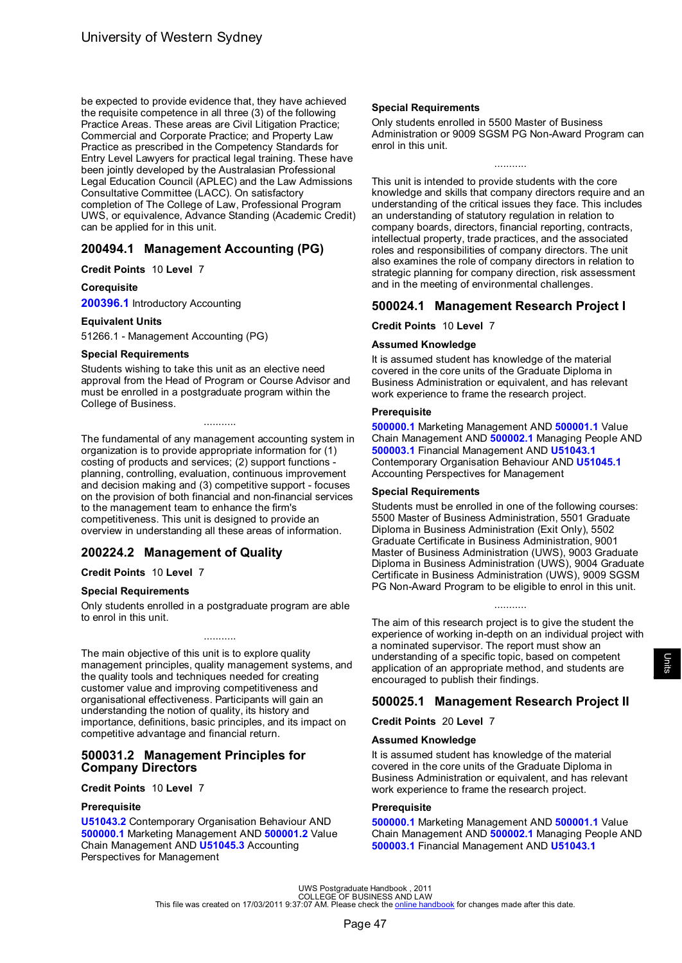<span id="page-50-0"></span>be expected to provide evidence that, they have achieved the requisite competence in all three (3) of the following Practice Areas. These areas are Civil Litigation Practice; Commercial and Corporate Practice; and Property Law Practice as prescribed in the Competency Standards for Entry Level Lawyers for practical legal training. These have been jointly developed by the Australasian Professional Legal Education Council (APLEC) and the Law Admissions Consultative Committee (LACC). On satisfactory completion of The College of Law, Professional Program UWS, or equivalence, Advance Standing (Academic Credit) can be applied for in this unit.

## **200494.1 Management Accounting (PG)**

#### **Credit Points** 10 **Level** 7

#### **Corequisite**

**200396.1** Introductory Accounting

#### **Equivalent Units**

51266.1 - Management Accounting (PG)

#### **Special Requirements**

Students wishing to take this unit as an elective need approval from the Head of Program or Course Advisor and must be enrolled in a postgraduate program within the College of Business.

...........

The fundamental of any management accounting system in organization is to provide appropriate information for (1) costing of products and services; (2) support functions planning, controlling, evaluation, continuous improvement and decision making and (3) competitive support - focuses on the provision of both financial and non-financial services to the management team to enhance the firm's competitiveness. This unit is designed to provide an overview in understanding all these areas of information.

### **200224.2 Management of Quality**

#### **Credit Points** 10 **Level** 7

#### **Special Requirements**

Only students enrolled in a postgraduate program are able to enrol in this unit.

...........

The main objective of this unit is to explore quality management principles, quality management systems, and the quality tools and techniques needed for creating customer value and improving competitiveness and organisational effectiveness. Participants will gain an understanding the notion of quality, its history and importance, definitions, basic principles, and its impact on competitive advantage and financial return.

### **500031.2 Management Principles for Company Directors**

#### **Credit Points** 10 **Level** 7

#### **Prerequisite**

**[U51043.2](#page-39-0)** Contemporary Organisation Behaviour AND **[500000.1](#page-52-0)** Marketing Management AND **[500001.2](#page-63-0)** Value Chain Management AND **[U51045.3](#page-34-0)** Accounting Perspectives for Management

#### **Special Requirements**

Only students enrolled in 5500 Master of Business Administration or 9009 SGSM PG Non-Award Program can enrol in this unit.

...........

This unit is intended to provide students with the core knowledge and skills that company directors require and an understanding of the critical issues they face. This includes an understanding of statutory regulation in relation to company boards, directors, financial reporting, contracts, intellectual property, trade practices, and the associated roles and responsibilities of company directors. The unit also examines the role of company directors in relation to strategic planning for company direction, risk assessment and in the meeting of environmental challenges.

### **500024.1 Management Research Project I**

#### **Credit Points** 10 **Level** 7

#### **Assumed Knowledge**

It is assumed student has knowledge of the material covered in the core units of the Graduate Diploma in Business Administration or equivalent, and has relevant work experience to frame the research project.

#### **Prerequisite**

**[500000.1](#page-52-0)** Marketing Management AND **500001.1** Value Chain Management AND **500002.1** Managing People AND **500003.1** Financial Management AND **U51043.1** Contemporary Organisation Behaviour AND **U51045.1** Accounting Perspectives for Management

#### **Special Requirements**

Students must be enrolled in one of the following courses: 5500 Master of Business Administration, 5501 Graduate Diploma in Business Administration (Exit Only), 5502 Graduate Certificate in Business Administration, 9001 Master of Business Administration (UWS), 9003 Graduate Diploma in Business Administration (UWS), 9004 Graduate Certificate in Business Administration (UWS), 9009 SGSM PG Non-Award Program to be eligible to enrol in this unit.

The aim of this research project is to give the student the experience of working in-depth on an individual project with a nominated supervisor. The report must show an understanding of a specific topic, based on competent application of an appropriate method, and students are encouraged to publish their findings.

...........

### **500025.1 Management Research Project II**

#### **Credit Points** 20 **Level** 7

#### **Assumed Knowledge**

It is assumed student has knowledge of the material covered in the core units of the Graduate Diploma in Business Administration or equivalent, and has relevant work experience to frame the research project.

#### **Prerequisite**

**[500000.1](#page-52-0)** Marketing Management AND **500001.1** Value Chain Management AND **500002.1** Managing People AND **500003.1** Financial Management AND **U51043.1**

Units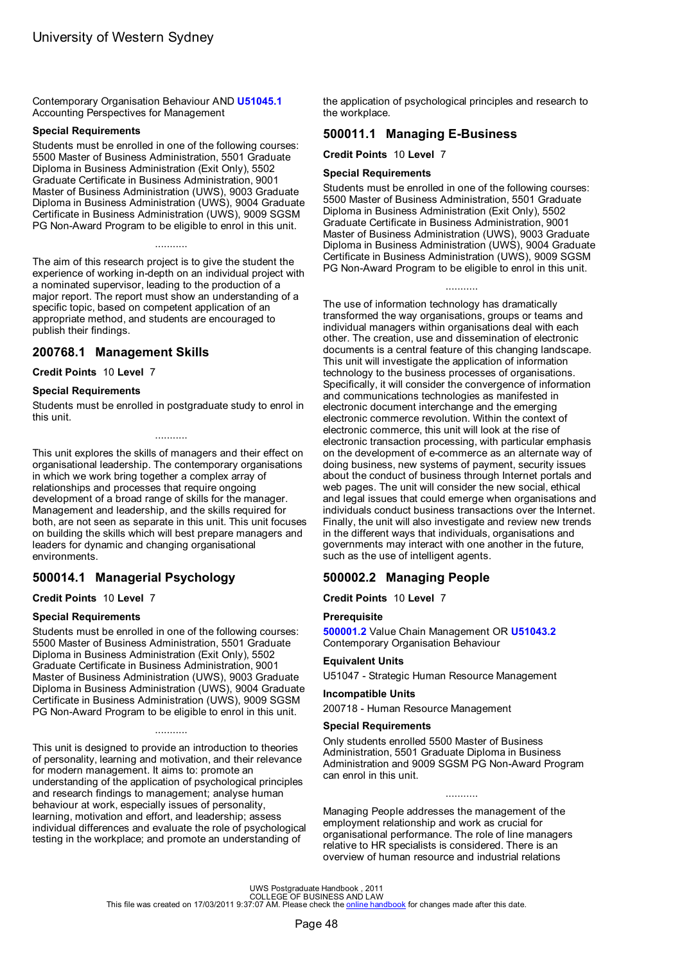<span id="page-51-0"></span>Contemporary Organisation Behaviour AND **U51045.1** Accounting Perspectives for Management

#### **Special Requirements**

Students must be enrolled in one of the following courses: 5500 Master of Business Administration, 5501 Graduate Diploma in Business Administration (Exit Only), 5502 Graduate Certificate in Business Administration, 9001 Master of Business Administration (UWS), 9003 Graduate Diploma in Business Administration (UWS), 9004 Graduate Certificate in Business Administration (UWS), 9009 SGSM PG Non-Award Program to be eligible to enrol in this unit.

The aim of this research project is to give the student the experience of working in-depth on an individual project with a nominated supervisor, leading to the production of a major report. The report must show an understanding of a specific topic, based on competent application of an appropriate method, and students are encouraged to publish their findings.

...........

### **200768.1 Management Skills**

#### **Credit Points** 10 **Level** 7

#### **Special Requirements**

Students must be enrolled in postgraduate study to enrol in this unit.

...........

This unit explores the skills of managers and their effect on organisational leadership. The contemporary organisations in which we work bring together a complex array of relationships and processes that require ongoing development of a broad range of skills for the manager. Management and leadership, and the skills required for both, are not seen as separate in this unit. This unit focuses on building the skills which will best prepare managers and leaders for dynamic and changing organisational environments.

### **500014.1 Managerial Psychology**

#### **Credit Points** 10 **Level** 7

#### **Special Requirements**

Students must be enrolled in one of the following courses: 5500 Master of Business Administration, 5501 Graduate Diploma in Business Administration (Exit Only), 5502 Graduate Certificate in Business Administration, 9001 Master of Business Administration (UWS), 9003 Graduate Diploma in Business Administration (UWS), 9004 Graduate Certificate in Business Administration (UWS), 9009 SGSM PG Non-Award Program to be eligible to enrol in this unit.

...........

This unit is designed to provide an introduction to theories of personality, learning and motivation, and their relevance for modern management. It aims to: promote an understanding of the application of psychological principles and research findings to management; analyse human behaviour at work, especially issues of personality, learning, motivation and effort, and leadership; assess individual differences and evaluate the role of psychological testing in the workplace; and promote an understanding of

the application of psychological principles and research to the workplace.

### **500011.1 Managing E-Business**

**Credit Points** 10 **Level** 7

#### **Special Requirements**

Students must be enrolled in one of the following courses: 5500 Master of Business Administration, 5501 Graduate Diploma in Business Administration (Exit Only), 5502 Graduate Certificate in Business Administration, 9001 Master of Business Administration (UWS), 9003 Graduate Diploma in Business Administration (UWS), 9004 Graduate Certificate in Business Administration (UWS), 9009 SGSM PG Non-Award Program to be eligible to enrol in this unit.

...........

The use of information technology has dramatically transformed the way organisations, groups or teams and individual managers within organisations deal with each other. The creation, use and dissemination of electronic documents is a central feature of this changing landscape. This unit will investigate the application of information technology to the business processes of organisations. Specifically, it will consider the convergence of information and communications technologies as manifested in electronic document interchange and the emerging electronic commerce revolution. Within the context of electronic commerce, this unit will look at the rise of electronic transaction processing, with particular emphasis on the development of e-commerce as an alternate way of doing business, new systems of payment, security issues about the conduct of business through Internet portals and web pages. The unit will consider the new social, ethical and legal issues that could emerge when organisations and individuals conduct business transactions over the Internet. Finally, the unit will also investigate and review new trends in the different ways that individuals, organisations and governments may interact with one another in the future, such as the use of intelligent agents.

### **500002.2 Managing People**

**Credit Points** 10 **Level** 7

#### **Prerequisite**

**[500001.2](#page-63-0)** Value Chain Management OR **[U51043.2](#page-39-0)** Contemporary Organisation Behaviour

#### **Equivalent Units**

U51047 - Strategic Human Resource Management

#### **Incompatible Units**

200718 - Human Resource Management

#### **Special Requirements**

Only students enrolled 5500 Master of Business Administration, 5501 Graduate Diploma in Business Administration and 9009 SGSM PG Non-Award Program can enrol in this unit.

...........

Managing People addresses the management of the employment relationship and work as crucial for organisational performance. The role of line managers relative to HR specialists is considered. There is an overview of human resource and industrial relations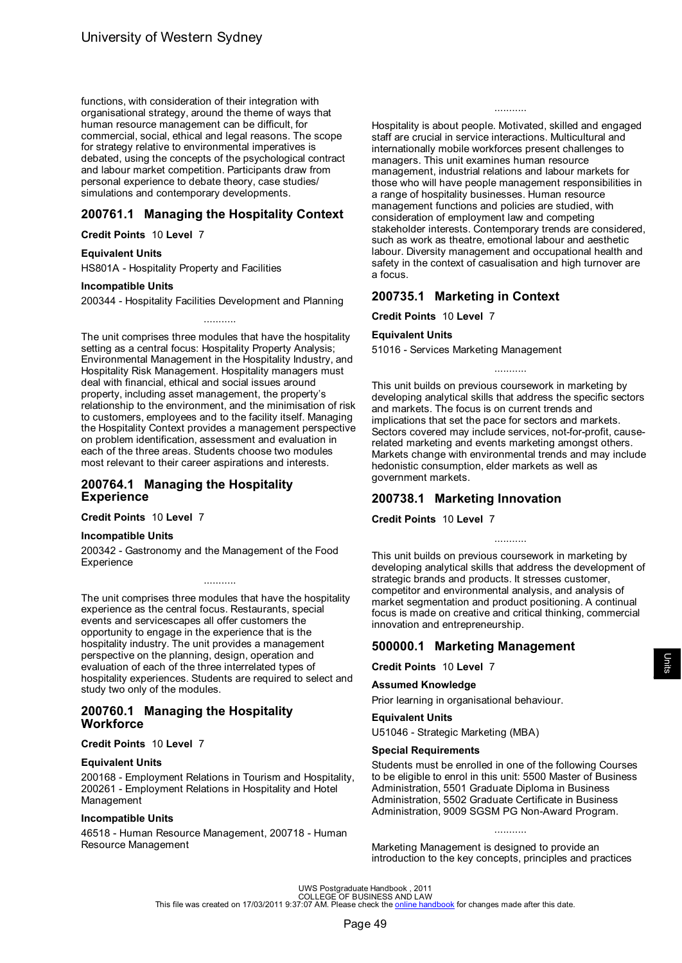<span id="page-52-0"></span>functions, with consideration of their integration with organisational strategy, around the theme of ways that human resource management can be difficult, for commercial, social, ethical and legal reasons. The scope for strategy relative to environmental imperatives is debated, using the concepts of the psychological contract and labour market competition. Participants draw from personal experience to debate theory, case studies/ simulations and contemporary developments.

## **200761.1 Managing the Hospitality Context**

**Credit Points** 10 **Level** 7

#### **Equivalent Units**

HS801A - Hospitality Property and Facilities

#### **Incompatible Units**

200344 - Hospitality Facilities Development and Planning

...........

The unit comprises three modules that have the hospitality setting as a central focus: Hospitality Property Analysis; Environmental Management in the Hospitality Industry, and Hospitality Risk Management. Hospitality managers must deal with financial, ethical and social issues around property, including asset management, the property's relationship to the environment, and the minimisation of risk to customers, employees and to the facility itself. Managing the Hospitality Context provides a management perspective on problem identification, assessment and evaluation in each of the three areas. Students choose two modules most relevant to their career aspirations and interests.

## **200764.1 Managing the Hospitality Experience**

**Credit Points** 10 **Level** 7

#### **Incompatible Units**

200342 - Gastronomy and the Management of the Food **Experience** 

...........

The unit comprises three modules that have the hospitality experience as the central focus. Restaurants, special events and servicescapes all offer customers the opportunity to engage in the experience that is the hospitality industry. The unit provides a management perspective on the planning, design, operation and evaluation of each of the three interrelated types of hospitality experiences. Students are required to select and study two only of the modules.

### **200760.1 Managing the Hospitality Workforce**

#### **Credit Points** 10 **Level** 7

#### **Equivalent Units**

200168 - Employment Relations in Tourism and Hospitality, 200261 - Employment Relations in Hospitality and Hotel Management

#### **Incompatible Units**

46518 - Human Resource Management, 200718 - Human Resource Management

...........

Hospitality is about people. Motivated, skilled and engaged staff are crucial in service interactions. Multicultural and internationally mobile workforces present challenges to managers. This unit examines human resource management, industrial relations and labour markets for those who will have people management responsibilities in a range of hospitality businesses. Human resource management functions and policies are studied, with consideration of employment law and competing stakeholder interests. Contemporary trends are considered, such as work as theatre, emotional labour and aesthetic labour. Diversity management and occupational health and safety in the context of casualisation and high turnover are a focus.

### **200735.1 Marketing in Context**

**Credit Points** 10 **Level** 7

### **Equivalent Units**

51016 - Services Marketing Management

This unit builds on previous coursework in marketing by developing analytical skills that address the specific sectors and markets. The focus is on current trends and implications that set the pace for sectors and markets. Sectors covered may include services, not-for-profit, causerelated marketing and events marketing amongst others. Markets change with environmental trends and may include hedonistic consumption, elder markets as well as government markets.

...........

### **200738.1 Marketing Innovation**

#### **Credit Points** 10 **Level** 7

This unit builds on previous coursework in marketing by developing analytical skills that address the development of strategic brands and products. It stresses customer, competitor and environmental analysis, and analysis of market segmentation and product positioning. A continual focus is made on creative and critical thinking, commercial innovation and entrepreneurship.

...........

### **500000.1 Marketing Management**

**Credit Points** 10 **Level** 7

#### **Assumed Knowledge**

Prior learning in organisational behaviour.

### **Equivalent Units**

U51046 - Strategic Marketing (MBA)

#### **Special Requirements**

Students must be enrolled in one of the following Courses to be eligible to enrol in this unit: 5500 Master of Business Administration, 5501 Graduate Diploma in Business Administration, 5502 Graduate Certificate in Business Administration, 9009 SGSM PG Non-Award Program.

Marketing Management is designed to provide an introduction to the key concepts, principles and practices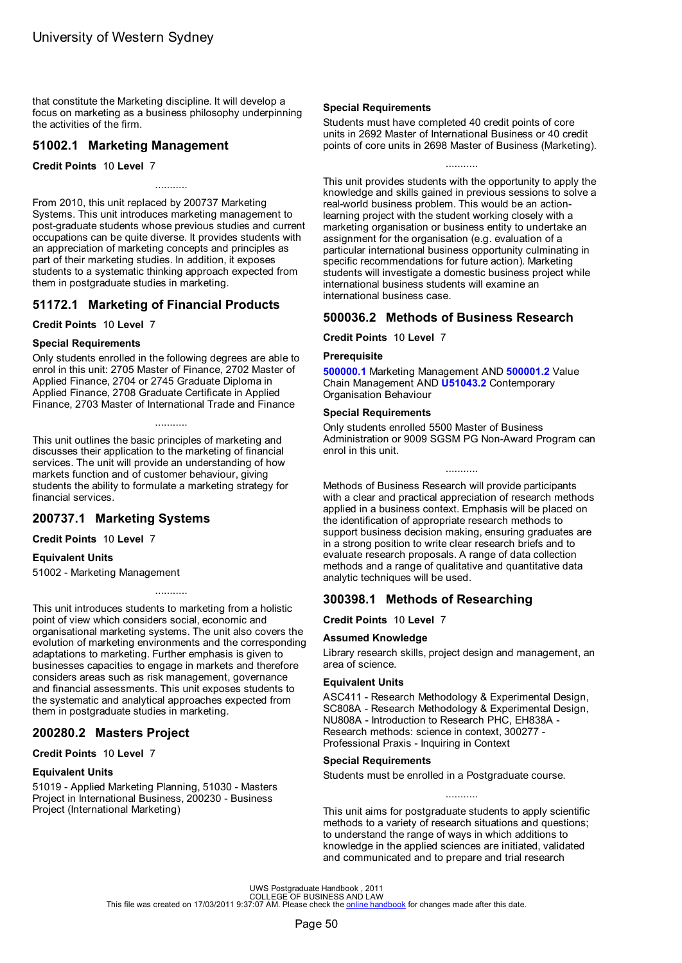<span id="page-53-0"></span>that constitute the Marketing discipline. It will develop a focus on marketing as a business philosophy underpinning the activities of the firm.

## **51002.1 Marketing Management**

**Credit Points** 10 **Level** 7

From 2010, this unit replaced by 200737 Marketing Systems. This unit introduces marketing management to post-graduate students whose previous studies and current occupations can be quite diverse. It provides students with an appreciation of marketing concepts and principles as part of their marketing studies. In addition, it exposes students to a systematic thinking approach expected from them in postgraduate studies in marketing.

...........

## **51172.1 Marketing of Financial Products**

#### **Credit Points** 10 **Level** 7

#### **Special Requirements**

Only students enrolled in the following degrees are able to enrol in this unit: 2705 Master of Finance, 2702 Master of Applied Finance, 2704 or 2745 Graduate Diploma in Applied Finance, 2708 Graduate Certificate in Applied Finance, 2703 Master of International Trade and Finance

...........

This unit outlines the basic principles of marketing and discusses their application to the marketing of financial services. The unit will provide an understanding of how markets function and of customer behaviour, giving students the ability to formulate a marketing strategy for financial services.

### **200737.1 Marketing Systems**

#### **Credit Points** 10 **Level** 7

#### **Equivalent Units**

51002 - Marketing Management

This unit introduces students to marketing from a holistic point of view which considers social, economic and organisational marketing systems. The unit also covers the evolution of marketing environments and the corresponding adaptations to marketing. Further emphasis is given to businesses capacities to engage in markets and therefore considers areas such as risk management, governance and financial assessments. This unit exposes students to the systematic and analytical approaches expected from them in postgraduate studies in marketing.

...........

## **200280.2 Masters Project**

**Credit Points** 10 **Level** 7

#### **Equivalent Units**

51019 - Applied Marketing Planning, 51030 - Masters Project in International Business, 200230 - Business Project (International Marketing)

#### **Special Requirements**

Students must have completed 40 credit points of core units in 2692 Master of International Business or 40 credit points of core units in 2698 Master of Business (Marketing).

...........

This unit provides students with the opportunity to apply the knowledge and skills gained in previous sessions to solve a real-world business problem. This would be an actionlearning project with the student working closely with a marketing organisation or business entity to undertake an assignment for the organisation (e.g. evaluation of a particular international business opportunity culminating in specific recommendations for future action). Marketing students will investigate a domestic business project while international business students will examine an international business case.

## **500036.2 Methods of Business Research**

#### **Credit Points** 10 **Level** 7

#### **Prerequisite**

**[500000.1](#page-52-0)** Marketing Management AND **[500001.2](#page-63-0)** Value Chain Management AND **[U51043.2](#page-39-0)** Contemporary Organisation Behaviour

#### **Special Requirements**

Only students enrolled 5500 Master of Business Administration or 9009 SGSM PG Non-Award Program can enrol in this unit.

...........

Methods of Business Research will provide participants with a clear and practical appreciation of research methods applied in a business context. Emphasis will be placed on the identification of appropriate research methods to support business decision making, ensuring graduates are in a strong position to write clear research briefs and to evaluate research proposals. A range of data collection methods and a range of qualitative and quantitative data analytic techniques will be used.

### **300398.1 Methods of Researching**

**Credit Points** 10 **Level** 7

### **Assumed Knowledge**

Library research skills, project design and management, an area of science.

#### **Equivalent Units**

ASC411 - Research Methodology & Experimental Design, SC808A - Research Methodology & Experimental Design, NU808A - Introduction to Research PHC, EH838A - Research methods: science in context, 300277 - Professional Praxis - Inquiring in Context

### **Special Requirements**

Students must be enrolled in a Postgraduate course.

This unit aims for postgraduate students to apply scientific methods to a variety of research situations and questions; to understand the range of ways in which additions to knowledge in the applied sciences are initiated, validated and communicated and to prepare and trial research

UWS Postgraduate Handbook , 2011 COLLEGE OF BUSINESS AND LAW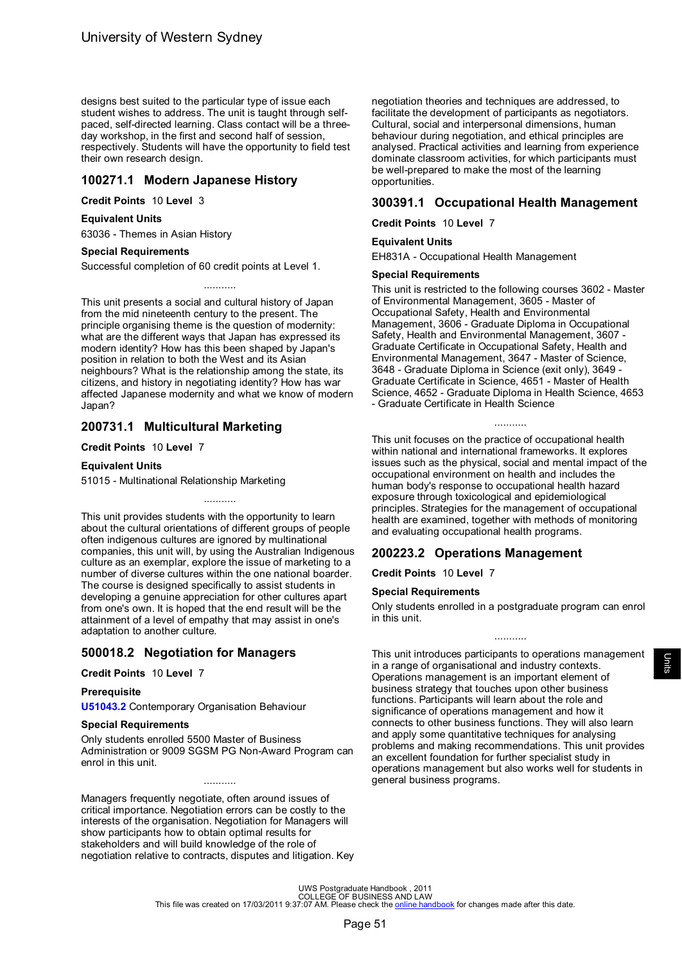<span id="page-54-0"></span>designs best suited to the particular type of issue each student wishes to address. The unit is taught through selfpaced, self-directed learning. Class contact will be a threeday workshop, in the first and second half of session, respectively. Students will have the opportunity to field test their own research design.

### **100271.1 Modern Japanese History**

**Credit Points** 10 **Level** 3

#### **Equivalent Units**

63036 - Themes in Asian History

#### **Special Requirements**

Successful completion of 60 credit points at Level 1.

This unit presents a social and cultural history of Japan from the mid nineteenth century to the present. The principle organising theme is the question of modernity: what are the different ways that Japan has expressed its modern identity? How has this been shaped by Japan's position in relation to both the West and its Asian neighbours? What is the relationship among the state, its citizens, and history in negotiating identity? How has war affected Japanese modernity and what we know of modern Japan?

...........

## **200731.1 Multicultural Marketing**

**Credit Points** 10 **Level** 7

#### **Equivalent Units**

51015 - Multinational Relationship Marketing

This unit provides students with the opportunity to learn about the cultural orientations of different groups of people often indigenous cultures are ignored by multinational companies, this unit will, by using the Australian Indigenous culture as an exemplar, explore the issue of marketing to a number of diverse cultures within the one national boarder. The course is designed specifically to assist students in developing a genuine appreciation for other cultures apart from one's own. It is hoped that the end result will be the attainment of a level of empathy that may assist in one's adaptation to another culture.

...........

### **500018.2 Negotiation for Managers**

**Credit Points** 10 **Level** 7

#### **Prerequisite**

**[U51043.2](#page-39-0)** Contemporary Organisation Behaviour

#### **Special Requirements**

Only students enrolled 5500 Master of Business Administration or 9009 SGSM PG Non-Award Program can enrol in this unit.

...........

Managers frequently negotiate, often around issues of critical importance. Negotiation errors can be costly to the interests of the organisation. Negotiation for Managers will show participants how to obtain optimal results for stakeholders and will build knowledge of the role of negotiation relative to contracts, disputes and litigation. Key

negotiation theories and techniques are addressed, to facilitate the development of participants as negotiators. Cultural, social and interpersonal dimensions, human behaviour during negotiation, and ethical principles are analysed. Practical activities and learning from experience dominate classroom activities, for which participants must be well-prepared to make the most of the learning opportunities.

### **300391.1 Occupational Health Management**

#### **Credit Points** 10 **Level** 7

### **Equivalent Units**

EH831A - Occupational Health Management

#### **Special Requirements**

This unit is restricted to the following courses 3602 - Master of Environmental Management, 3605 - Master of Occupational Safety, Health and Environmental Management, 3606 - Graduate Diploma in Occupational Safety, Health and Environmental Management, 3607 - Graduate Certificate in Occupational Safety, Health and Environmental Management, 3647 - Master of Science, 3648 - Graduate Diploma in Science (exit only), 3649 - Graduate Certificate in Science, 4651 - Master of Health Science, 4652 - Graduate Diploma in Health Science, 4653 - Graduate Certificate in Health Science

This unit focuses on the practice of occupational health within national and international frameworks. It explores issues such as the physical, social and mental impact of the occupational environment on health and includes the human body's response to occupational health hazard exposure through toxicological and epidemiological principles. Strategies for the management of occupational health are examined, together with methods of monitoring and evaluating occupational health programs.

...........

## **200223.2 Operations Management**

**Credit Points** 10 **Level** 7

#### **Special Requirements**

Only students enrolled in a postgraduate program can enrol in this unit.

...........

This unit introduces participants to operations management in a range of organisational and industry contexts. Operations management is an important element of business strategy that touches upon other business functions. Participants will learn about the role and significance of operations management and how it connects to other business functions. They will also learn and apply some quantitative techniques for analysing problems and making recommendations. This unit provides an excellent foundation for further specialist study in operations management but also works well for students in general business programs.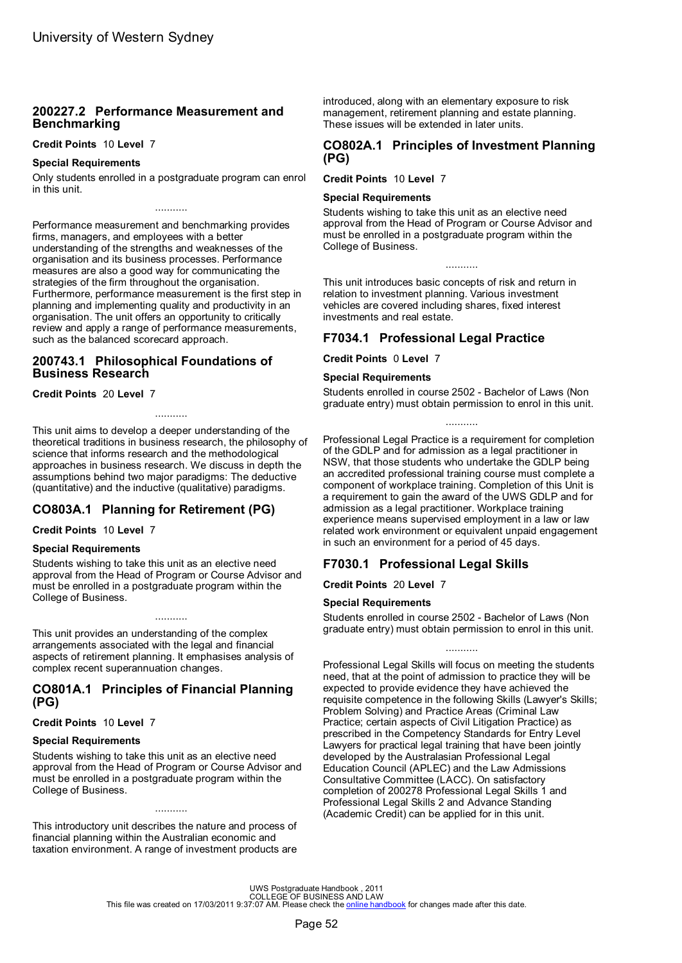### <span id="page-55-0"></span>**200227.2 Performance Measurement and Benchmarking**

#### **Credit Points** 10 **Level** 7

### **Special Requirements**

Only students enrolled in a postgraduate program can enrol in this unit.

...........

Performance measurement and benchmarking provides firms, managers, and employees with a better understanding of the strengths and weaknesses of the organisation and its business processes. Performance measures are also a good way for communicating the strategies of the firm throughout the organisation. Furthermore, performance measurement is the first step in planning and implementing quality and productivity in an organisation. The unit offers an opportunity to critically review and apply a range of performance measurements, such as the balanced scorecard approach.

### **200743.1 Philosophical Foundations of Business Research**

#### **Credit Points** 20 **Level** 7

This unit aims to develop a deeper understanding of the theoretical traditions in business research, the philosophy of science that informs research and the methodological approaches in business research. We discuss in depth the assumptions behind two major paradigms: The deductive (quantitative) and the inductive (qualitative) paradigms.

...........

### **CO803A.1 Planning for Retirement (PG)**

#### **Credit Points** 10 **Level** 7

### **Special Requirements**

Students wishing to take this unit as an elective need approval from the Head of Program or Course Advisor and must be enrolled in a postgraduate program within the College of Business.

...........

This unit provides an understanding of the complex arrangements associated with the legal and financial aspects of retirement planning. It emphasises analysis of complex recent superannuation changes.

### **CO801A.1 Principles of Financial Planning (PG)**

#### **Credit Points** 10 **Level** 7

#### **Special Requirements**

Students wishing to take this unit as an elective need approval from the Head of Program or Course Advisor and must be enrolled in a postgraduate program within the College of Business.

...........

This introductory unit describes the nature and process of financial planning within the Australian economic and taxation environment. A range of investment products are introduced, along with an elementary exposure to risk management, retirement planning and estate planning. These issues will be extended in later units.

### **CO802A.1 Principles of Investment Planning (PG)**

**Credit Points** 10 **Level** 7

#### **Special Requirements**

Students wishing to take this unit as an elective need approval from the Head of Program or Course Advisor and must be enrolled in a postgraduate program within the College of Business.

...........

This unit introduces basic concepts of risk and return in relation to investment planning. Various investment vehicles are covered including shares, fixed interest investments and real estate.

## **F7034.1 Professional Legal Practice**

**Credit Points** 0 **Level** 7

#### **Special Requirements**

Students enrolled in course 2502 - Bachelor of Laws (Non graduate entry) must obtain permission to enrol in this unit.

...........

Professional Legal Practice is a requirement for completion of the GDLP and for admission as a legal practitioner in NSW, that those students who undertake the GDLP being an accredited professional training course must complete a component of workplace training. Completion of this Unit is a requirement to gain the award of the UWS GDLP and for admission as a legal practitioner. Workplace training experience means supervised employment in a law or law related work environment or equivalent unpaid engagement in such an environment for a period of 45 days.

### **F7030.1 Professional Legal Skills**

### **Credit Points** 20 **Level** 7

### **Special Requirements**

Students enrolled in course 2502 - Bachelor of Laws (Non graduate entry) must obtain permission to enrol in this unit.

...........

Professional Legal Skills will focus on meeting the students need, that at the point of admission to practice they will be expected to provide evidence they have achieved the requisite competence in the following Skills (Lawyer's Skills; Problem Solving) and Practice Areas (Criminal Law Practice; certain aspects of Civil Litigation Practice) as prescribed in the Competency Standards for Entry Level Lawyers for practical legal training that have been jointly developed by the Australasian Professional Legal Education Council (APLEC) and the Law Admissions Consultative Committee (LACC). On satisfactory completion of 200278 Professional Legal Skills 1 and Professional Legal Skills 2 and Advance Standing (Academic Credit) can be applied for in this unit.

This file was created on 17/03/2011 9:37:07 AM. Please check the online [handbook](http://handbook.uws.edu.au/hbook/) for changes made after this date.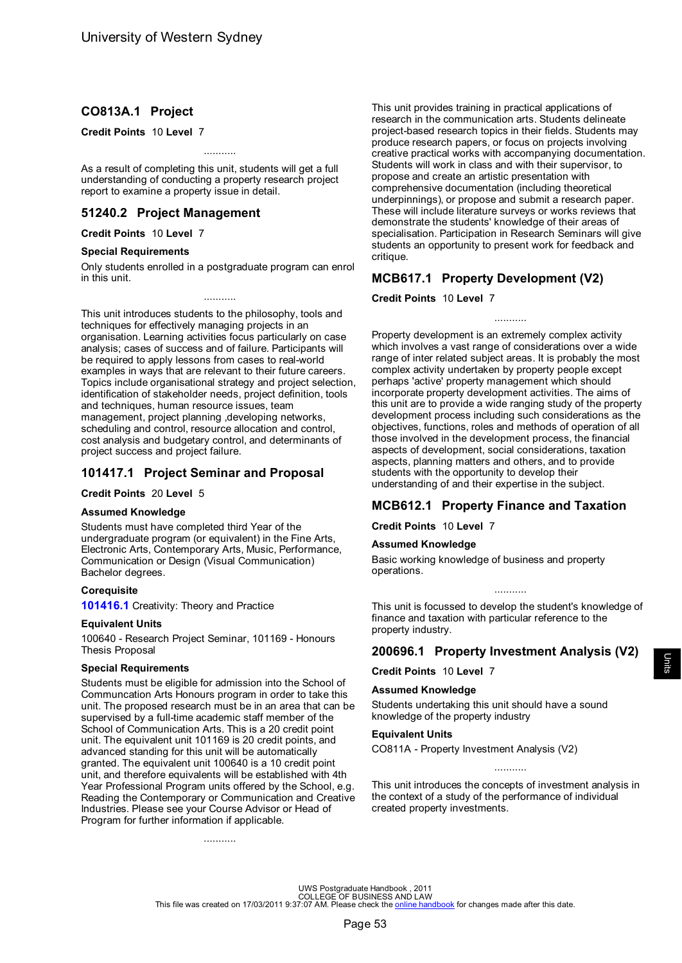## <span id="page-56-0"></span>**CO813A.1 Project**

### **Credit Points** 10 **Level** 7

As a result of completing this unit, students will get a full understanding of conducting a property research project report to examine a property issue in detail.

...........

### **51240.2 Project Management**

**Credit Points** 10 **Level** 7

#### **Special Requirements**

Only students enrolled in a postgraduate program can enrol in this unit.

...........

This unit introduces students to the philosophy, tools and techniques for effectively managing projects in an organisation. Learning activities focus particularly on case analysis; cases of success and of failure. Participants will be required to apply lessons from cases to real-world examples in ways that are relevant to their future careers. Topics include organisational strategy and project selection, identification of stakeholder needs, project definition, tools and techniques, human resource issues, team management, project planning ,developing networks, scheduling and control, resource allocation and control, cost analysis and budgetary control, and determinants of project success and project failure.

### **101417.1 Project Seminar and Proposal**

**Credit Points** 20 **Level** 5

#### **Assumed Knowledge**

Students must have completed third Year of the undergraduate program (or equivalent) in the Fine Arts, Electronic Arts, Contemporary Arts, Music, Performance, Communication or Design (Visual Communication) Bachelor degrees.

#### **Corequisite**

**[101416.1](#page-40-0)** Creativity: Theory and Practice

#### **Equivalent Units**

100640 - Research Project Seminar, 101169 - Honours Thesis Proposal

#### **Special Requirements**

Students must be eligible for admission into the School of Communcation Arts Honours program in order to take this unit. The proposed research must be in an area that can be supervised by a full-time academic staff member of the School of Communication Arts. This is a 20 credit point unit. The equivalent unit 101169 is 20 credit points, and advanced standing for this unit will be automatically granted. The equivalent unit 100640 is a 10 credit point unit, and therefore equivalents will be established with 4th Year Professional Program units offered by the School, e.g. Reading the Contemporary or Communication and Creative Industries. Please see your Course Advisor or Head of Program for further information if applicable.

This unit provides training in practical applications of research in the communication arts. Students delineate project-based research topics in their fields. Students may produce research papers, or focus on projects involving creative practical works with accompanying documentation. Students will work in class and with their supervisor, to propose and create an artistic presentation with comprehensive documentation (including theoretical underpinnings), or propose and submit a research paper. These will include literature surveys or works reviews that demonstrate the students' knowledge of their areas of specialisation. Participation in Research Seminars will give students an opportunity to present work for feedback and critique.

### **MCB617.1 Property Development (V2)**

**Credit Points** 10 **Level** 7

Property development is an extremely complex activity which involves a vast range of considerations over a wide range of inter related subject areas. It is probably the most complex activity undertaken by property people except perhaps 'active' property management which should incorporate property development activities. The aims of this unit are to provide a wide ranging study of the property development process including such considerations as the objectives, functions, roles and methods of operation of all those involved in the development process, the financial aspects of development, social considerations, taxation aspects, planning matters and others, and to provide students with the opportunity to develop their understanding of and their expertise in the subject.

...........

### **MCB612.1 Property Finance and Taxation**

**Credit Points** 10 **Level** 7

#### **Assumed Knowledge**

Basic working knowledge of business and property operations.

This unit is focussed to develop the student's knowledge of finance and taxation with particular reference to the property industry.

...........

### **200696.1 Property Investment Analysis (V2)**

**Credit Points** 10 **Level** 7

#### **Assumed Knowledge**

Students undertaking this unit should have a sound knowledge of the property industry

#### **Equivalent Units**

CO811A - Property Investment Analysis (V2)

This unit introduces the concepts of investment analysis in the context of a study of the performance of individual created property investments.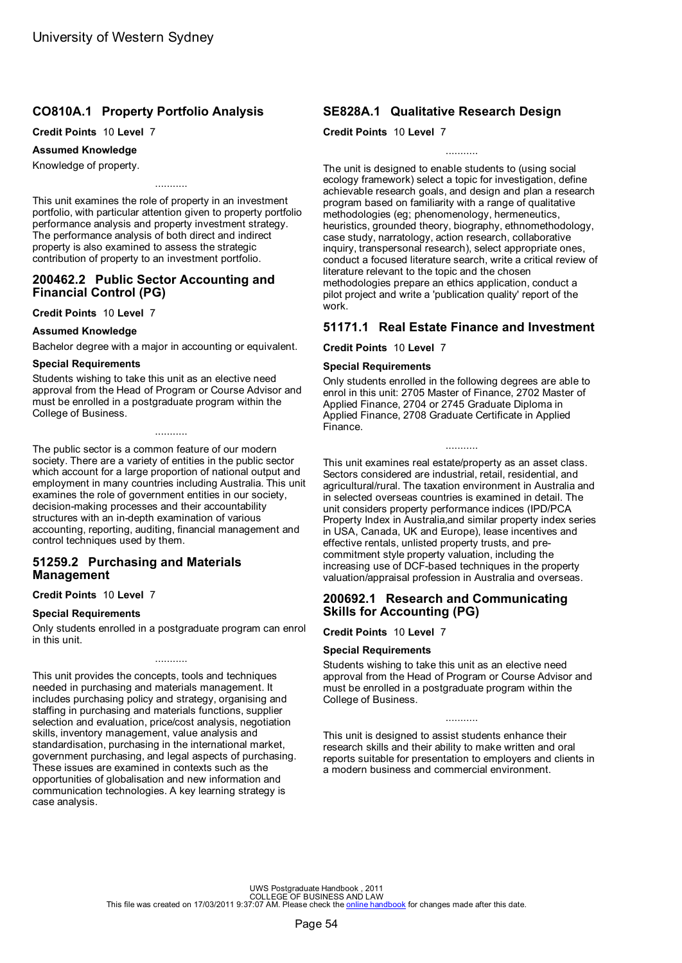## <span id="page-57-0"></span>**CO810A.1 Property Portfolio Analysis**

**Credit Points** 10 **Level** 7

#### **Assumed Knowledge**

Knowledge of property.

This unit examines the role of property in an investment portfolio, with particular attention given to property portfolio performance analysis and property investment strategy. The performance analysis of both direct and indirect property is also examined to assess the strategic contribution of property to an investment portfolio.

### **200462.2 Public Sector Accounting and Financial Control (PG)**

**Credit Points** 10 **Level** 7

#### **Assumed Knowledge**

Bachelor degree with a major in accounting or equivalent.

#### **Special Requirements**

Students wishing to take this unit as an elective need approval from the Head of Program or Course Advisor and must be enrolled in a postgraduate program within the College of Business.

...........

The public sector is a common feature of our modern society. There are a variety of entities in the public sector which account for a large proportion of national output and employment in many countries including Australia. This unit examines the role of government entities in our society, decision-making processes and their accountability structures with an in-depth examination of various accounting, reporting, auditing, financial management and control techniques used by them.

### **51259.2 Purchasing and Materials Management**

#### **Credit Points** 10 **Level** 7

#### **Special Requirements**

Only students enrolled in a postgraduate program can enrol in this unit.

...........

This unit provides the concepts, tools and techniques needed in purchasing and materials management. It includes purchasing policy and strategy, organising and staffing in purchasing and materials functions, supplier selection and evaluation, price/cost analysis, negotiation skills, inventory management, value analysis and standardisation, purchasing in the international market, government purchasing, and legal aspects of purchasing. These issues are examined in contexts such as the opportunities of globalisation and new information and communication technologies. A key learning strategy is case analysis.

## **SE828A.1 Qualitative Research Design**

**Credit Points** 10 **Level** 7

...........

The unit is designed to enable students to (using social ecology framework) select a topic for investigation, define achievable research goals, and design and plan a research program based on familiarity with a range of qualitative methodologies (eg; phenomenology, hermeneutics, heuristics, grounded theory, biography, ethnomethodology, case study, narratology, action research, collaborative inquiry, transpersonal research), select appropriate ones, conduct a focused literature search, write a critical review of literature relevant to the topic and the chosen methodologies prepare an ethics application, conduct a pilot project and write a 'publication quality' report of the work.

## **51171.1 Real Estate Finance and Investment**

**Credit Points** 10 **Level** 7

#### **Special Requirements**

Only students enrolled in the following degrees are able to enrol in this unit: 2705 Master of Finance, 2702 Master of Applied Finance, 2704 or 2745 Graduate Diploma in Applied Finance, 2708 Graduate Certificate in Applied Finance.

...........

This unit examines real estate/property as an asset class. Sectors considered are industrial, retail, residential, and agricultural/rural. The taxation environment in Australia and in selected overseas countries is examined in detail. The unit considers property performance indices (IPD/PCA Property Index in Australia,and similar property index series in USA, Canada, UK and Europe), lease incentives and effective rentals, unlisted property trusts, and precommitment style property valuation, including the increasing use of DCF-based techniques in the property valuation/appraisal profession in Australia and overseas.

### **200692.1 Research and Communicating Skills for Accounting (PG)**

#### **Credit Points** 10 **Level** 7

#### **Special Requirements**

Students wishing to take this unit as an elective need approval from the Head of Program or Course Advisor and must be enrolled in a postgraduate program within the College of Business.

This unit is designed to assist students enhance their research skills and their ability to make written and oral reports suitable for presentation to employers and clients in a modern business and commercial environment.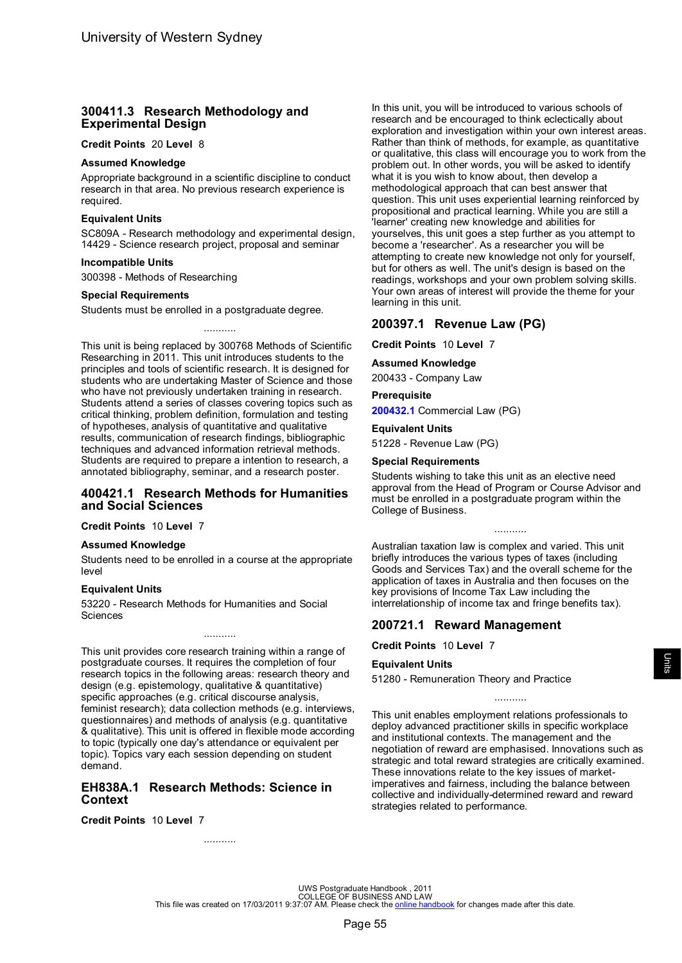## <span id="page-58-0"></span>**300411.3 Research Methodology and Experimental Design**

### **Credit Points** 20 **Level** 8

#### **Assumed Knowledge**

Appropriate background in a scientific discipline to conduct research in that area. No previous research experience is required.

### **Equivalent Units**

SC809A - Research methodology and experimental design, 14429 - Science research project, proposal and seminar

#### **Incompatible Units**

300398 - Methods of Researching

#### **Special Requirements**

Students must be enrolled in a postgraduate degree.

This unit is being replaced by 300768 Methods of Scientific Researching in 2011. This unit introduces students to the principles and tools of scientific research. It is designed for students who are undertaking Master of Science and those who have not previously undertaken training in research. Students attend a series of classes covering topics such as critical thinking, problem definition, formulation and testing of hypotheses, analysis of quantitative and qualitative results, communication of research findings, bibliographic techniques and advanced information retrieval methods. Students are required to prepare a intention to research, a annotated bibliography, seminar, and a research poster.

...........

### **400421.1 Research Methods for Humanities and Social Sciences**

#### **Credit Points** 10 **Level** 7

#### **Assumed Knowledge**

Students need to be enrolled in a course at the appropriate level

...........

#### **Equivalent Units**

53220 - Research Methods for Humanities and Social Sciences

This unit provides core research training within a range of postgraduate courses. It requires the completion of four research topics in the following areas: research theory and design (e.g. epistemology, qualitative & quantitative) specific approaches (e.g. critical discourse analysis, feminist research); data collection methods (e.g. interviews, questionnaires) and methods of analysis (e.g. quantitative & qualitative). This unit is offered in flexible mode according to topic (typically one day's attendance or equivalent per topic). Topics vary each session depending on student demand.

### **EH838A.1 Research Methods: Science in Context**

...........

**Credit Points** 10 **Level** 7

In this unit, you will be introduced to various schools of research and be encouraged to think eclectically about exploration and investigation within your own interest areas. Rather than think of methods, for example, as quantitative or qualitative, this class will encourage you to work from the problem out. In other words, you will be asked to identify what it is you wish to know about, then develop a methodological approach that can best answer that question. This unit uses experiential learning reinforced by propositional and practical learning. While you are still a 'learner' creating new knowledge and abilities for yourselves, this unit goes a step further as you attempt to become a 'researcher'. As a researcher you will be attempting to create new knowledge not only for yourself, but for others as well. The unit's design is based on the readings, workshops and your own problem solving skills. Your own areas of interest will provide the theme for your learning in this unit.

## **200397.1 Revenue Law (PG)**

**Credit Points** 10 **Level** 7

**Assumed Knowledge**

200433 - Company Law

**Prerequisite**

**[200432.1](#page-37-0)** Commercial Law (PG)

#### **Equivalent Units**

51228 - Revenue Law (PG)

#### **Special Requirements**

Students wishing to take this unit as an elective need approval from the Head of Program or Course Advisor and must be enrolled in a postgraduate program within the College of Business.

...........

Australian taxation law is complex and varied. This unit briefly introduces the various types of taxes (including Goods and Services Tax) and the overall scheme for the application of taxes in Australia and then focuses on the key provisions of Income Tax Law including the interrelationship of income tax and fringe benefits tax).

## **200721.1 Reward Management**

**Credit Points** 10 **Level** 7

### **Equivalent Units**

51280 - Remuneration Theory and Practice

This unit enables employment relations professionals to deploy advanced practitioner skills in specific workplace and institutional contexts. The management and the negotiation of reward are emphasised. Innovations such as strategic and total reward strategies are critically examined. These innovations relate to the key issues of marketimperatives and fairness, including the balance between collective and individually-determined reward and reward strategies related to performance.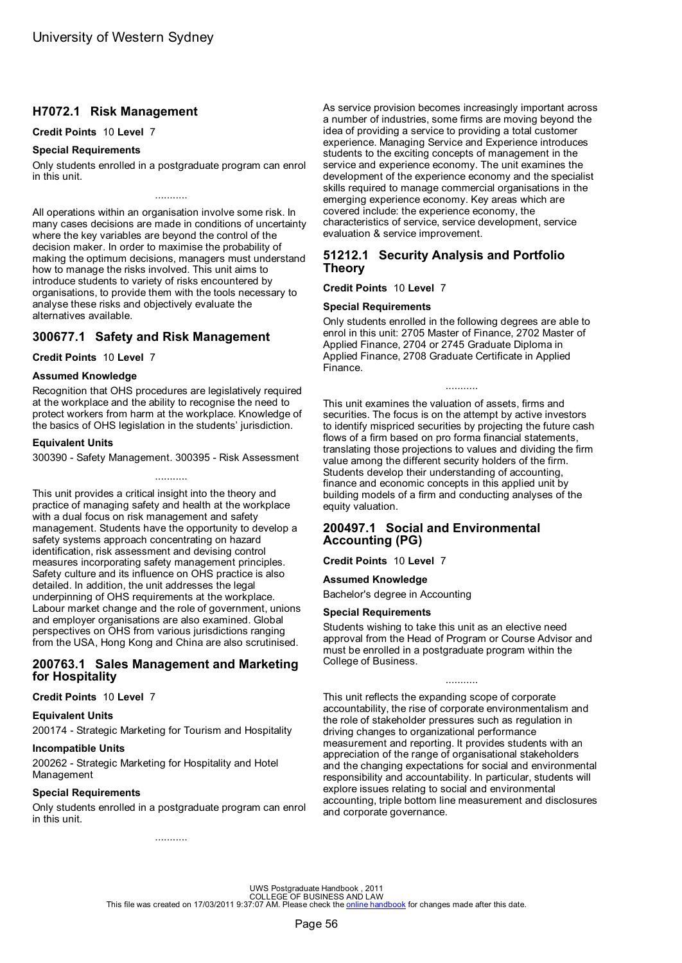### <span id="page-59-0"></span>**H7072.1 Risk Management**

#### **Credit Points** 10 **Level** 7

#### **Special Requirements**

Only students enrolled in a postgraduate program can enrol in this unit.

...........

All operations within an organisation involve some risk. In many cases decisions are made in conditions of uncertainty where the key variables are beyond the control of the decision maker. In order to maximise the probability of making the optimum decisions, managers must understand how to manage the risks involved. This unit aims to introduce students to variety of risks encountered by organisations, to provide them with the tools necessary to analyse these risks and objectively evaluate the alternatives available.

### **300677.1 Safety and Risk Management**

**Credit Points** 10 **Level** 7

#### **Assumed Knowledge**

Recognition that OHS procedures are legislatively required at the workplace and the ability to recognise the need to protect workers from harm at the workplace. Knowledge of the basics of OHS legislation in the students' jurisdiction.

### **Equivalent Units**

300390 - Safety Management. 300395 - Risk Assessment ...........

This unit provides a critical insight into the theory and practice of managing safety and health at the workplace with a dual focus on risk management and safety management. Students have the opportunity to develop a safety systems approach concentrating on hazard identification, risk assessment and devising control measures incorporating safety management principles. Safety culture and its influence on OHS practice is also detailed. In addition, the unit addresses the legal underpinning of OHS requirements at the workplace. Labour market change and the role of government, unions and employer organisations are also examined. Global perspectives on OHS from various jurisdictions ranging from the USA, Hong Kong and China are also scrutinised.

### **200763.1 Sales Management and Marketing for Hospitality**

**Credit Points** 10 **Level** 7

#### **Equivalent Units**

200174 - Strategic Marketing for Tourism and Hospitality

#### **Incompatible Units**

200262 - Strategic Marketing for Hospitality and Hotel Management

#### **Special Requirements**

Only students enrolled in a postgraduate program can enrol in this unit.

...........

As service provision becomes increasingly important across a number of industries, some firms are moving beyond the idea of providing a service to providing a total customer experience. Managing Service and Experience introduces students to the exciting concepts of management in the service and experience economy. The unit examines the development of the experience economy and the specialist skills required to manage commercial organisations in the emerging experience economy. Key areas which are covered include: the experience economy, the characteristics of service, service development, service evaluation & service improvement.

### **51212.1 Security Analysis and Portfolio Theory**

**Credit Points** 10 **Level** 7

#### **Special Requirements**

Only students enrolled in the following degrees are able to enrol in this unit: 2705 Master of Finance, 2702 Master of Applied Finance, 2704 or 2745 Graduate Diploma in Applied Finance, 2708 Graduate Certificate in Applied Finance.

This unit examines the valuation of assets, firms and securities. The focus is on the attempt by active investors to identify mispriced securities by projecting the future cash flows of a firm based on pro forma financial statements, translating those projections to values and dividing the firm value among the different security holders of the firm. Students develop their understanding of accounting, finance and economic concepts in this applied unit by building models of a firm and conducting analyses of the equity valuation.

### **200497.1 Social and Environmental Accounting (PG)**

**Credit Points** 10 **Level** 7

#### **Assumed Knowledge**

Bachelor's degree in Accounting

#### **Special Requirements**

Students wishing to take this unit as an elective need approval from the Head of Program or Course Advisor and must be enrolled in a postgraduate program within the College of Business.

...........

This unit reflects the expanding scope of corporate accountability, the rise of corporate environmentalism and the role of stakeholder pressures such as regulation in driving changes to organizational performance measurement and reporting. It provides students with an appreciation of the range of organisational stakeholders and the changing expectations for social and environmental responsibility and accountability. In particular, students will explore issues relating to social and environmental accounting, triple bottom line measurement and disclosures and corporate governance.

UWS Postgraduate Handbook , 2011 COLLEGE OF BUSINESS AND LAW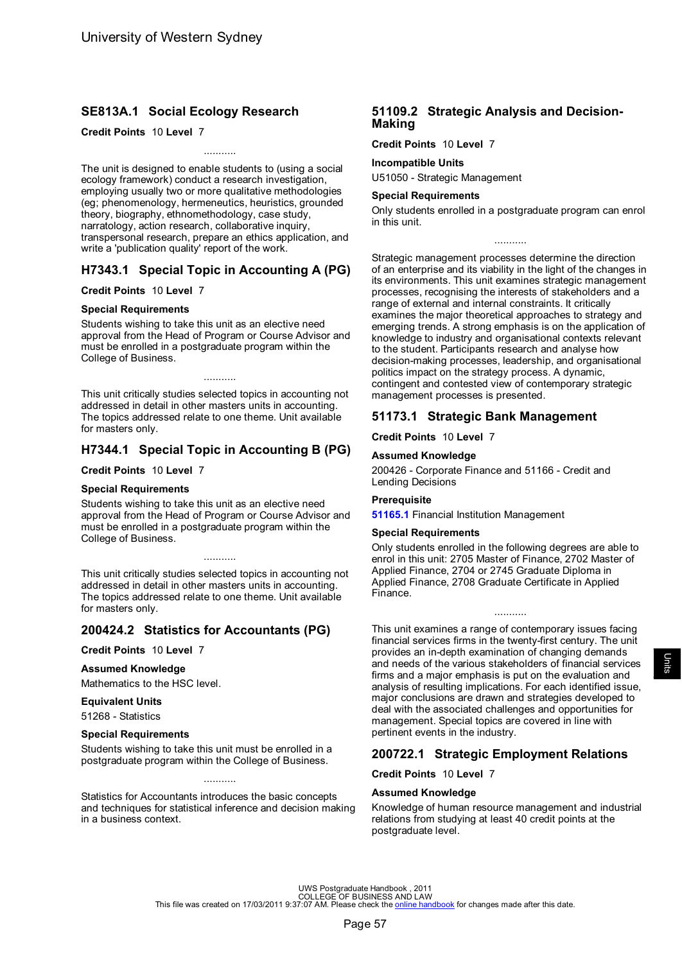## <span id="page-60-0"></span>**SE813A.1 Social Ecology Research**

**Credit Points** 10 **Level** 7

The unit is designed to enable students to (using a social ecology framework) conduct a research investigation, employing usually two or more qualitative methodologies (eg; phenomenology, hermeneutics, heuristics, grounded theory, biography, ethnomethodology, case study, narratology, action research, collaborative inquiry, transpersonal research, prepare an ethics application, and write a 'publication quality' report of the work.

...........

## **H7343.1 Special Topic in Accounting A (PG)**

**Credit Points** 10 **Level** 7

#### **Special Requirements**

Students wishing to take this unit as an elective need approval from the Head of Program or Course Advisor and must be enrolled in a postgraduate program within the College of Business.

...........

This unit critically studies selected topics in accounting not addressed in detail in other masters units in accounting. The topics addressed relate to one theme. Unit available for masters only.

## **H7344.1 Special Topic in Accounting B (PG)**

**Credit Points** 10 **Level** 7

#### **Special Requirements**

Students wishing to take this unit as an elective need approval from the Head of Program or Course Advisor and must be enrolled in a postgraduate program within the College of Business.

...........

This unit critically studies selected topics in accounting not addressed in detail in other masters units in accounting. The topics addressed relate to one theme. Unit available for masters only.

## **200424.2 Statistics for Accountants (PG)**

**Credit Points** 10 **Level** 7

#### **Assumed Knowledge**

Mathematics to the HSC level.

### **Equivalent Units**

51268 - Statistics

#### **Special Requirements**

Students wishing to take this unit must be enrolled in a postgraduate program within the College of Business.

Statistics for Accountants introduces the basic concepts and techniques for statistical inference and decision making in a business context.

...........

## **51109.2 Strategic Analysis and Decision-Making**

**Credit Points** 10 **Level** 7

#### **Incompatible Units**

U51050 - Strategic Management

### **Special Requirements**

Only students enrolled in a postgraduate program can enrol in this unit.

...........

Strategic management processes determine the direction of an enterprise and its viability in the light of the changes in its environments. This unit examines strategic management processes, recognising the interests of stakeholders and a range of external and internal constraints. It critically examines the major theoretical approaches to strategy and emerging trends. A strong emphasis is on the application of knowledge to industry and organisational contexts relevant to the student. Participants research and analyse how decision-making processes, leadership, and organisational politics impact on the strategy process. A dynamic, contingent and contested view of contemporary strategic management processes is presented.

## **51173.1 Strategic Bank Management**

**Credit Points** 10 **Level** 7

#### **Assumed Knowledge**

200426 - Corporate Finance and 51166 - Credit and Lending Decisions

### **Prerequisite**

**[51165.1](#page-43-0)** Financial Institution Management

#### **Special Requirements**

Only students enrolled in the following degrees are able to enrol in this unit: 2705 Master of Finance, 2702 Master of Applied Finance, 2704 or 2745 Graduate Diploma in Applied Finance, 2708 Graduate Certificate in Applied Finance.

...........

This unit examines a range of contemporary issues facing financial services firms in the twenty-first century. The unit provides an in-depth examination of changing demands and needs of the various stakeholders of financial services firms and a major emphasis is put on the evaluation and analysis of resulting implications. For each identified issue, major conclusions are drawn and strategies developed to deal with the associated challenges and opportunities for management. Special topics are covered in line with pertinent events in the industry.

## **200722.1 Strategic Employment Relations**

**Credit Points** 10 **Level** 7

### **Assumed Knowledge**

Knowledge of human resource management and industrial relations from studying at least 40 credit points at the postgraduate level.

Units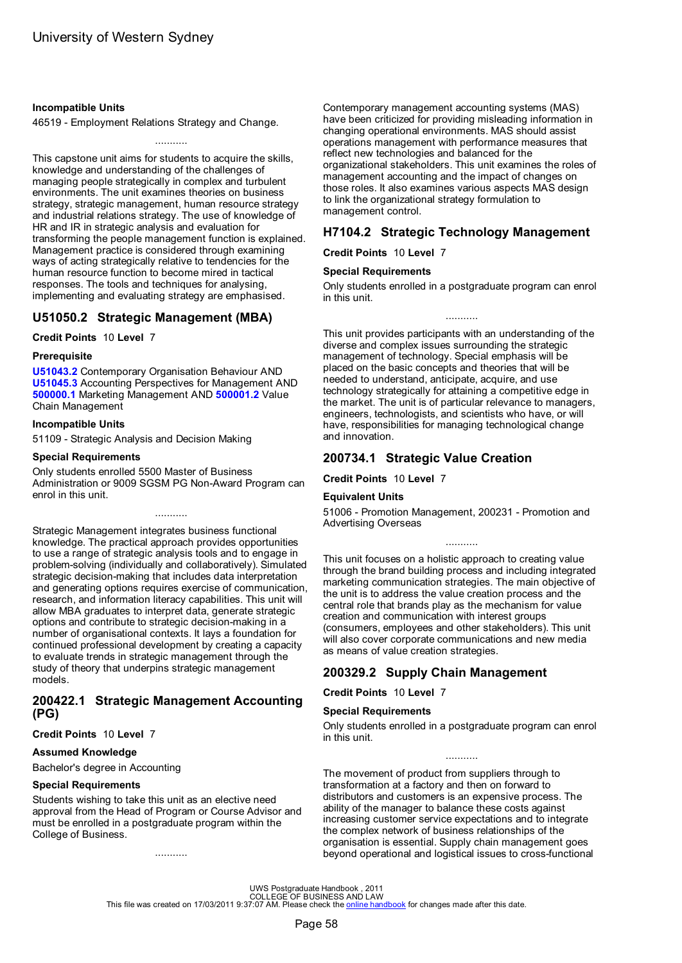#### <span id="page-61-0"></span>**Incompatible Units**

46519 - Employment Relations Strategy and Change.

This capstone unit aims for students to acquire the skills, knowledge and understanding of the challenges of managing people strategically in complex and turbulent environments. The unit examines theories on business strategy, strategic management, human resource strategy and industrial relations strategy. The use of knowledge of HR and IR in strategic analysis and evaluation for transforming the people management function is explained. Management practice is considered through examining ways of acting strategically relative to tendencies for the human resource function to become mired in tactical responses. The tools and techniques for analysing, implementing and evaluating strategy are emphasised.

...........

## **U51050.2 Strategic Management (MBA)**

**Credit Points** 10 **Level** 7

#### **Prerequisite**

**[U51043.2](#page-39-0)** Contemporary Organisation Behaviour AND **[U51045.3](#page-34-0)** Accounting Perspectives for Management AND **[500000.1](#page-52-0)** Marketing Management AND **[500001.2](#page-63-0)** Value Chain Management

#### **Incompatible Units**

51109 - Strategic Analysis and Decision Making

#### **Special Requirements**

Only students enrolled 5500 Master of Business Administration or 9009 SGSM PG Non-Award Program can enrol in this unit.

...........

Strategic Management integrates business functional knowledge. The practical approach provides opportunities to use a range of strategic analysis tools and to engage in problem-solving (individually and collaboratively). Simulated strategic decision-making that includes data interpretation and generating options requires exercise of communication, research, and information literacy capabilities. This unit will allow MBA graduates to interpret data, generate strategic options and contribute to strategic decision-making in a number of organisational contexts. It lays a foundation for continued professional development by creating a capacity to evaluate trends in strategic management through the study of theory that underpins strategic management models.

### **200422.1 Strategic Management Accounting (PG)**

**Credit Points** 10 **Level** 7

#### **Assumed Knowledge**

Bachelor's degree in Accounting

#### **Special Requirements**

Students wishing to take this unit as an elective need approval from the Head of Program or Course Advisor and must be enrolled in a postgraduate program within the College of Business.

...........

Contemporary management accounting systems (MAS) have been criticized for providing misleading information in changing operational environments. MAS should assist operations management with performance measures that reflect new technologies and balanced for the organizational stakeholders. This unit examines the roles of management accounting and the impact of changes on those roles. It also examines various aspects MAS design to link the organizational strategy formulation to management control.

### **H7104.2 Strategic Technology Management**

**Credit Points** 10 **Level** 7

#### **Special Requirements**

Only students enrolled in a postgraduate program can enrol in this unit.

...........

This unit provides participants with an understanding of the diverse and complex issues surrounding the strategic management of technology. Special emphasis will be placed on the basic concepts and theories that will be needed to understand, anticipate, acquire, and use technology strategically for attaining a competitive edge in the market. The unit is of particular relevance to managers, engineers, technologists, and scientists who have, or will have, responsibilities for managing technological change and innovation.

### **200734.1 Strategic Value Creation**

**Credit Points** 10 **Level** 7

#### **Equivalent Units**

51006 - Promotion Management, 200231 - Promotion and Advertising Overseas

...........

This unit focuses on a holistic approach to creating value through the brand building process and including integrated marketing communication strategies. The main objective of the unit is to address the value creation process and the central role that brands play as the mechanism for value creation and communication with interest groups (consumers, employees and other stakeholders). This unit will also cover corporate communications and new media as means of value creation strategies.

### **200329.2 Supply Chain Management**

**Credit Points** 10 **Level** 7

#### **Special Requirements**

Only students enrolled in a postgraduate program can enrol in this unit.

...........

The movement of product from suppliers through to transformation at a factory and then on forward to distributors and customers is an expensive process. The ability of the manager to balance these costs against increasing customer service expectations and to integrate the complex network of business relationships of the organisation is essential. Supply chain management goes beyond operational and logistical issues to cross-functional

UWS Postgraduate Handbook , 2011 COLLEGE OF BUSINESS AND LAW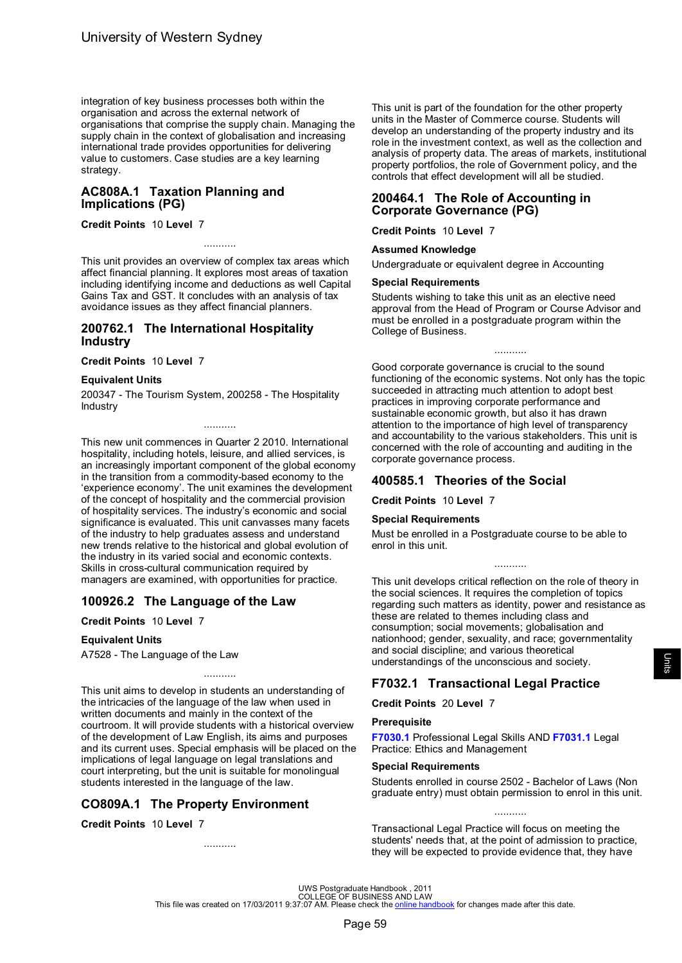<span id="page-62-0"></span>integration of key business processes both within the organisation and across the external network of organisations that comprise the supply chain. Managing the supply chain in the context of globalisation and increasing international trade provides opportunities for delivering value to customers. Case studies are a key learning strategy.

## **AC808A.1 Taxation Planning and Implications (PG)**

**Credit Points** 10 **Level** 7

This unit provides an overview of complex tax areas which affect financial planning. It explores most areas of taxation including identifying income and deductions as well Capital Gains Tax and GST. It concludes with an analysis of tax avoidance issues as they affect financial planners.

...........

### **200762.1 The International Hospitality Industry**

**Credit Points** 10 **Level** 7

#### **Equivalent Units**

200347 - The Tourism System, 200258 - The Hospitality Industry

...........

This new unit commences in Quarter 2 2010. International hospitality, including hotels, leisure, and allied services, is an increasingly important component of the global economy in the transition from a commodity-based economy to the 'experience economy'. The unit examines the development of the concept of hospitality and the commercial provision of hospitality services. The industry's economic and social significance is evaluated. This unit canvasses many facets of the industry to help graduates assess and understand new trends relative to the historical and global evolution of the industry in its varied social and economic contexts. Skills in cross-cultural communication required by managers are examined, with opportunities for practice.

### **100926.2 The Language of the Law**

**Credit Points** 10 **Level** 7

#### **Equivalent Units**

A7528 - The Language of the Law

This unit aims to develop in students an understanding of the intricacies of the language of the law when used in written documents and mainly in the context of the courtroom. It will provide students with a historical overview of the development of Law English, its aims and purposes and its current uses. Special emphasis will be placed on the implications of legal language on legal translations and court interpreting, but the unit is suitable for monolingual students interested in the language of the law.

...........

...........

## **CO809A.1 The Property Environment**

**Credit Points** 10 **Level** 7

This unit is part of the foundation for the other property units in the Master of Commerce course. Students will develop an understanding of the property industry and its role in the investment context, as well as the collection and analysis of property data. The areas of markets, institutional property portfolios, the role of Government policy, and the controls that effect development will all be studied.

### **200464.1 The Role of Accounting in Corporate Governance (PG)**

**Credit Points** 10 **Level** 7

#### **Assumed Knowledge**

Undergraduate or equivalent degree in Accounting

#### **Special Requirements**

Students wishing to take this unit as an elective need approval from the Head of Program or Course Advisor and must be enrolled in a postgraduate program within the College of Business.

...........

Good corporate governance is crucial to the sound functioning of the economic systems. Not only has the topic succeeded in attracting much attention to adopt best practices in improving corporate performance and sustainable economic growth, but also it has drawn attention to the importance of high level of transparency and accountability to the various stakeholders. This unit is concerned with the role of accounting and auditing in the corporate governance process.

### **400585.1 Theories of the Social**

**Credit Points** 10 **Level** 7

#### **Special Requirements**

Must be enrolled in a Postgraduate course to be able to enrol in this unit.

This unit develops critical reflection on the role of theory in the social sciences. It requires the completion of topics regarding such matters as identity, power and resistance as these are related to themes including class and consumption; social movements; globalisation and nationhood; gender, sexuality, and race; governmentality and social discipline; and various theoretical understandings of the unconscious and society.

...........

### **F7032.1 Transactional Legal Practice**

**Credit Points** 20 **Level** 7

### **Prerequisite**

**[F7030.1](#page-55-0)** Professional Legal Skills AND **[F7031.1](#page-49-0)** Legal Practice: Ethics and Management

#### **Special Requirements**

Students enrolled in course 2502 - Bachelor of Laws (Non graduate entry) must obtain permission to enrol in this unit.

...........

Transactional Legal Practice will focus on meeting the students' needs that, at the point of admission to practice, they will be expected to provide evidence that, they have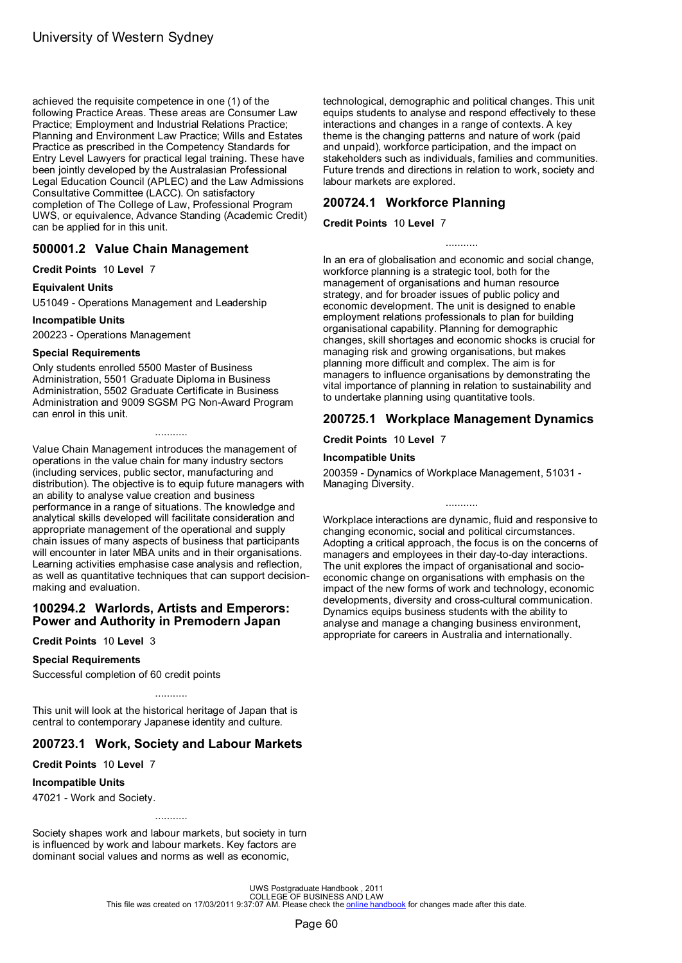<span id="page-63-0"></span>achieved the requisite competence in one (1) of the following Practice Areas. These areas are Consumer Law Practice; Employment and Industrial Relations Practice; Planning and Environment Law Practice; Wills and Estates Practice as prescribed in the Competency Standards for Entry Level Lawyers for practical legal training. These have been jointly developed by the Australasian Professional Legal Education Council (APLEC) and the Law Admissions Consultative Committee (LACC). On satisfactory completion of The College of Law, Professional Program UWS, or equivalence, Advance Standing (Academic Credit) can be applied for in this unit.

## **500001.2 Value Chain Management**

**Credit Points** 10 **Level** 7

#### **Equivalent Units**

U51049 - Operations Management and Leadership

#### **Incompatible Units**

200223 - Operations Management

#### **Special Requirements**

Only students enrolled 5500 Master of Business Administration, 5501 Graduate Diploma in Business Administration, 5502 Graduate Certificate in Business Administration and 9009 SGSM PG Non-Award Program can enrol in this unit.

...........

Value Chain Management introduces the management of operations in the value chain for many industry sectors (including services, public sector, manufacturing and distribution). The objective is to equip future managers with an ability to analyse value creation and business performance in a range of situations. The knowledge and analytical skills developed will facilitate consideration and appropriate management of the operational and supply chain issues of many aspects of business that participants will encounter in later MBA units and in their organisations. Learning activities emphasise case analysis and reflection, as well as quantitative techniques that can support decisionmaking and evaluation.

### **100294.2 Warlords, Artists and Emperors: Power and Authority in Premodern Japan**

**Credit Points** 10 **Level** 3

#### **Special Requirements**

Successful completion of 60 credit points

This unit will look at the historical heritage of Japan that is central to contemporary Japanese identity and culture.

...........

### **200723.1 Work, Society and Labour Markets**

**Credit Points** 10 **Level** 7

#### **Incompatible Units**

47021 - Work and Society.

Society shapes work and labour markets, but society in turn is influenced by work and labour markets. Key factors are dominant social values and norms as well as economic,

...........

technological, demographic and political changes. This unit equips students to analyse and respond effectively to these interactions and changes in a range of contexts. A key theme is the changing patterns and nature of work (paid and unpaid), workforce participation, and the impact on stakeholders such as individuals, families and communities. Future trends and directions in relation to work, society and labour markets are explored.

## **200724.1 Workforce Planning**

**Credit Points** 10 **Level** 7

...........

In an era of globalisation and economic and social change, workforce planning is a strategic tool, both for the management of organisations and human resource strategy, and for broader issues of public policy and economic development. The unit is designed to enable employment relations professionals to plan for building organisational capability. Planning for demographic changes, skill shortages and economic shocks is crucial for managing risk and growing organisations, but makes planning more difficult and complex. The aim is for managers to influence organisations by demonstrating the vital importance of planning in relation to sustainability and to undertake planning using quantitative tools.

### **200725.1 Workplace Management Dynamics**

**Credit Points** 10 **Level** 7

#### **Incompatible Units**

200359 - Dynamics of Workplace Management, 51031 - Managing Diversity.

...........

Workplace interactions are dynamic, fluid and responsive to changing economic, social and political circumstances. Adopting a critical approach, the focus is on the concerns of managers and employees in their day-to-day interactions. The unit explores the impact of organisational and socioeconomic change on organisations with emphasis on the impact of the new forms of work and technology, economic developments, diversity and cross-cultural communication. Dynamics equips business students with the ability to analyse and manage a changing business environment, appropriate for careers in Australia and internationally.

UWS Postgraduate Handbook , 2011 COLLEGE OF BUSINESS AND LAW This file was created on 17/03/2011 9:37:07 AM. Please check the online [handbook](http://handbook.uws.edu.au/hbook/) for changes made after this date.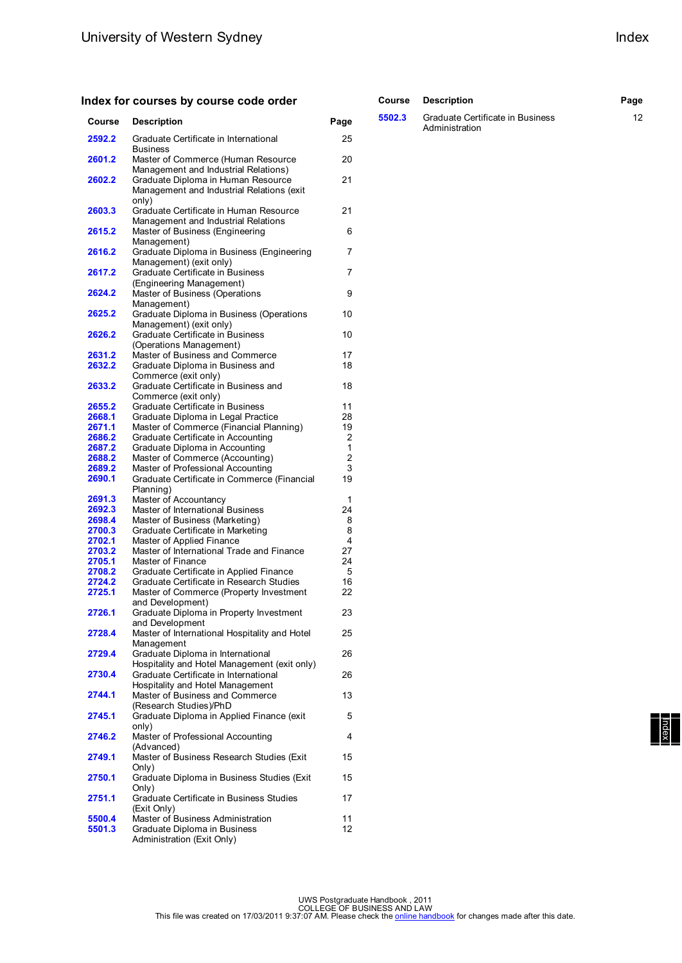### **Index for courses by course code order**

| Course           | <b>Description</b>                                                                       | Page     |
|------------------|------------------------------------------------------------------------------------------|----------|
| 2592.2           | Graduate Certificate in International<br><b>Business</b>                                 | 25       |
| 2601.2           | Master of Commerce (Human Resource<br>Management and Industrial Relations)               | 20       |
| 2602.2           | Graduate Diploma in Human Resource<br>Management and Industrial Relations (exit<br>only) | 21       |
| 2603.3           | Graduate Certificate in Human Resource<br>Management and Industrial Relations            | 21       |
| 2615.2           | Master of Business (Engineering<br>Management)                                           | 6        |
| 2616.2           | Graduate Diploma in Business (Engineering<br>Management) (exit only)                     | 7        |
| 2617.2           | Graduate Certificate in Business<br>(Engineering Management)                             | 7        |
| 2624.2           | Master of Business (Operations<br>Management)                                            | 9        |
| 2625.2           | Graduate Diploma in Business (Operations<br>Management) (exit only)                      | 10       |
| 2626.2           | Graduate Certificate in Business<br>(Operations Management)                              | 10       |
| 2631.2<br>2632.2 | Master of Business and Commerce<br>Graduate Diploma in Business and                      | 17<br>18 |
| 2633.2           | Commerce (exit only)<br>Graduate Certificate in Business and                             | 18       |
| 2655.2           | Commerce (exit only)<br>Graduate Certificate in Business                                 | 11       |
| 2668.1           | Graduate Diploma in Legal Practice                                                       | 28       |
| 2671.1           | Master of Commerce (Financial Planning)                                                  | 19       |
| 2686.2           | Graduate Certificate in Accounting                                                       | 2        |
| 2687.2           | Graduate Diploma in Accounting                                                           | 1        |
| 2688.2           | Master of Commerce (Accounting)                                                          | 2        |
| 2689.2<br>2690.1 | Master of Professional Accounting                                                        | 3<br>19  |
|                  | Graduate Certificate in Commerce (Financial<br>Planning)                                 |          |
| 2691.3           | Master of Accountancy                                                                    | 1        |
| 2692.3           | Master of International Business                                                         | 24       |
| 2698.4           | Master of Business (Marketing)                                                           | 8        |
| 2700.3           | Graduate Certificate in Marketing                                                        | 8        |
| 2702.1           | Master of Applied Finance                                                                | 4        |
| 2703.2<br>2705.1 | Master of International Trade and Finance<br>Master of Finance                           | 27<br>24 |
| 2708.2           | Graduate Certificate in Applied Finance                                                  | 5        |
| 2724.2           | Graduate Certificate in Research Studies                                                 | 16       |
| 2725.1           | Master of Commerce (Property Investment<br>and Development)                              | 22       |
| 2726.1           | Graduate Diploma in Property Investment<br>and Development                               | 23       |
| 2728.4           | Master of International Hospitality and Hotel<br>Management                              | 25       |
| 2729.4           | Graduate Diploma in International<br>Hospitality and Hotel Management (exit only)        | 26       |
| 2730.4           | Graduate Certificate in International<br>Hospitality and Hotel Management                | 26       |
| 2744.1           | Master of Business and Commerce<br>(Research Studies)/PhD                                | 13       |
| 2745.1           | Graduate Diploma in Applied Finance (exit<br>only)                                       | 5        |
| 2746.2           | Master of Professional Accounting<br>(Advanced)                                          | 4        |
| 2749.1           | Master of Business Research Studies (Exit<br>Only)                                       | 15       |
| 2750.1           | Graduate Diploma in Business Studies (Exit<br>Only)                                      | 15       |
| 2751.1           | Graduate Certificate in Business Studies<br>(Exit Only)                                  | 17       |
| 5500.4<br>5501.3 | Master of Business Administration<br>Graduate Diploma in Business                        | 11<br>12 |
|                  | Administration (Exit Only)                                                               |          |

| Course | Description                                        | Page |
|--------|----------------------------------------------------|------|
| 5502.3 | Graduate Certificate in Business<br>Administration | 12   |
|        |                                                    |      |
|        |                                                    |      |
|        |                                                    |      |
|        |                                                    |      |
|        |                                                    |      |
|        |                                                    |      |
|        |                                                    |      |
|        |                                                    |      |
|        |                                                    |      |
|        |                                                    |      |
|        |                                                    |      |
|        |                                                    |      |
|        |                                                    |      |
|        |                                                    |      |

| Index | Index | Index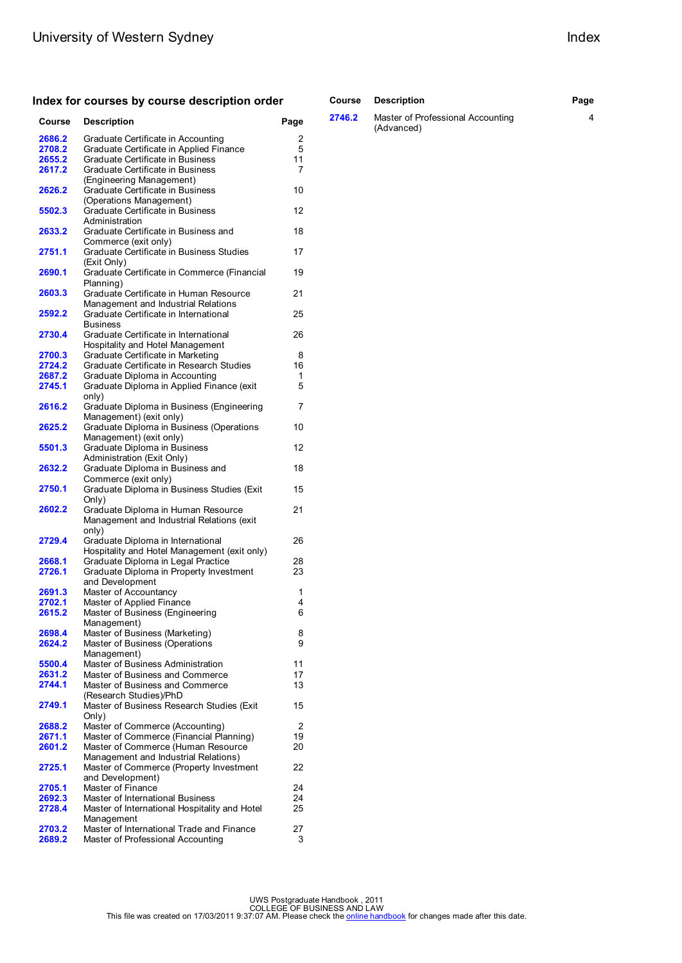## **Index for courses by course description order**

| Course           | <b>Description</b>                                                                       | Page     |
|------------------|------------------------------------------------------------------------------------------|----------|
| 2686.2           | Graduate Certificate in Accounting                                                       | 2        |
| 2708.2           | Graduate Certificate in Applied Finance                                                  | 5        |
| 2655.2           | Graduate Certificate in Business                                                         | 11       |
| 2617.2           | Graduate Certificate in Business                                                         | 7        |
| 2626.2           | (Engineering Management)<br>Graduate Certificate in Business                             | 10       |
| 5502.3           | (Operations Management)<br>Graduate Certificate in Business                              | 12       |
| 2633.2           | Administration<br>Graduate Certificate in Business and<br>Commerce (exit only)           | 18       |
| 2751.1           | Graduate Certificate in Business Studies<br>(Exit Only)                                  | 17       |
| 2690.1           | Graduate Certificate in Commerce (Financial<br>Planning)                                 | 19       |
| 2603.3           | Graduate Certificate in Human Resource<br>Management and Industrial Relations            | 21       |
| 2592.2           | Graduate Certificate in International<br><b>Business</b>                                 | 25       |
| 2730.4           | Graduate Certificate in International<br>Hospitality and Hotel Management                | 26       |
| 2700.3           | Graduate Certificate in Marketing                                                        | 8        |
| 2724.2           | Graduate Certificate in Research Studies                                                 | 16       |
| 2687.2           | Graduate Diploma in Accounting                                                           | 1        |
| 2745.1           | Graduate Diploma in Applied Finance (exit<br>only)                                       | 5        |
| 2616.2           | Graduate Diploma in Business (Engineering<br>Management) (exit only)                     | 7        |
| 2625.2           | Graduate Diploma in Business (Operations<br>Management) (exit only)                      | 10       |
| 5501.3           | Graduate Diploma in Business<br>Administration (Exit Only)                               | 12       |
| 2632.2           | Graduate Diploma in Business and<br>Commerce (exit only)                                 | 18       |
| 2750.1           | Graduate Diploma in Business Studies (Exit<br>Only)                                      | 15       |
| 2602.2           | Graduate Diploma in Human Resource<br>Management and Industrial Relations (exit<br>only) | 21       |
| 2729.4           | Graduate Diploma in International<br>Hospitality and Hotel Management (exit only)        | 26       |
| 2668.1           | Graduate Diploma in Legal Practice                                                       | 28       |
| 2726.1           | Graduate Diploma in Property Investment<br>and Development                               | 23       |
| 2691.3           | Master of Accountancy                                                                    | 1        |
| 2702.1           | Master of Applied Finance                                                                | 4        |
| 2615.2           | Master of Business (Engineering<br>Management)                                           | 6        |
| 2698.4           | Master of Business (Marketing)                                                           | 8        |
| 2624.2           | Master of Business (Operations<br>Management)                                            | 9        |
| 5500.4           | Master of Business Administration                                                        | 11       |
| 2631.2           | Master of Business and Commerce                                                          | 17       |
| 2744.1           | Master of Business and Commerce<br>(Research Studies)/PhD                                | 13       |
| 2749.1           | Master of Business Research Studies (Exit<br>Only)                                       | 15       |
| 2688.2           | Master of Commerce (Accounting)                                                          | 2        |
| 2671.1<br>2601.2 | Master of Commerce (Financial Planning)<br>Master of Commerce (Human Resource            | 19<br>20 |
| 2725.1           | Management and Industrial Relations)<br>Master of Commerce (Property Investment          | 22       |
|                  | and Development)                                                                         |          |
| 2705.1           | Master of Finance                                                                        | 24       |
| 2692.3<br>2728.4 | Master of International Business<br>Master of International Hospitality and Hotel        | 24<br>25 |
| 2703.2           | Management<br>Master of International Trade and Finance                                  | 27       |
| 2689.2           | Master of Professional Accounting                                                        | 3        |

|        | <b>Course Description</b>                       | Page |
|--------|-------------------------------------------------|------|
| 2746.2 | Master of Professional Accounting<br>(Advanced) | 4    |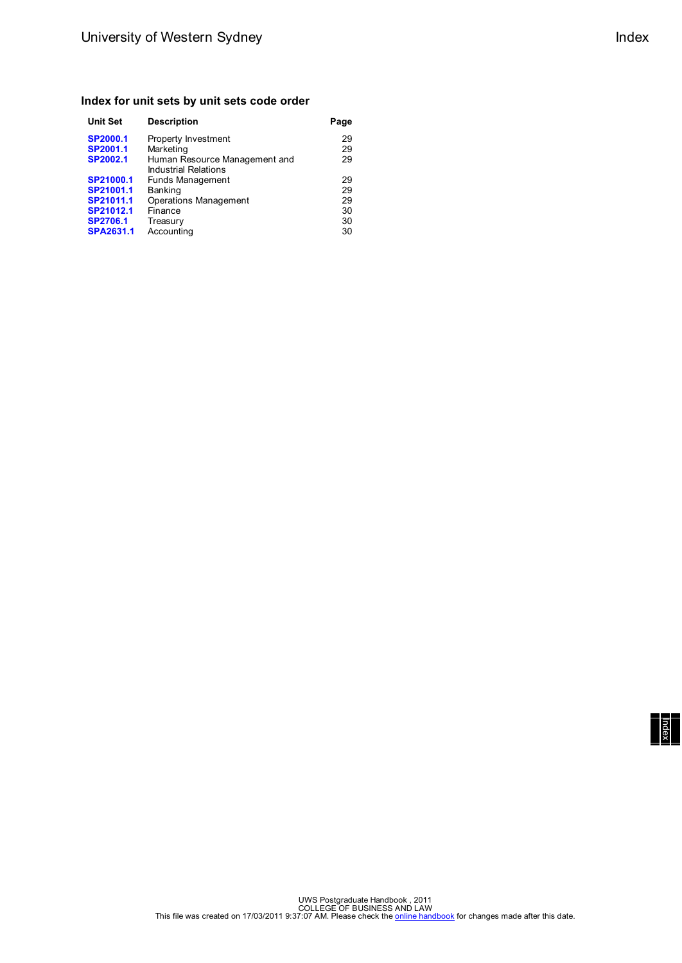### **Index for unit sets by unit sets code order**

| <b>Unit Set</b>  | <b>Description</b>                                           | Page |
|------------------|--------------------------------------------------------------|------|
| <b>SP2000.1</b>  | Property Investment                                          | 29   |
| SP2001.1         | Marketing                                                    | 29   |
| SP2002.1         | Human Resource Management and<br><b>Industrial Relations</b> | 29   |
| SP21000.1        | <b>Funds Management</b>                                      | 29   |
| SP21001.1        | Banking                                                      | 29   |
| SP21011.1        | <b>Operations Management</b>                                 | 29   |
| SP21012.1        | Finance                                                      | 30   |
| SP2706.1         | Treasury                                                     | 30   |
| <b>SPA2631.1</b> | Accounting                                                   | 30   |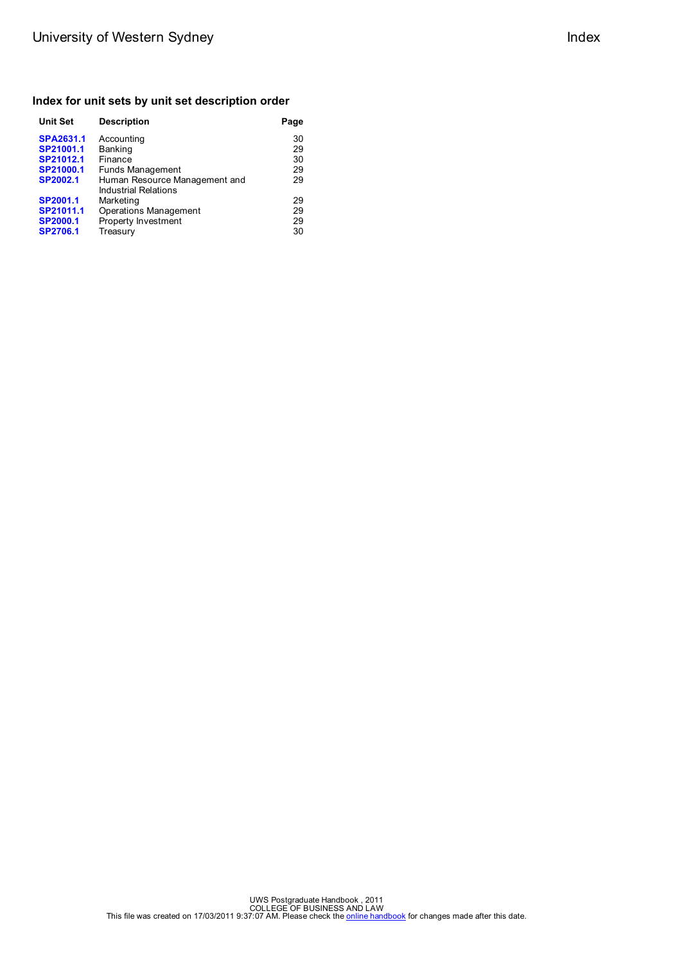### **Index for unit sets by unit set description order**

| <b>Unit Set</b>  | <b>Description</b>                                    | Page |
|------------------|-------------------------------------------------------|------|
| <b>SPA2631.1</b> | Accounting                                            | 30   |
| SP21001.1        | <b>Banking</b>                                        | 29   |
| SP21012.1        | Finance                                               | 30   |
| SP21000.1        | <b>Funds Management</b>                               | 29   |
| SP2002.1         | Human Resource Management and<br>Industrial Relations | 29   |
| SP2001.1         | Marketing                                             | 29   |
| SP21011.1        | <b>Operations Management</b>                          | 29   |
| <b>SP2000.1</b>  | Property Investment                                   | 29   |
| <b>SP2706.1</b>  | Treasury                                              | 30   |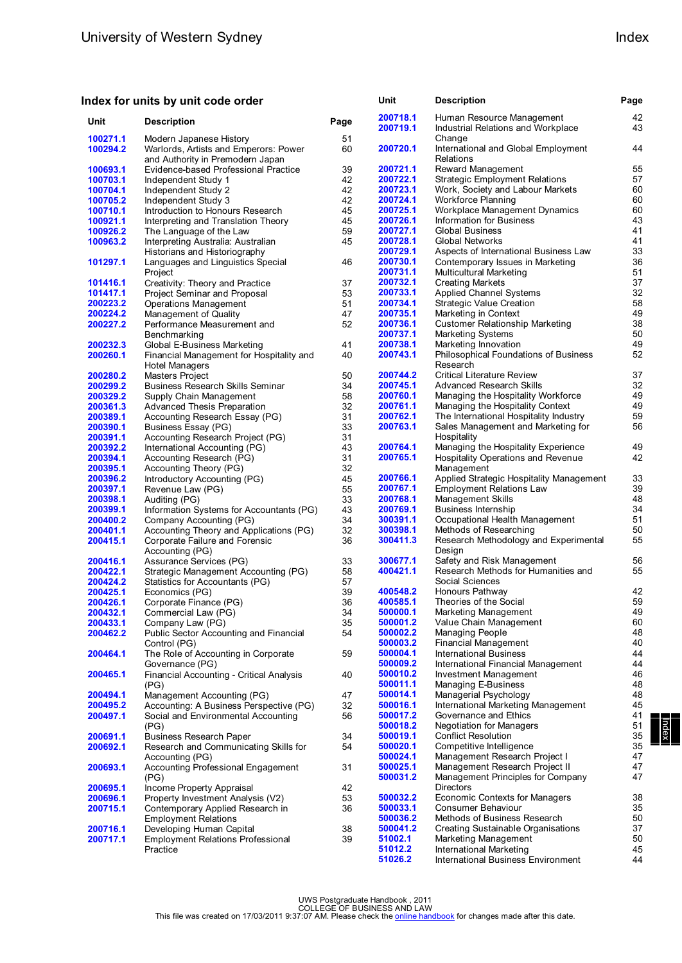## **Index for units by unit code order**

| ndex for units by unit code order |                                                                  | Unit     | <b>Description</b>   | Page                                                              |          |
|-----------------------------------|------------------------------------------------------------------|----------|----------------------|-------------------------------------------------------------------|----------|
| Unit                              | <b>Description</b>                                               | Page     | 200718.1<br>200719.1 | Human Resource Management<br>Industrial Relations and Workplace   | 42<br>43 |
| 100271.1<br>100294.2              | Modern Japanese History<br>Warlords, Artists and Emperors: Power | 51<br>60 | 200720.1             | Change<br>International and Global Employment                     | 44       |
|                                   | and Authority in Premodern Japan                                 |          |                      | Relations                                                         |          |
| 100693.1                          | Evidence-based Professional Practice                             | 39       | 200721.1             | Reward Management                                                 | 55       |
| 100703.1                          | Independent Study 1                                              | 42       | 200722.1             | <b>Strategic Employment Relations</b>                             | 57       |
| 100704.1                          | Independent Study 2                                              | 42       | 200723.1             | Work, Society and Labour Markets                                  | 60       |
| 100705.2                          | Independent Study 3                                              | 42       | 200724.1             | Workforce Planning                                                | 60       |
| 100710.1                          | Introduction to Honours Research                                 | 45       | 200725.1             | Workplace Management Dynamics                                     | 60       |
| 100921.1                          | Interpreting and Translation Theory                              | 45       | 200726.1             | Information for Business                                          | 43       |
| 100926.2                          | The Language of the Law                                          | 59       | 200727.1             | <b>Global Business</b>                                            | 41       |
| 100963.2                          | Interpreting Australia: Australian                               | 45       | 200728.1             | <b>Global Networks</b>                                            | 41       |
|                                   | Historians and Historiography                                    |          | 200729.1             | Aspects of International Business Law                             | 33       |
| 101297.1                          | Languages and Linguistics Special                                | 46       | 200730.1             | Contemporary Issues in Marketing                                  | 36       |
|                                   | Project                                                          |          | 200731.1             | Multicultural Marketing                                           | 51       |
| 101416.1                          | Creativity: Theory and Practice                                  | 37       | 200732.1             | <b>Creating Markets</b>                                           | 37       |
| 101417.1                          | Project Seminar and Proposal                                     | 53       | 200733.1             | <b>Applied Channel Systems</b>                                    | 32       |
| 200223.2                          | Operations Management                                            | 51       | 200734.1             | <b>Strategic Value Creation</b>                                   | 58       |
| 200224.2                          | Management of Quality                                            | 47       | 200735.1             | Marketing in Context                                              | 49       |
| 200227.2                          | Performance Measurement and                                      | 52       | 200736.1             | <b>Customer Relationship Marketing</b>                            | 38       |
|                                   |                                                                  |          | 200737.1             | <b>Marketing Systems</b>                                          | 50       |
|                                   | Benchmarking                                                     |          | 200738.1             |                                                                   | 49       |
| 200232.3                          | Global E-Business Marketing                                      | 41       | 200743.1             | Marketing Innovation                                              | 52       |
| 200260.1                          | Financial Management for Hospitality and                         | 40       |                      | Philosophical Foundations of Business                             |          |
|                                   | Hotel Managers                                                   |          |                      | Research                                                          |          |
| 200280.2                          | Masters Project                                                  | 50       | 200744.2             | <b>Critical Literature Review</b>                                 | 37       |
| 200299.2                          | <b>Business Research Skills Seminar</b>                          | 34       | 200745.1             | <b>Advanced Research Skills</b>                                   | 32       |
| 200329.2                          | Supply Chain Management                                          | 58       | 200760.1             | Managing the Hospitality Workforce                                | 49       |
| 200361.3                          | <b>Advanced Thesis Preparation</b>                               | 32       | 200761.1             | Managing the Hospitality Context                                  | 49       |
| 200389.1                          | Accounting Research Essay (PG)                                   | 31       | 200762.1             | The International Hospitality Industry                            | 59       |
| 200390.1                          | Business Essay (PG)                                              | 33       | 200763.1             | Sales Management and Marketing for                                | 56       |
| 200391.1                          | Accounting Research Project (PG)                                 | 31       |                      | Hospitality                                                       |          |
| 200392.2                          | International Accounting (PG)                                    | 43       | 200764.1             | Managing the Hospitality Experience                               | 49       |
| 200394.1                          | Accounting Research (PG)                                         | 31       | 200765.1             | Hospitality Operations and Revenue                                | 42       |
| 200395.1                          | Accounting Theory (PG)                                           | 32       |                      | Management                                                        |          |
| 200396.2                          | Introductory Accounting (PG)                                     | 45       | 200766.1             | Applied Strategic Hospitality Management                          | 33       |
| 200397.1                          | Revenue Law (PG)                                                 | 55       | 200767.1             | <b>Employment Relations Law</b>                                   | 39       |
| 200398.1                          | Auditing (PG)                                                    | 33       | 200768.1             | <b>Management Skills</b>                                          | 48       |
| 200399.1                          | Information Systems for Accountants (PG)                         | 43       | 200769.1             | <b>Business Internship</b>                                        | 34       |
| 200400.2                          | Company Accounting (PG)                                          | 34       | 300391.1             | Occupational Health Management                                    | 51       |
| 200401.1                          | Accounting Theory and Applications (PG)                          | 32       | 300398.1             | Methods of Researching                                            | 50       |
| 200415.1                          | Corporate Failure and Forensic                                   | 36       | 300411.3             | Research Methodology and Experimental                             | 55       |
|                                   | Accounting (PG)                                                  |          |                      | Design                                                            |          |
|                                   |                                                                  |          | 300677.1             |                                                                   | 56       |
| 200416.1                          | Assurance Services (PG)                                          | 33       | 400421.1             | Safety and Risk Management<br>Research Methods for Humanities and | 55       |
| 200422.1                          | Strategic Management Accounting (PG)                             | 58       |                      |                                                                   |          |
| 200424.2                          | Statistics for Accountants (PG)                                  | 57       |                      | Social Sciences                                                   |          |
| 200425.1                          | Economics (PG)                                                   | 39       | 400548.2             | Honours Pathway                                                   | 42       |
| 200426.1                          | Corporate Finance (PG)                                           | 36       | 400585.1             | Theories of the Social                                            | 59       |
| 200432.1                          | Commercial Law (PG)                                              | 34       | 500000.1             | Marketing Management                                              | 49       |
| 200433.1                          | Company Law (PG)                                                 | 35       | 500001.2             | Value Chain Management                                            | 60       |
| 200462.2                          | Public Sector Accounting and Financial                           | 54       | 500002.2             | Managing People                                                   | 48       |
|                                   | Control (PG)                                                     |          | 500003.2             | Financial Management                                              | 40       |
| 200464.1                          | The Role of Accounting in Corporate                              | 59       | 500004.1             | <b>International Business</b>                                     | 44       |
|                                   | Governance (PG)                                                  |          | 500009.2             | International Financial Management                                | 44       |
| 200465.1                          | Financial Accounting - Critical Analysis                         | 40       | 500010.2             | Investment Management                                             | 46       |
|                                   | (PG)                                                             |          | 500011.1             | Managing E-Business                                               | 48       |
| 200494.1                          | Management Accounting (PG)                                       | 47       | 500014.1             | Managerial Psychology                                             | 48       |
| 200495.2                          | Accounting: A Business Perspective (PG)                          | 32       | 500016.1             | International Marketing Management                                | 45       |
| 200497.1                          | Social and Environmental Accounting                              | 56       | 500017.2             | Governance and Ethics                                             | 41       |
|                                   | (PG)                                                             |          | 500018.2             | <b>Negotiation for Managers</b>                                   | 51       |
| 200691.1                          | <b>Business Research Paper</b>                                   | 34       | 500019.1             | <b>Conflict Resolution</b>                                        | 35       |
| 200692.1                          |                                                                  | 54       | 500020.1             | Competitive Intelligence                                          | 35       |
|                                   | Research and Communicating Skills for                            |          | 500024.1             | Management Research Project I                                     | 47       |
|                                   | Accounting (PG)                                                  |          |                      |                                                                   |          |
| 200693.1                          | Accounting Professional Engagement                               | 31       | 500025.1             | Management Research Project II                                    | 47       |
|                                   | (PG)                                                             |          | 500031.2             | Management Principles for Company                                 | 47       |
| 200695.1                          | Income Property Appraisal                                        | 42       |                      | Directors                                                         |          |
| 200696.1                          | Property Investment Analysis (V2)                                | 53       | 500032.2             | Economic Contexts for Managers                                    | 38       |
| 200715.1                          | Contemporary Applied Research in                                 | 36       | 500033.1             | Consumer Behaviour                                                | 35       |
|                                   | <b>Employment Relations</b>                                      |          | 500036.2             | Methods of Business Research                                      | 50       |
| 200716.1                          | Developing Human Capital                                         | 38       | 500041.2             | Creating Sustainable Organisations                                | 37       |
| 200717.1                          | <b>Employment Relations Professional</b>                         | 39       | 51002.1              | Marketing Management                                              | 50       |
|                                   | Practice                                                         |          | 51012.2              | International Marketing                                           | 45       |
|                                   |                                                                  |          | 51026.2              | International Business Environment                                | 44       |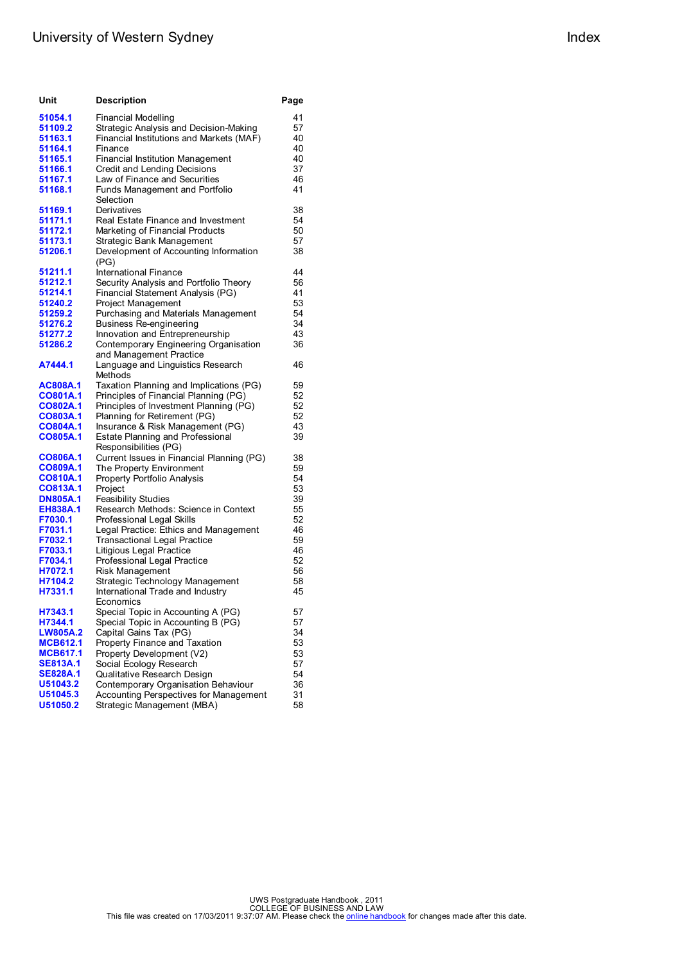| Unit            | Description                               | Page |
|-----------------|-------------------------------------------|------|
| 51054.1         | Financial Modelling                       | 41   |
| 51109.2         | Strategic Analysis and Decision-Making    | 57   |
| 51163.1         | Financial Institutions and Markets (MAF)  | 40   |
| 51164.1         | Finance                                   | 40   |
| 51165.1         | Financial Institution Management          | 40   |
| 51166.1         | Credit and Lending Decisions              | 37   |
| 51167.1         | Law of Finance and Securities             | 46   |
| 51168.1         | <b>Funds Management and Portfolio</b>     | 41   |
|                 | Selection                                 |      |
| 51169.1         | Derivatives                               | 38   |
| 51171.1         | Real Estate Finance and Investment        | 54   |
| 51172.1         | Marketing of Financial Products           | 50   |
| 51173.1         | Strategic Bank Management                 | 57   |
| 51206.1         | Development of Accounting Information     | 38   |
|                 | (PG)                                      |      |
| 51211.1         | International Finance                     | 44   |
| 51212.1         | Security Analysis and Portfolio Theory    | 56   |
| 51214.1         | Financial Statement Analysis (PG)         | 41   |
| 51240.2         | Project Management                        | 53   |
| 51259.2         | Purchasing and Materials Management       | 54   |
| 51276.2         | Business Re-engineering                   | 34   |
| 51277.2         | Innovation and Entrepreneurship           | 43   |
| 51286.2         | Contemporary Engineering Organisation     | 36   |
|                 | and Management Practice                   |      |
| A7444.1         | Language and Linguistics Research         | 46   |
|                 | Methods                                   |      |
| AC808A.1        | Taxation Planning and Implications (PG)   | 59   |
| CO801A.1        | Principles of Financial Planning (PG)     | 52   |
| CO802A.1        | Principles of Investment Planning (PG)    | 52   |
| CO803A.1        | Planning for Retirement (PG)              | 52   |
| CO804A.1        | Insurance & Risk Management (PG)          | 43   |
| CO805A.1        | Estate Planning and Professional          | 39   |
|                 | Responsibilities (PG)                     |      |
| CO806A.1        | Current Issues in Financial Planning (PG) | 38   |
| CO809A.1        | The Property Environment                  | 59   |
| CO810A.1        | Property Portfolio Analysis               | 54   |
| CO813A.1        | Project                                   | 53   |
| <b>DN805A.1</b> | <b>Feasibility Studies</b>                | 39   |
| EH838A.1        | Research Methods: Science in Context      | 55   |
| F7030.1         | Professional Legal Skills                 | 52   |
| F7031.1         | Legal Practice: Ethics and Management     | 46   |
| F7032.1         | Transactional Legal Practice              | 59   |
| F7033.1         | Litigious Legal Practice                  | 46   |
| F7034.1         | Professional Legal Practice               | 52   |
| H7072.1         | Risk Management                           | 56   |
| H7104.2         | Strategic Technology Management           | 58   |
| H7331.1         | International Trade and Industry          | 45   |
|                 | Economics                                 |      |
| H7343.1         | Special Topic in Accounting A (PG)        | 57   |
| H7344.1         | Special Topic in Accounting B (PG)        | 57   |
| <b>LW805A.2</b> | Capital Gains Tax (PG)                    | 34   |
| <b>MCB612.1</b> | Property Finance and Taxation             | 53   |
| <b>MCB617.1</b> | Property Development (V2)                 | 53   |
| SE813A.1        | Social Ecology Research                   | 57   |
| <b>SE828A.1</b> | Qualitative Research Design               | 54   |
| U51043.2        | Contemporary Organisation Behaviour       | 36   |
| U51045.3        | Accounting Perspectives for Management    | 31   |
| U51050.2        | Strategic Management (MBA)                | 58   |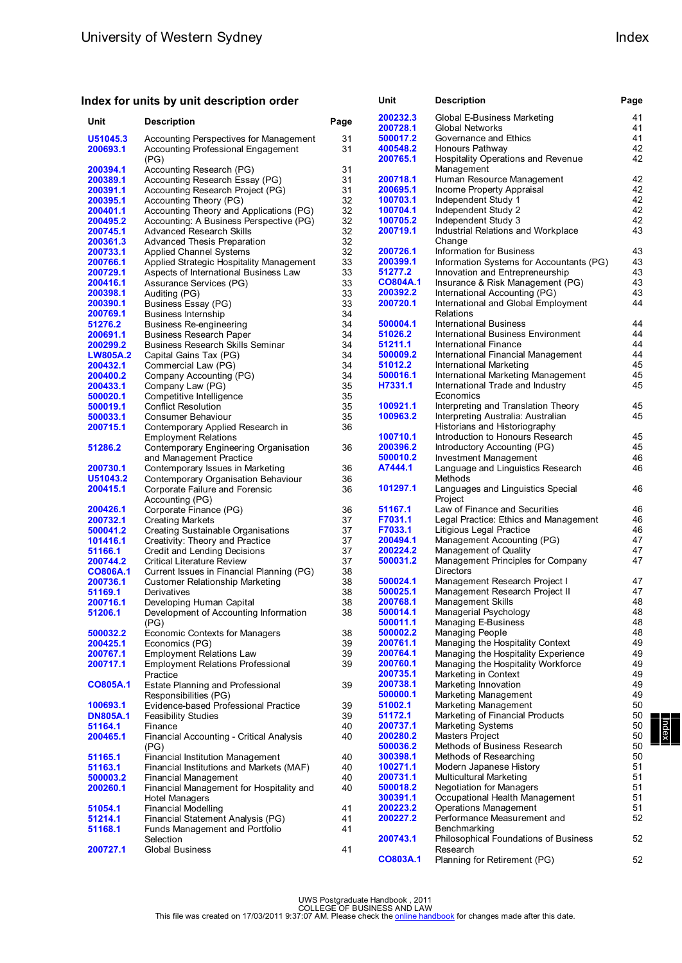### **Index for units by unit description order**

|                      | ndex for units by unit description order                   |          |                    | <b>Description</b>                                         | Page     |
|----------------------|------------------------------------------------------------|----------|--------------------|------------------------------------------------------------|----------|
| Unit                 | <b>Description</b>                                         | Page     | 200232.3           | Global E-Business Marketing                                | 41       |
|                      |                                                            |          | 200728.1           | <b>Global Networks</b>                                     | 41       |
| U51045.3             | Accounting Perspectives for Management                     | 31       | 500017.2           | Governance and Ethics                                      | 41       |
| 200693.1             | Accounting Professional Engagement                         | 31       | 400548.2           | Honours Pathway                                            | 42       |
|                      | (PG)                                                       |          | 200765.1           | Hospitality Operations and Revenue                         | 42       |
| 200394.1             | Accounting Research (PG)                                   | 31       | 200718.1           | Management                                                 | 42       |
| 200389.1             | Accounting Research Essay (PG)                             | 31<br>31 | 200695.1           | Human Resource Management                                  | 42       |
| 200391.1             | Accounting Research Project (PG)<br>Accounting Theory (PG) | 32       | 100703.1           | Income Property Appraisal<br>Independent Study 1           | 42       |
| 200395.1<br>200401.1 | Accounting Theory and Applications (PG)                    | 32       | 100704.1           | Independent Study 2                                        | 42       |
| 200495.2             | Accounting: A Business Perspective (PG)                    | 32       | 100705.2           | Independent Study 3                                        | 42       |
| 200745.1             | <b>Advanced Research Skills</b>                            | 32       | 200719.1           | Industrial Relations and Workplace                         | 43       |
| 200361.3             | <b>Advanced Thesis Preparation</b>                         | 32       |                    | Change                                                     |          |
| 200733.1             | <b>Applied Channel Systems</b>                             | 32       | 200726.1           | Information for Business                                   | 43       |
| 200766.1             | Applied Strategic Hospitality Management                   | 33       | 200399.1           | Information Systems for Accountants (PG)                   | 43       |
| 200729.1             | Aspects of International Business Law                      | 33       | 51277.2            | Innovation and Entrepreneurship                            | 43       |
| 200416.1             | Assurance Services (PG)                                    | 33       | CO804A.1           | Insurance & Risk Management (PG)                           | 43       |
| 200398.1             | Auditing (PG)                                              | 33       | 200392.2           | International Accounting (PG)                              | 43       |
| 200390.1             | Business Essay (PG)                                        | 33       | 200720.1           | International and Global Employment                        | 44       |
| 200769.1             | <b>Business Internship</b>                                 | 34       |                    | Relations                                                  |          |
| 51276.2              | Business Re-engineering                                    | 34       | 500004.1           | <b>International Business</b>                              | 44       |
| 200691.1             | <b>Business Research Paper</b>                             | 34       | 51026.2            | International Business Environment                         | 44       |
| 200299.2             | <b>Business Research Skills Seminar</b>                    | 34       | 51211.1            | International Finance                                      | 44       |
| <b>LW805A.2</b>      | Capital Gains Tax (PG)                                     | 34       | 500009.2           | International Financial Management                         | 44       |
| 200432.1             | Commercial Law (PG)                                        | 34       | 51012.2            | International Marketing                                    | 45       |
| 200400.2             | Company Accounting (PG)                                    | 34       | 500016.1           | International Marketing Management                         | 45       |
| 200433.1             | Company Law (PG)                                           | 35       | H7331.1            | International Trade and Industry                           | 45       |
| 500020.1             | Competitive Intelligence                                   | 35       |                    | Economics                                                  |          |
| 500019.1             | <b>Conflict Resolution</b>                                 | 35       | 100921.1           | Interpreting and Translation Theory                        | 45       |
| 500033.1             | Consumer Behaviour                                         | 35       | 100963.2           | Interpreting Australia: Australian                         | 45       |
| 200715.1             | Contemporary Applied Research in                           | 36       |                    | Historians and Historiography                              |          |
|                      | <b>Employment Relations</b>                                |          | 100710.1           | Introduction to Honours Research                           | 45       |
| 51286.2              | Contemporary Engineering Organisation                      | 36       | 200396.2           | Introductory Accounting (PG)                               | 45       |
|                      | and Management Practice                                    |          | 500010.2           | Investment Management                                      | 46       |
| 200730.1             | Contemporary Issues in Marketing                           | 36       | A7444.1            | Language and Linguistics Research                          | 46       |
| U51043.2             | Contemporary Organisation Behaviour                        | 36       |                    | Methods                                                    |          |
| 200415.1             | Corporate Failure and Forensic                             | 36       | 101297.1           | Languages and Linguistics Special                          | 46       |
|                      | Accounting (PG)                                            |          |                    | Project                                                    |          |
| 200426.1             | Corporate Finance (PG)                                     | 36       | 51167.1            | Law of Finance and Securities                              | 46<br>46 |
| 200732.1             | <b>Creating Markets</b>                                    | 37       | F7031.1<br>F7033.1 | Legal Practice: Ethics and Management                      | 46       |
| 500041.2             | Creating Sustainable Organisations                         | 37<br>37 | 200494.1           | Litigious Legal Practice                                   | 47       |
| 101416.1<br>51166.1  | Creativity: Theory and Practice                            |          | 200224.2           | Management Accounting (PG)                                 | 47       |
| 200744.2             | Credit and Lending Decisions<br>Critical Literature Review | 37<br>37 | 500031.2           | Management of Quality<br>Management Principles for Company | 47       |
| CO806A.1             | Current Issues in Financial Planning (PG)                  | 38       |                    | <b>Directors</b>                                           |          |
| 200736.1             | <b>Customer Relationship Marketing</b>                     | 38       | 500024.1           | Management Research Project I                              | 47       |
| 51169.1              | Derivatives                                                | 38       | 500025.1           | Management Research Project II                             | 47       |
| 200716.1             | Developing Human Capital                                   | 38       | 200768.1           | <b>Management Skills</b>                                   | 48       |
| 51206.1              | Development of Accounting Information                      | 38       | 500014.1           | Managerial Psychology                                      | 48       |
|                      | (PG)                                                       |          | 500011.1           | Managing E-Business                                        | 48       |
| 500032.2             | Economic Contexts for Managers                             | 38       | 500002.2           | Managing People                                            | 48       |
| 200425.1             | Economics (PG)                                             | 39       | 200761.1           | Managing the Hospitality Context                           | 49       |
| 200767.1             | <b>Employment Relations Law</b>                            | 39       | 200764.1           | Managing the Hospitality Experience                        | 49       |
| 200717.1             | <b>Employment Relations Professional</b>                   | 39       | 200760.1           | Managing the Hospitality Workforce                         | 49       |
|                      | Practice                                                   |          | 200735.1           | Marketing in Context                                       | 49       |
| CO805A.1             | Estate Planning and Professional                           | 39       | 200738.1           | Marketing Innovation                                       | 49       |
|                      | Responsibilities (PG)                                      |          | 500000.1           | Marketing Management                                       | 49       |
| 100693.1             | Evidence-based Professional Practice                       | 39       | 51002.1            | Marketing Management                                       | 50       |
| <b>DN805A.1</b>      | <b>Feasibility Studies</b>                                 | 39       | 51172.1            | Marketing of Financial Products                            | 50       |
| 51164.1              | Finance                                                    | 40       | 200737.1           | <b>Marketing Systems</b>                                   | 50       |
| 200465.1             | Financial Accounting - Critical Analysis                   | 40       | 200280.2           | Masters Project                                            | 50       |
|                      | (PG)                                                       |          | 500036.2           | Methods of Business Research                               | 50       |
| 51165.1              | Financial Institution Management                           | 40       | 300398.1           | Methods of Researching                                     | 50       |
| 51163.1              | Financial Institutions and Markets (MAF)                   | 40       | 100271.1           | Modern Japanese History                                    | 51       |
| 500003.2             | Financial Management                                       | 40       | 200731.1           | Multicultural Marketing                                    | 51       |
| 200260.1             | Financial Management for Hospitality and                   | 40       | 500018.2           | Negotiation for Managers                                   | 51       |
|                      | Hotel Managers                                             |          | 300391.1           | Occupational Health Management                             | 51       |
| 51054.1              | Financial Modelling                                        | 41       | 200223.2           | Operations Management                                      | 51       |
| 51214.1              | Financial Statement Analysis (PG)                          | 41       | 200227.2           | Performance Measurement and                                | 52       |
| 51168.1              | Funds Management and Portfolio                             | 41       |                    | Benchmarking                                               |          |
|                      | Selection                                                  |          | 200743.1           | Philosophical Foundations of Business                      | 52       |
| 200727.1             | <b>Global Business</b>                                     | 41       |                    | Research                                                   |          |
|                      |                                                            |          | CO803A.1           | Planning for Retirement (PG)                               | 52       |

| Index | Index | Index